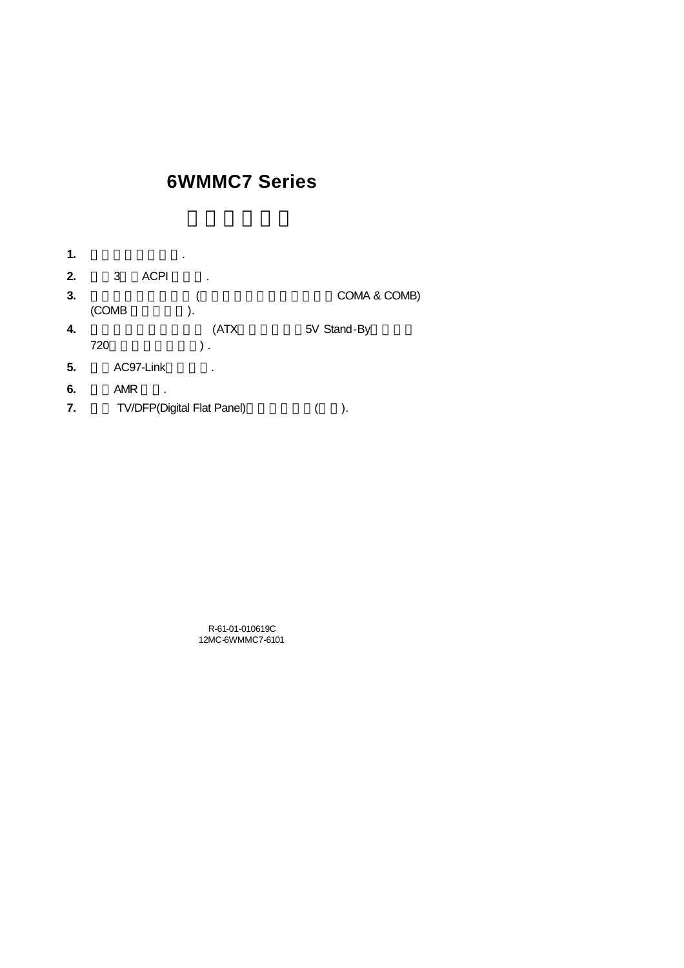# **6WMMC7 Series**

| 1. |            |             | ٠                          |              |
|----|------------|-------------|----------------------------|--------------|
| 2. | 3          | <b>ACPI</b> | ٠                          |              |
| 3. |            |             |                            | COMA & COMB) |
|    | (COMB      |             | ١.                         |              |
| 4. |            |             | (ATX                       | 5V Stand-By  |
|    | 720        |             | ).                         |              |
| 5. |            | AC97-Link   | ٠                          |              |
| 6. | <b>AMR</b> | ٠           |                            |              |
| 7. |            |             | TV/DFP(Digital Flat Panel) | ۱.           |

R-61-01-010619C 12MC-6WMMC7-6101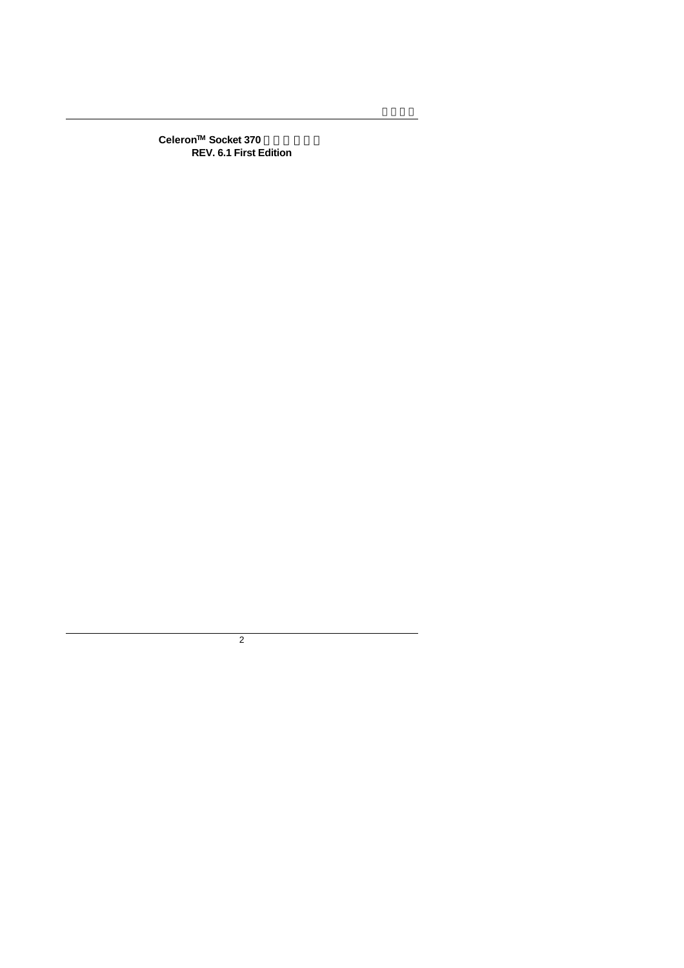$Celeron<sup>™</sup>$  Socket 370 **REV. 6.1 First Edition**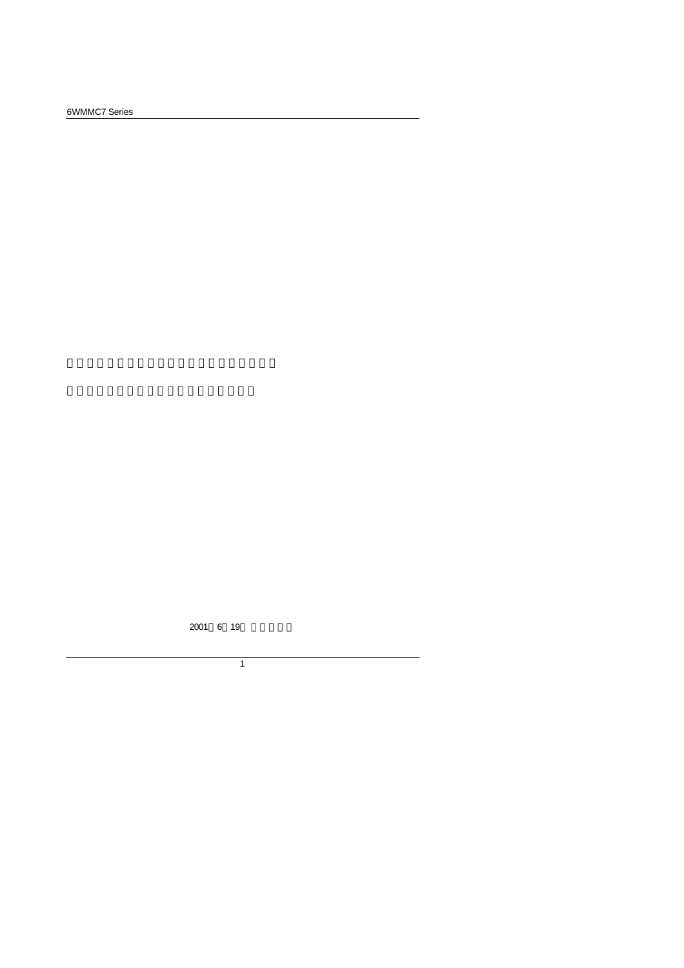6WMMC7 Series

2001 6 19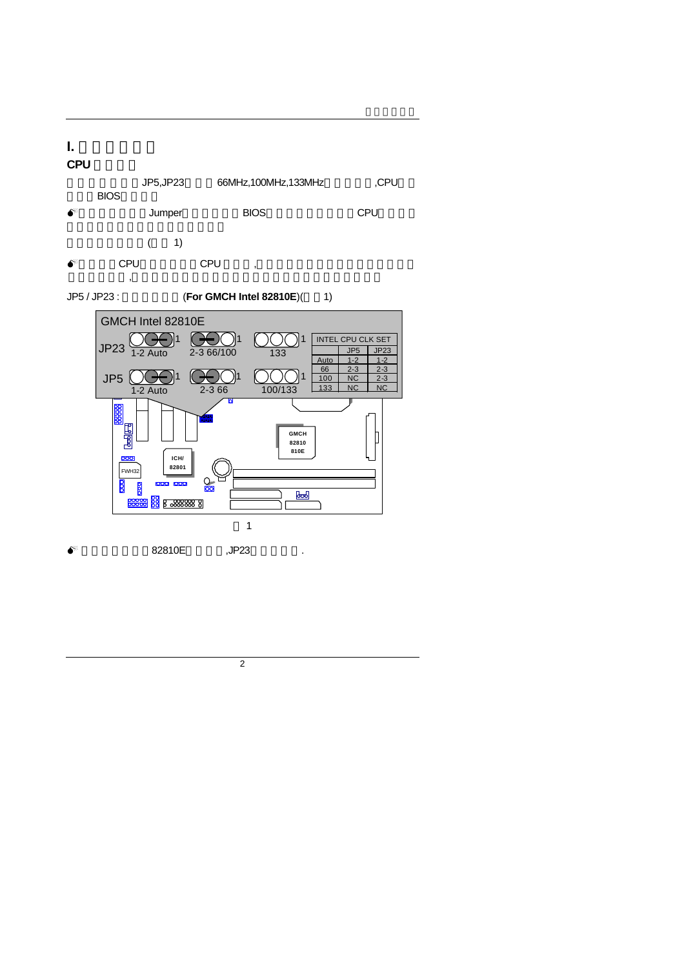# **I.** 快速安裝指南 **CPU** 速度設定

JP5,JP23 66MHz,100MHz,133MHz ,CPU **BIOS** 

- $\bullet^*$  Jumper BIOS CPU
	- $($  1)
- $\bullet^*$  CPU CPU ,  $\overline{a}$

JP5 / JP23 : **(For GMCH Intel 82810E**)( 1)



 $\bullet^*$  82810E, JP23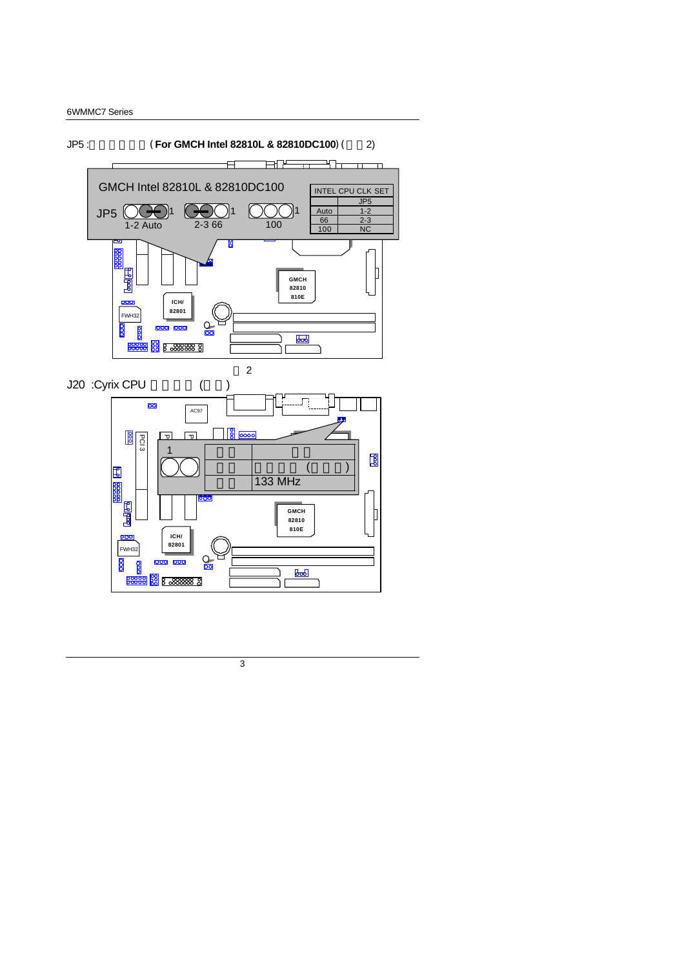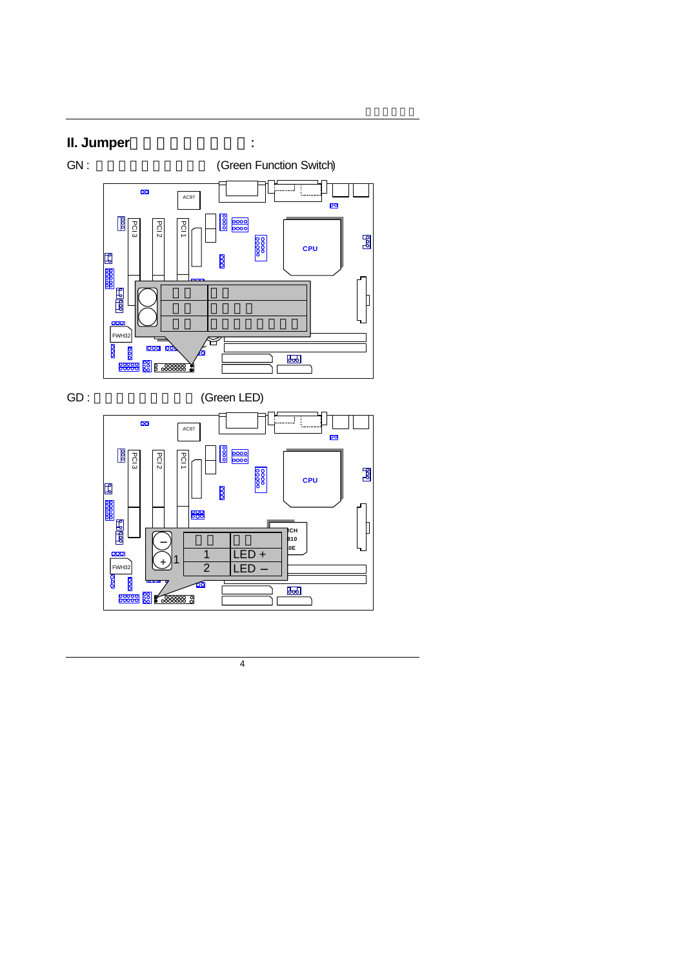# **II. Jumper**

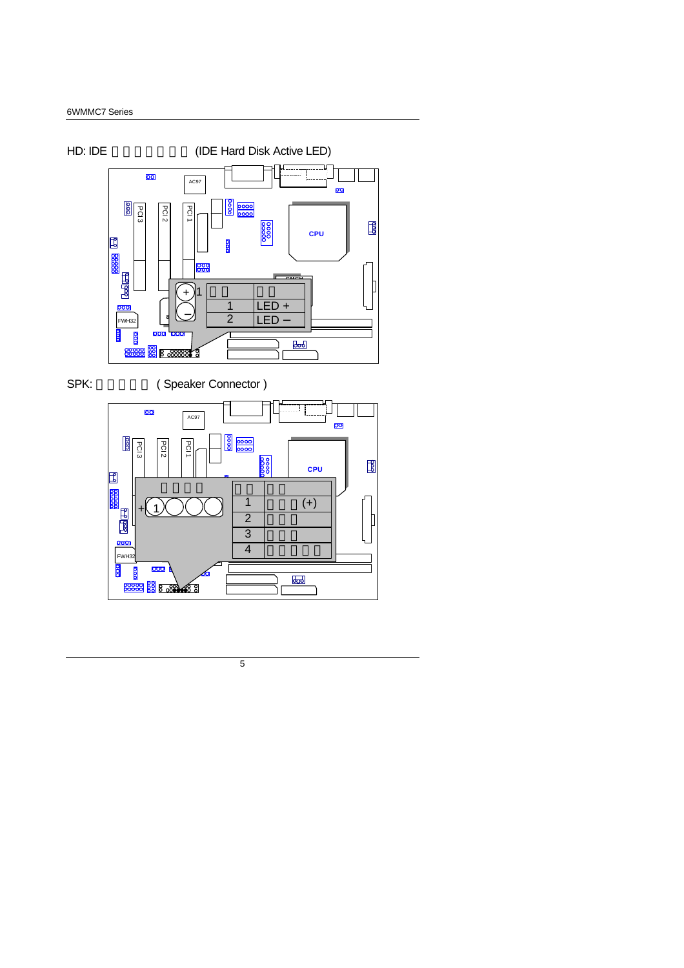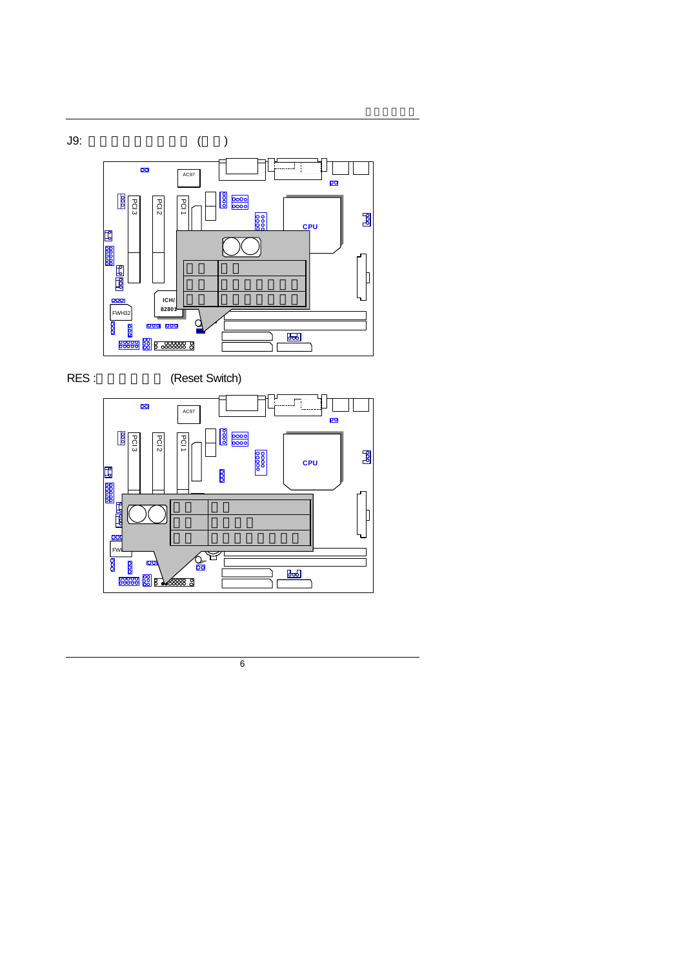



RES : (Reset Switch)

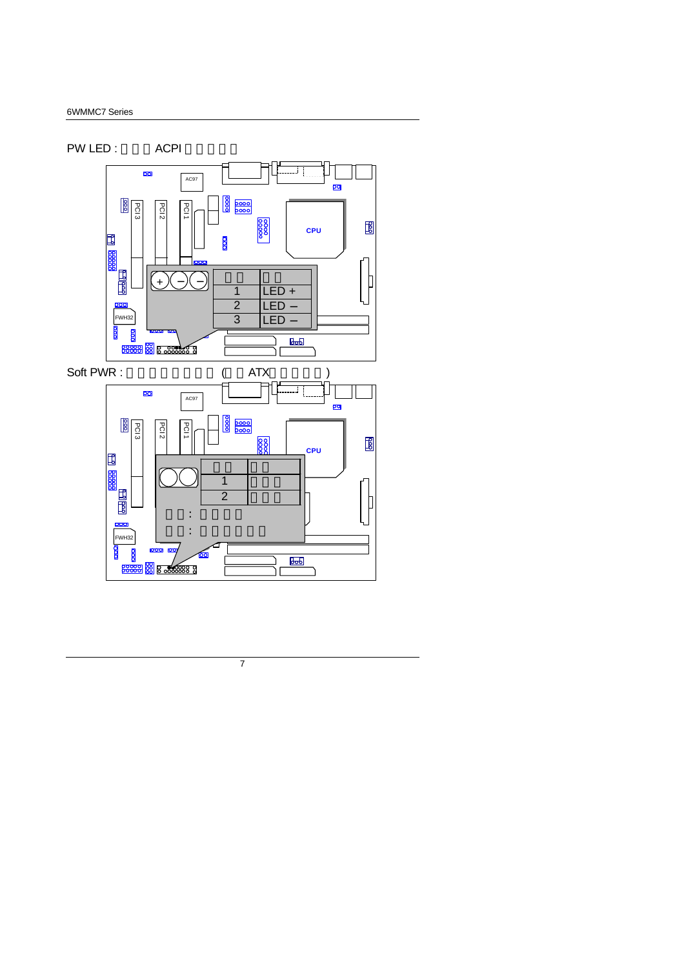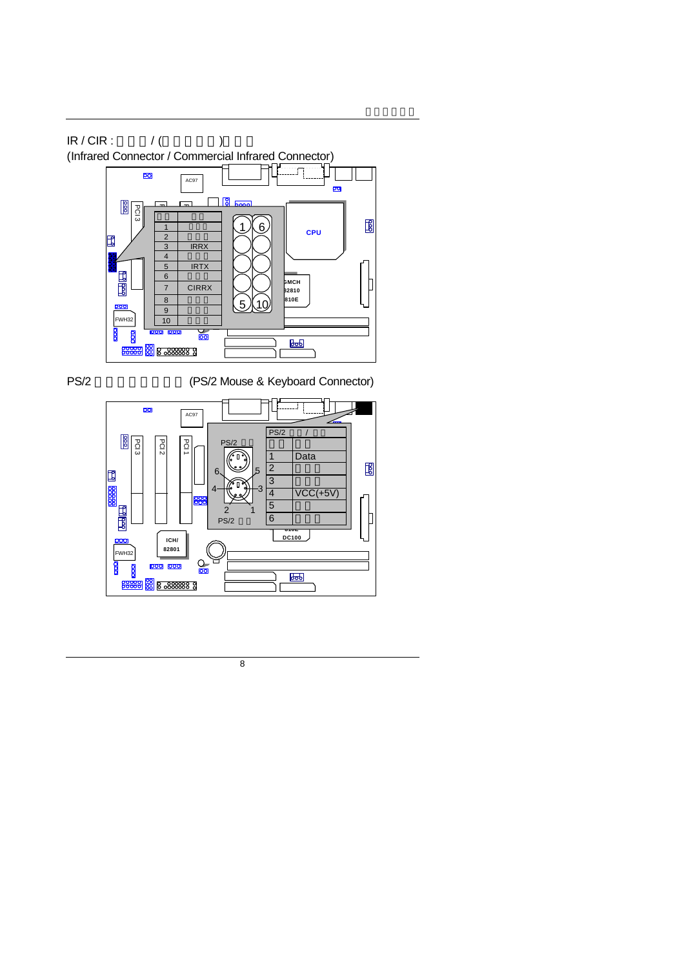

PS/2 (PS/2 Mouse & Keyboard Connector)

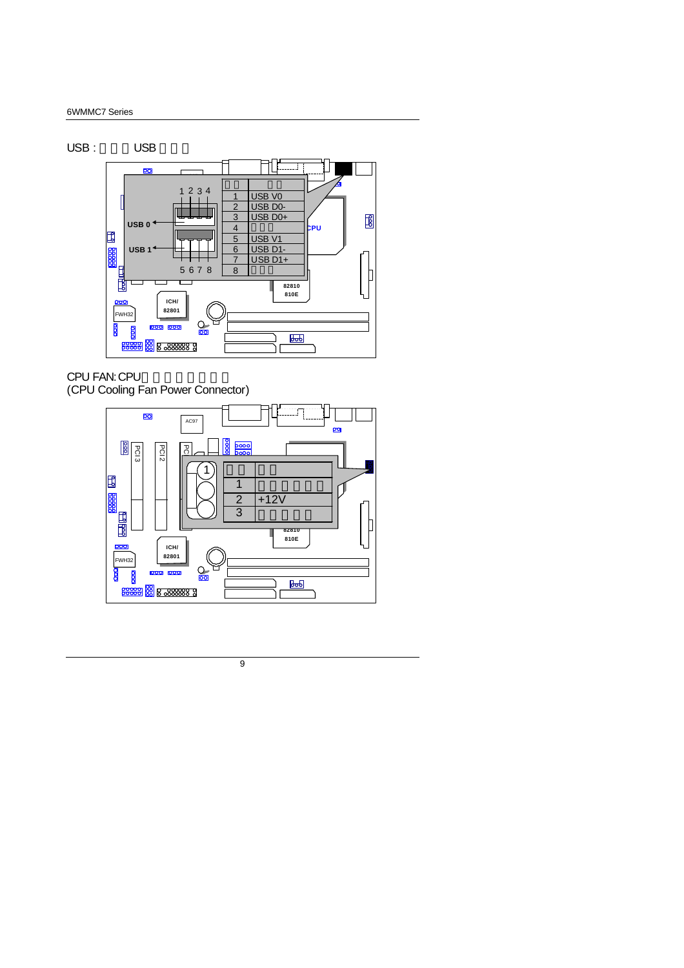#### 6WMMC7 Series



CPU FAN: CPU (CPU Cooling Fan Power Connector)

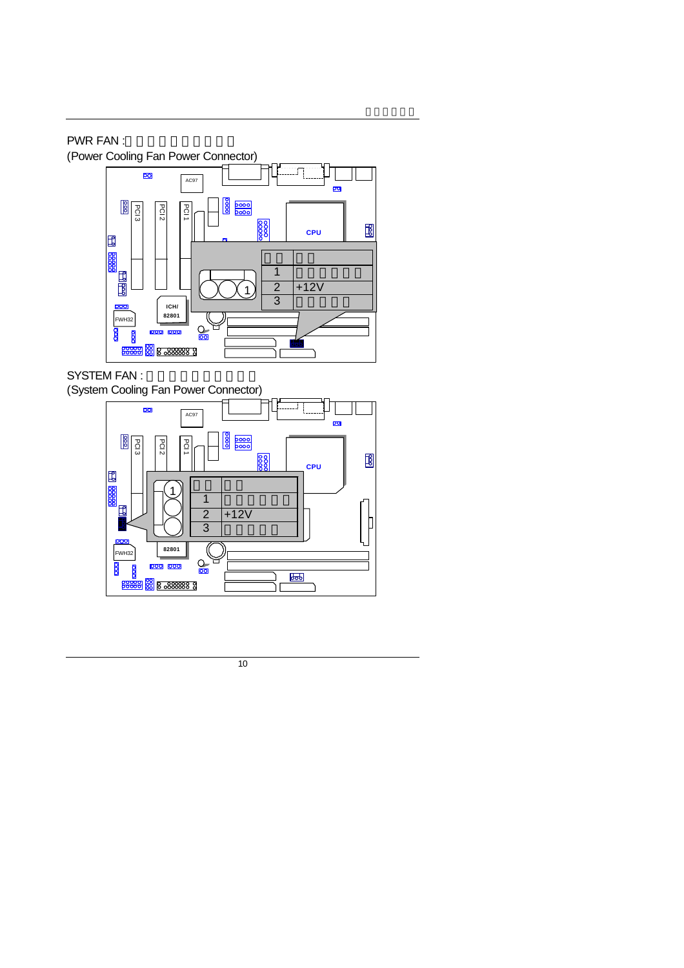# PWR FAN :

(Power Cooling Fan Power Connector)



# SYSTEM FAN :

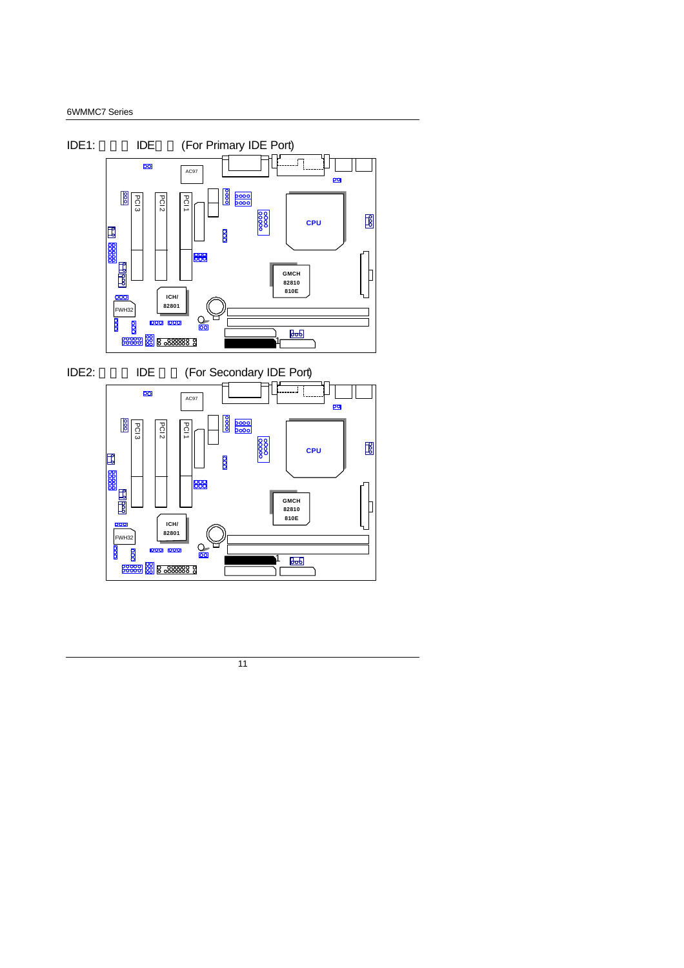#### 6WMMC7 Series

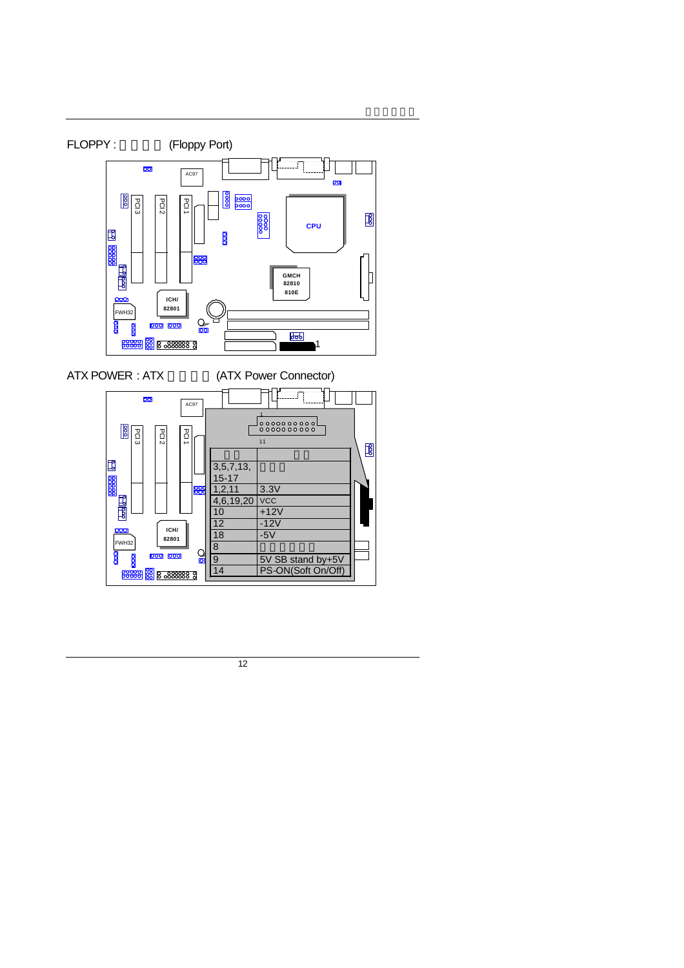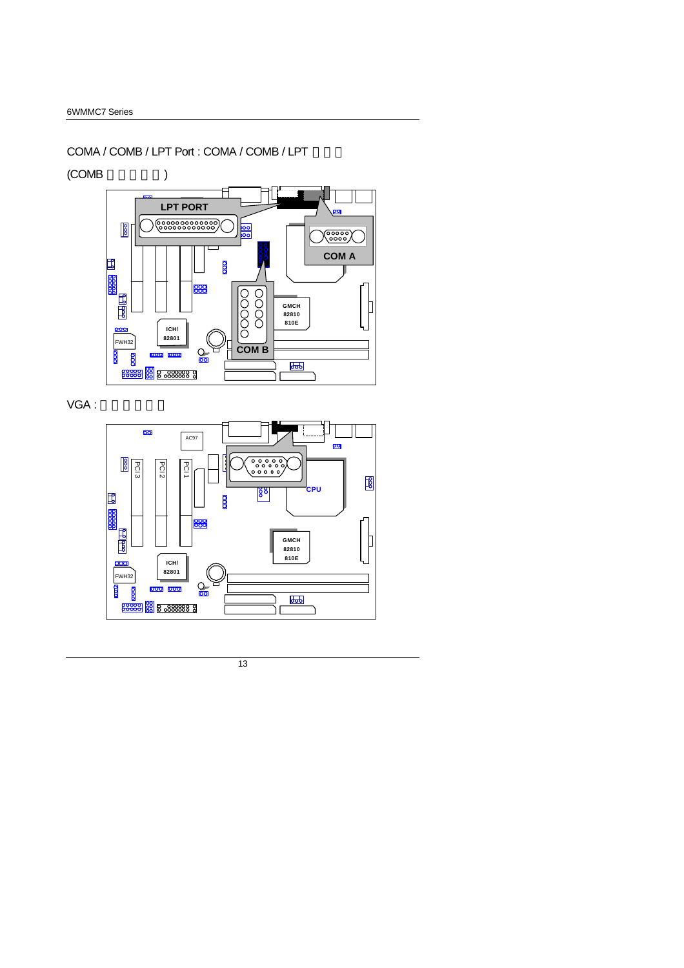#### COMA / COMB / LPT Port : COMA / COMB / LPT

 $(COMB$  )



VGA:

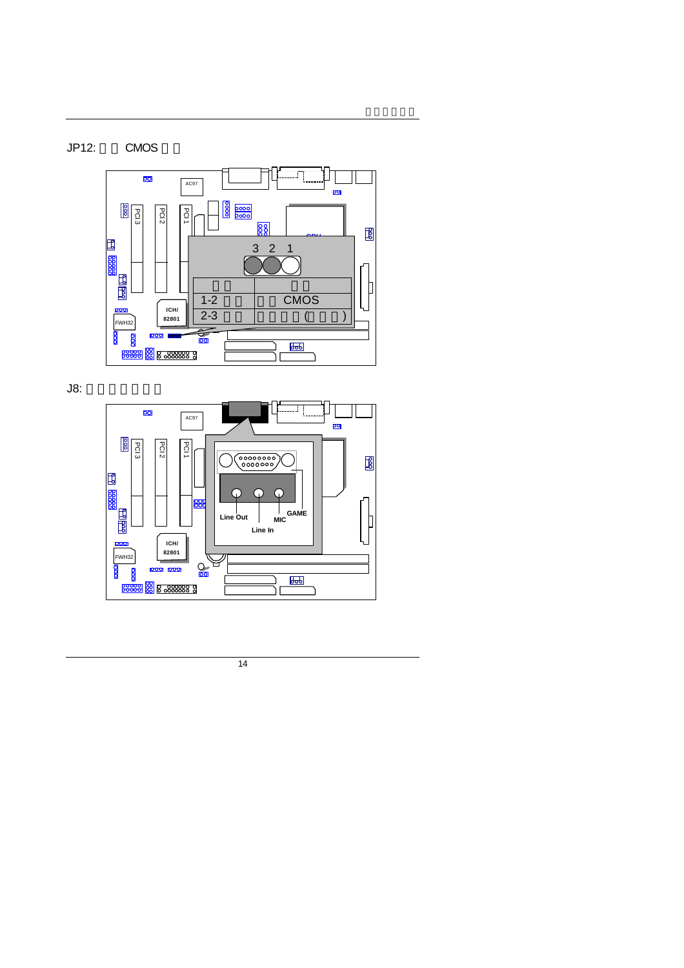### JP12: CMOS



J8: 搖桿及音效接頭

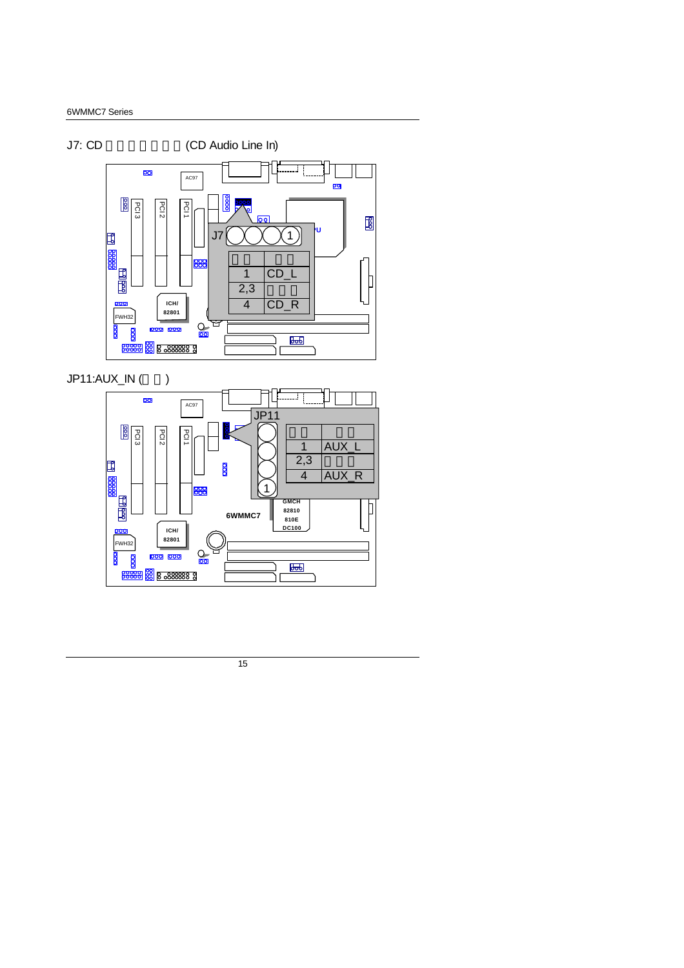



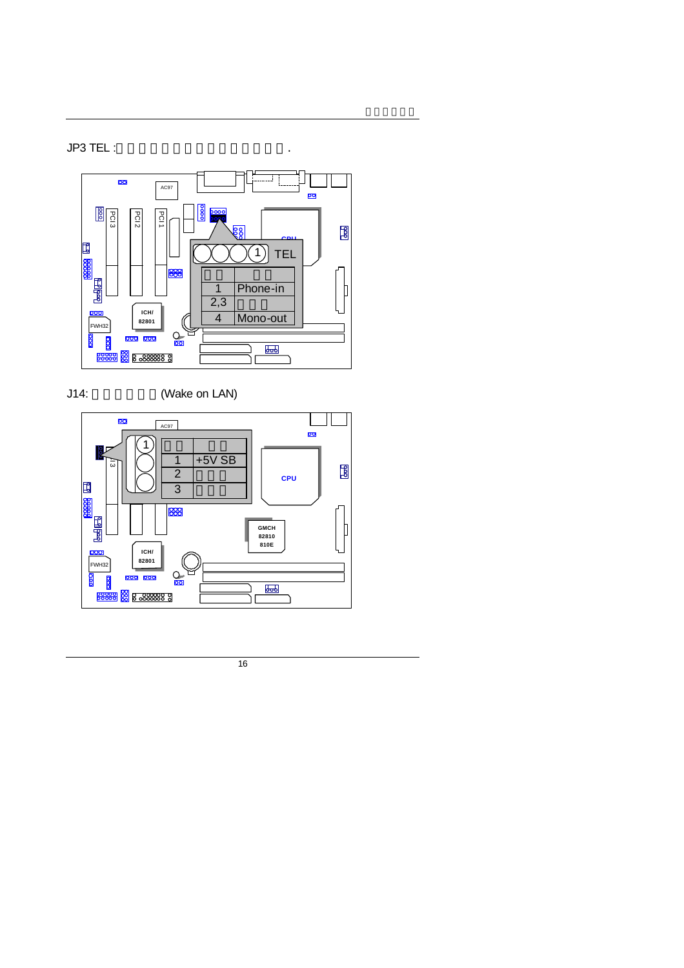$J$ P3 TEL :  $\qquad \qquad \ldots$ 



J14: (Wake on LAN)

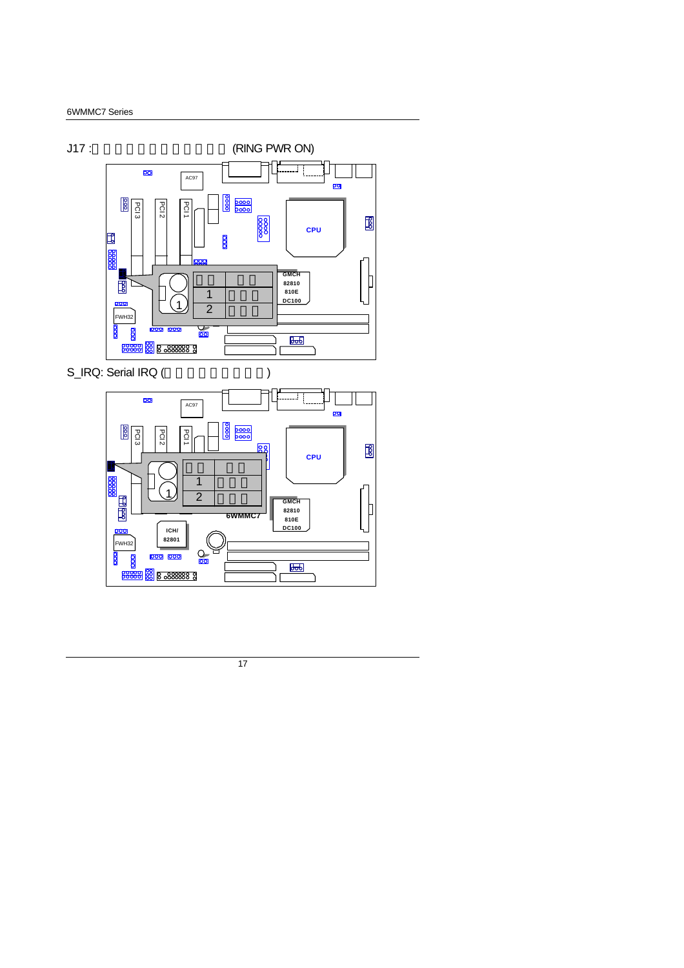

**6WMMC7**

C  $\frac{1}{\sqrt{2}}$ 

**GMCH 82810 810E DC100**

 $\overline{b}$ 

℔

**ICH/ 82801**

000 000

**BROGEO 8 8 288888 9** 

FWH<sub>32</sub>

 $\frac{8}{2}$ 

 $\overline{8}$ 

<u>voo</u>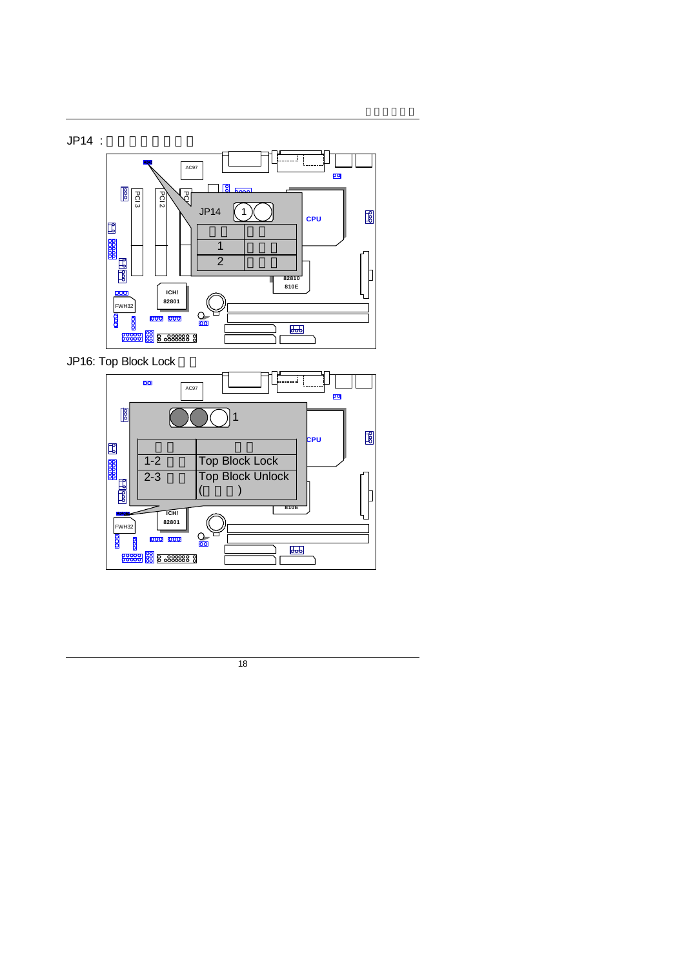



JP16: Top Block Lock

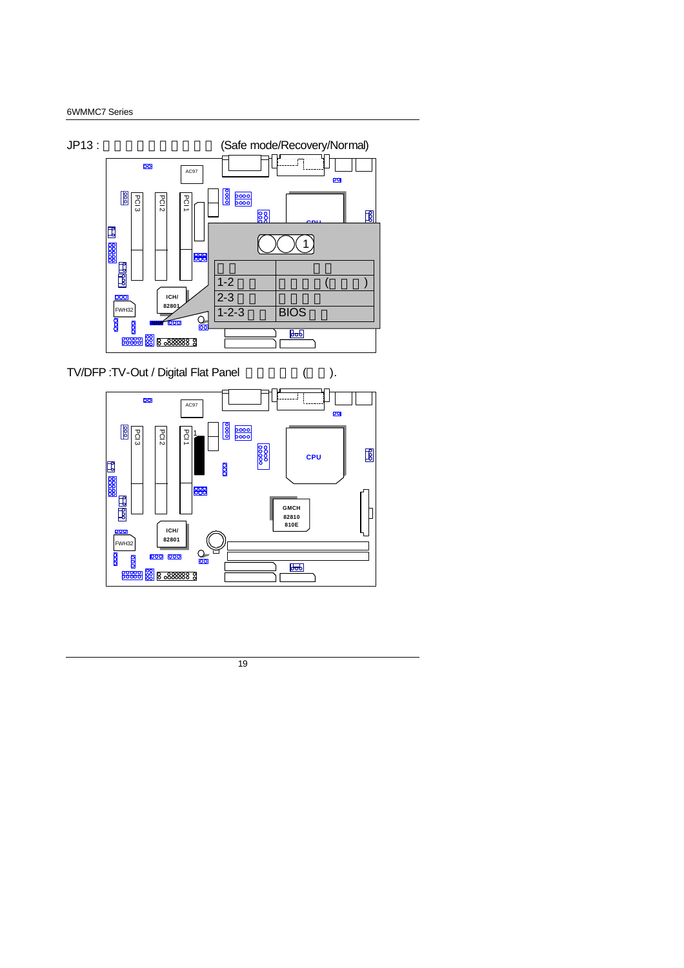

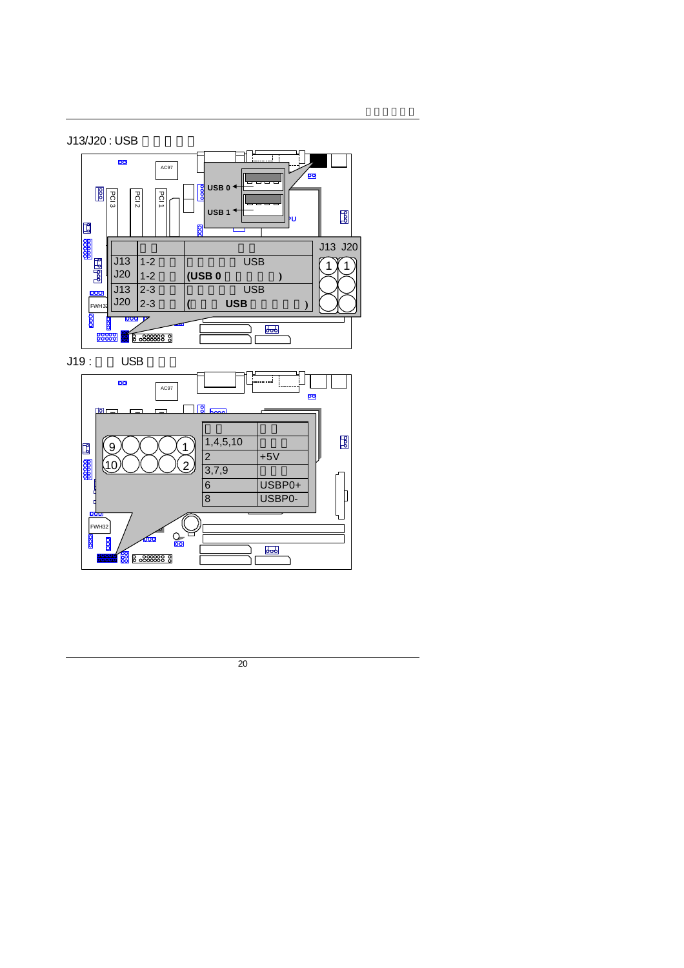



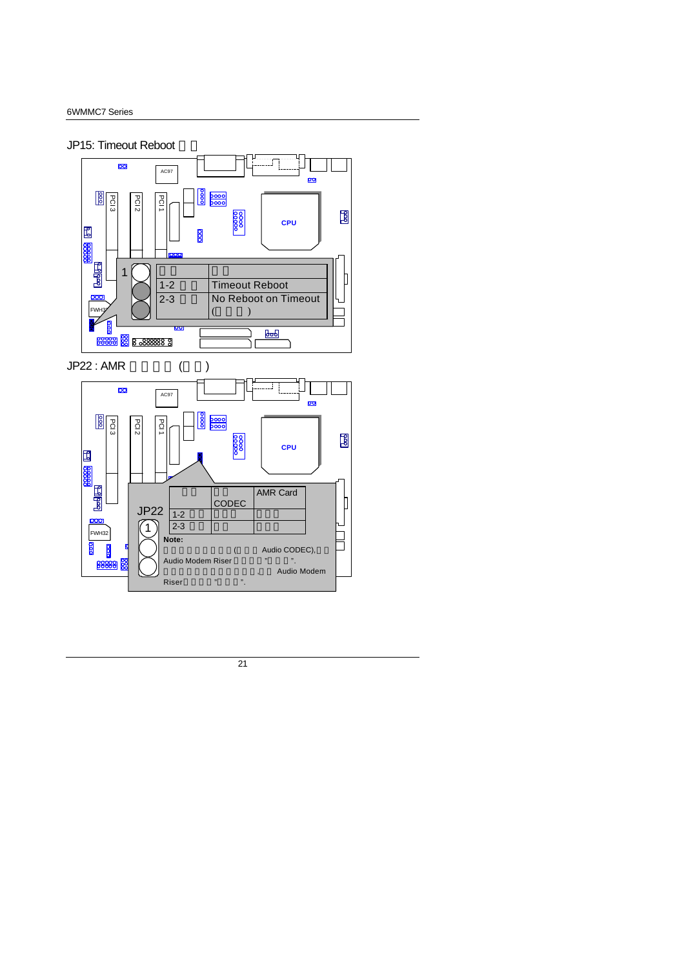#### JP15: Timeout Reboot

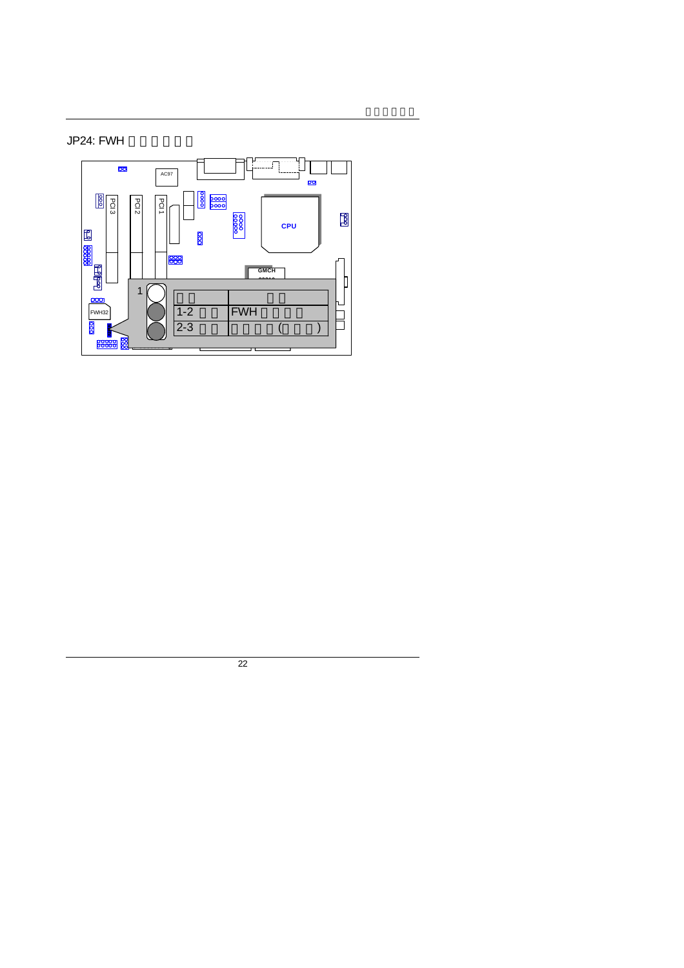# JP24: FWH

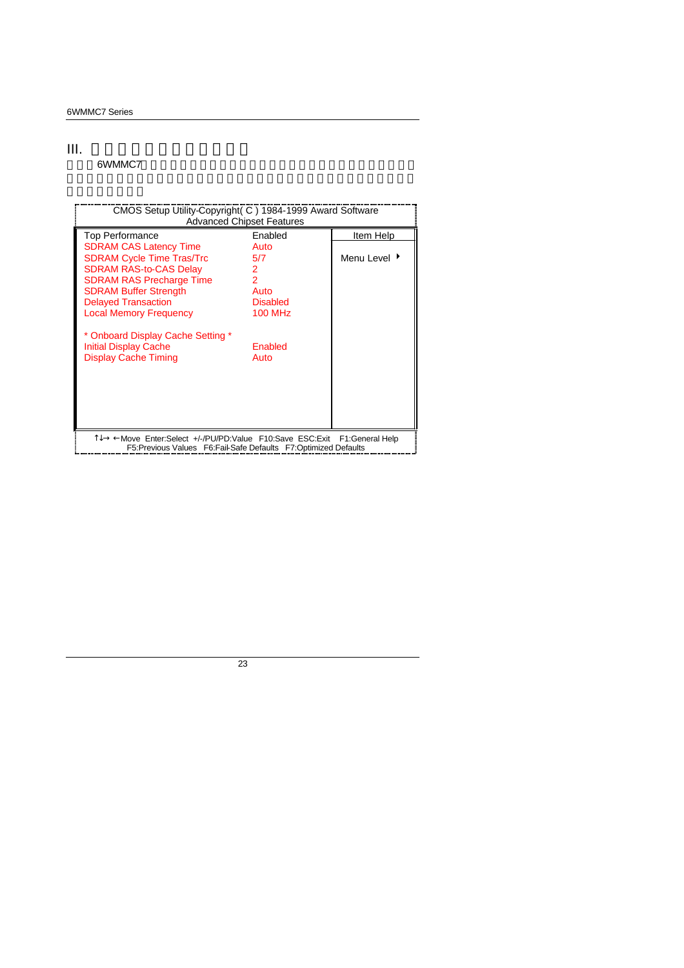#### III. 如何設定才能得到最高效益

6WMMC7

| CMOS Setup Utility-Copyright (C) 1984-1999 Award Software<br><b>Advanced Chipset Features</b>                                                 |                 |              |  |  |
|-----------------------------------------------------------------------------------------------------------------------------------------------|-----------------|--------------|--|--|
| Top Performance                                                                                                                               | Enabled         | Item Help    |  |  |
| <b>SDRAM CAS Latency Time</b>                                                                                                                 | Auto            |              |  |  |
| <b>SDRAM Cycle Time Tras/Trc</b>                                                                                                              | 5/7             | Menu Level ▶ |  |  |
| <b>SDRAM RAS-to-CAS Delay</b>                                                                                                                 | 2               |              |  |  |
| <b>SDRAM RAS Precharge Time</b>                                                                                                               | 2               |              |  |  |
| <b>SDRAM Buffer Strength</b>                                                                                                                  | Auto            |              |  |  |
| <b>Delayed Transaction</b>                                                                                                                    | <b>Disabled</b> |              |  |  |
| <b>Local Memory Frequency</b>                                                                                                                 | <b>100 MHz</b>  |              |  |  |
| * Onboard Display Cache Setting *<br><b>Initial Display Cache</b><br><b>Display Cache Timing</b>                                              | Enabled<br>Auto |              |  |  |
| T↓→ ←Move Enter:Select +/-/PU/PD:Value F10:Save ESC:Exit F1:General Help<br>F5: Previous Values F6: Fail-Safe Defaults F7: Optimized Defaults |                 |              |  |  |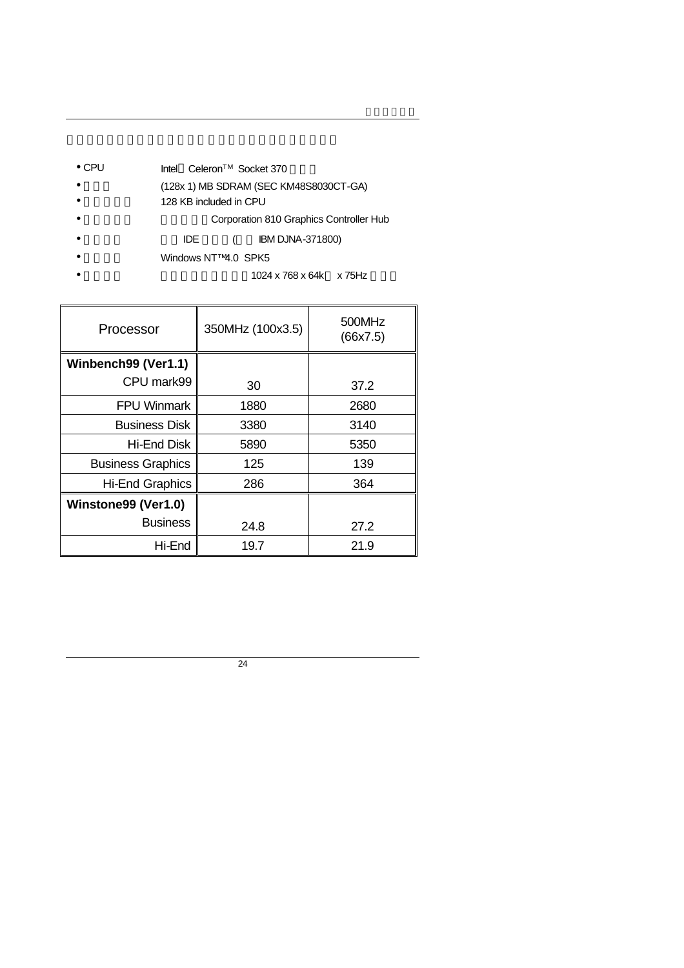- CPU Intel<sup>®</sup> Celeron<sup>TM</sup> Socket 370
- (128x 1) MB SDRAM (SEC KM48S8030CT-GA)
- 128 KB included in CPU
	- Corporation 810 Graphics Controller Hub
- IDE ( IBM DJNA-371800)
- Windows NT™4.0 SPK5
	- 1024 x 768 x 64k x 75Hz

| Processor                | 350MHz (100x3.5) | 500MHz<br>(66x7.5) |
|--------------------------|------------------|--------------------|
| Winbench99 (Ver1.1)      |                  |                    |
| CPU mark99               | 30               | 37.2               |
| <b>FPU Winmark</b>       | 1880             | 2680               |
| <b>Business Disk</b>     | 3380             | 3140               |
| Hi-End Disk              | 5890             | 5350               |
| <b>Business Graphics</b> | 125              | 139                |
| <b>Hi-End Graphics</b>   | 286              | 364                |
| Winstone99 (Ver1.0)      |                  |                    |
| <b>Business</b>          | 24.8             | 27.2               |
| Hi-End                   | 19.7             | 21.9               |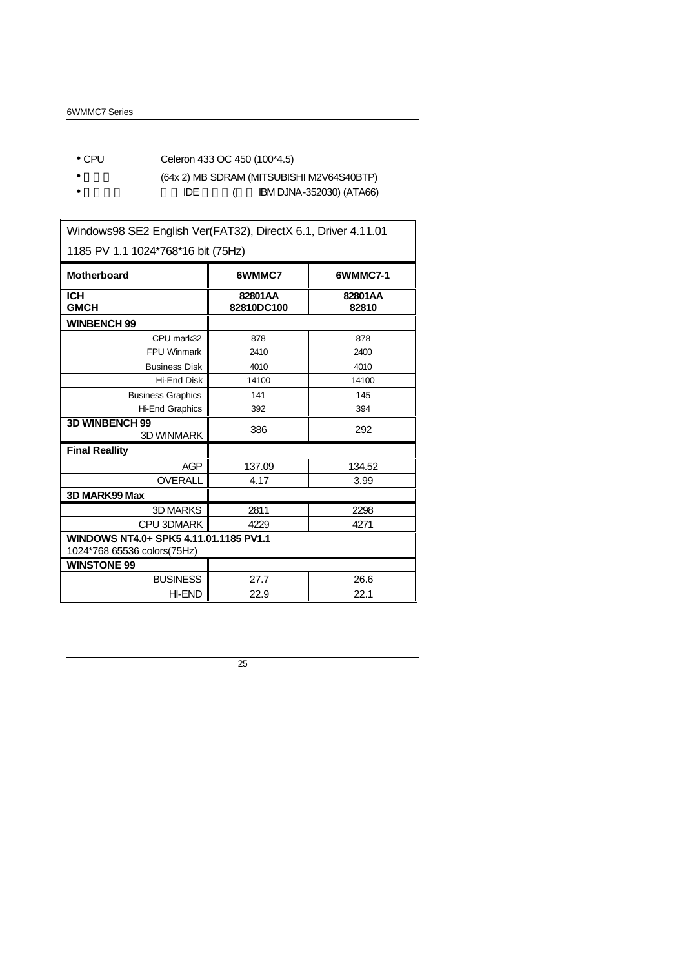- CPU Celeron 433 OC 450 (100\*4.5)
- $(64x 2)$  MB SDRAM (MITSUBISHI M2V64S40BTP)
- $\bullet$  IDE  $($  IBM DJNA-352030) (ATA66)

| Windows98 SE2 English Ver(FAT32), DirectX 6.1, Driver 4.11.01         |                       |                  |  |  |  |
|-----------------------------------------------------------------------|-----------------------|------------------|--|--|--|
| 1185 PV 1.1 1024*768*16 bit (75Hz)                                    |                       |                  |  |  |  |
| <b>Motherboard</b>                                                    | 6WMMC7                | 6WMMC7-1         |  |  |  |
| <b>ICH</b><br><b>GMCH</b>                                             | 82801AA<br>82810DC100 | 82801AA<br>82810 |  |  |  |
| <b>WINBENCH 99</b>                                                    |                       |                  |  |  |  |
| CPU mark32                                                            | 878                   | 878              |  |  |  |
| <b>FPU Winmark</b>                                                    | 2410                  | 2400             |  |  |  |
| <b>Business Disk</b>                                                  | 4010                  | 4010             |  |  |  |
| <b>Hi-End Disk</b>                                                    | 14100                 | 14100            |  |  |  |
| <b>Business Graphics</b>                                              | 141                   | 145              |  |  |  |
| <b>Hi-End Graphics</b>                                                | 392                   | 394              |  |  |  |
| <b>3D WINBENCH 99</b><br><b>3D WINMARK</b>                            | 386                   | 292              |  |  |  |
| <b>Final Reallity</b>                                                 |                       |                  |  |  |  |
| <b>AGP</b>                                                            | 137.09                | 134.52           |  |  |  |
| OVERALL                                                               | 4.17<br>3.99          |                  |  |  |  |
| 3D MARK99 Max                                                         |                       |                  |  |  |  |
| 3D MARKS                                                              | 2811                  | 2298             |  |  |  |
| <b>CPU 3DMARK</b>                                                     | 4229                  | 4271             |  |  |  |
| WINDOWS NT4.0+ SPK5 4.11.01.1185 PV1.1<br>1024*768 65536 colors(75Hz) |                       |                  |  |  |  |
| <b>WINSTONE 99</b>                                                    |                       |                  |  |  |  |
| <b>BUSINESS</b>                                                       | 27.7                  | 26.6             |  |  |  |
| HI-END                                                                | 22.9                  | 22.1             |  |  |  |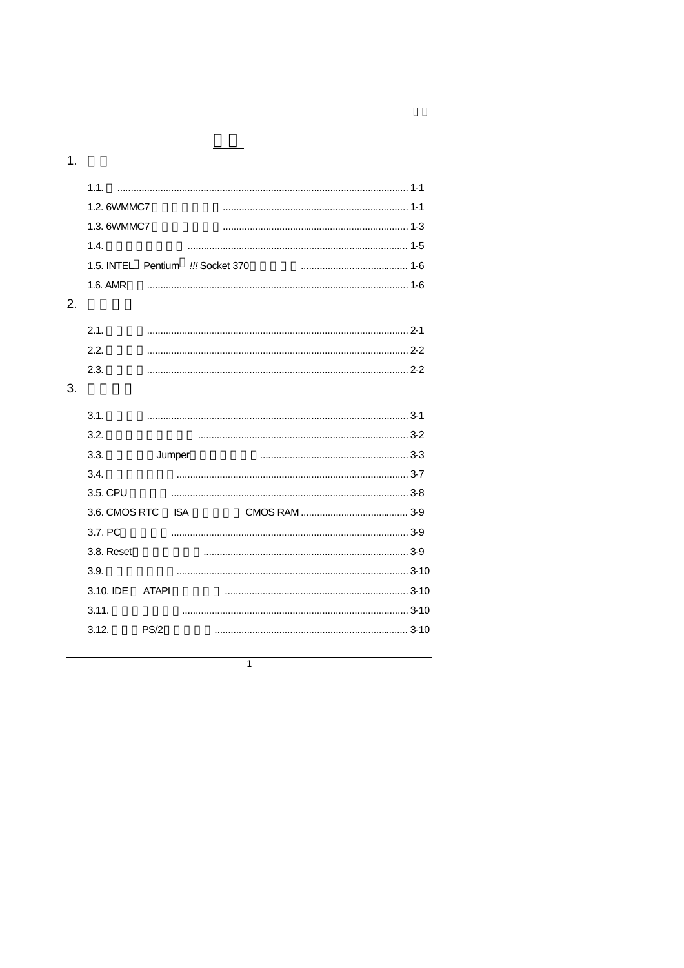$1.$ 

|    | 1.2. 6WMMC7                                                 |       |            |  |  |  |
|----|-------------------------------------------------------------|-------|------------|--|--|--|
|    | 1.3. 6WMMC7                                                 |       |            |  |  |  |
|    | 1.4.                                                        |       |            |  |  |  |
|    | 1.5. INTEL <sup>®</sup> Pentium <sup>®</sup> !!! Socket 370 |       |            |  |  |  |
|    | 1.6. AMR                                                    |       |            |  |  |  |
| 2. |                                                             |       |            |  |  |  |
|    | 2.1.                                                        |       |            |  |  |  |
|    | 2.2.                                                        |       |            |  |  |  |
|    | 2.3.                                                        |       |            |  |  |  |
| 3. |                                                             |       |            |  |  |  |
|    | 3.1.                                                        |       |            |  |  |  |
|    | 3.2.                                                        |       |            |  |  |  |
|    | 3.3.                                                        |       | Jumper     |  |  |  |
|    | 3.4.                                                        |       |            |  |  |  |
|    | 3.5. CPU                                                    |       |            |  |  |  |
|    | 3.6. CMOS RTC                                               |       | <b>ISA</b> |  |  |  |
|    | 3.7. PC                                                     |       |            |  |  |  |
|    | 3.8. Reset                                                  |       |            |  |  |  |
|    | 3.9.                                                        |       |            |  |  |  |
|    | 3.10. IDE                                                   | ATAPI |            |  |  |  |
|    | 3.11.                                                       |       |            |  |  |  |
|    | 3.12.                                                       | PS/2  |            |  |  |  |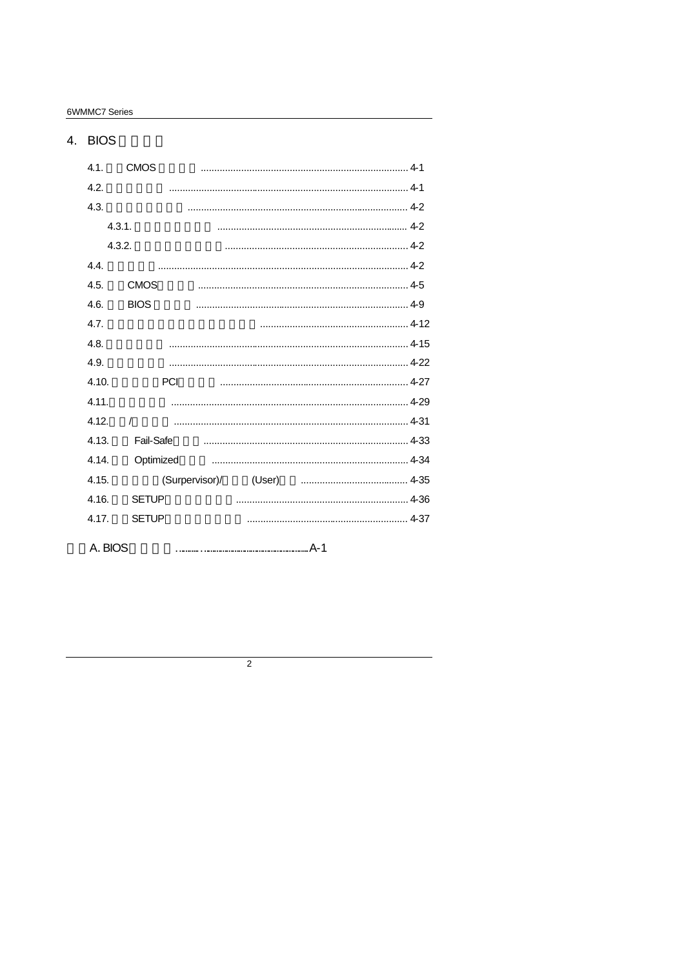6WMMC7 Series

#### 4. BIOS  $4.1.$ **CMOS**  $4.2.$  $4.3.$  $4.3.1.$  $4.3.2.$  $4.4.$  $4.5.$ **CMOS**  $4.6.$ **BIOS**  $\cdots$  4-12  $4.7.$ 4.8.  $4.9.$ 4.10. PCI 4.11.  $4.12.$  $\sqrt{ }$ Fail-Safe 4.13. 4.14. Optimized (Surpervisor)/ 4.15. 4.16. **SETUP** 4.17. **SETUP** A. BIOS

 $\overline{2}$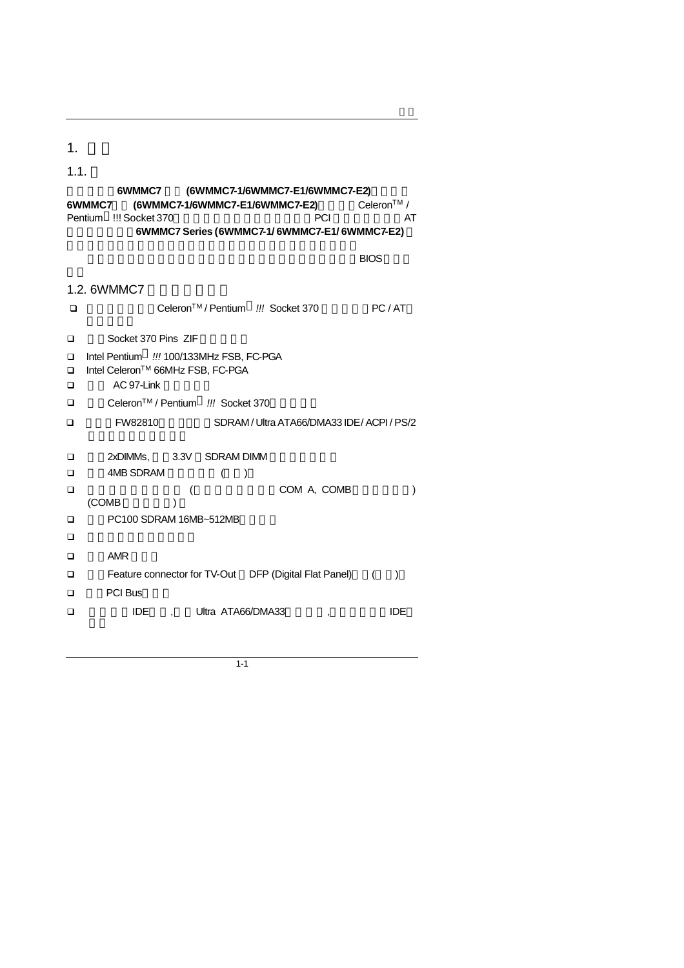$1<sub>1</sub>$ 

1.1. 謝謝您使用**6WMMC7** 系列 **(6WMMC7-1/6WMMC7-E1/6WMMC7-E2)**主機板 6WMMC7 (6WMMC7-1/6WMMC7-E1/6WMMC7-E2) Pentium<sup>®</sup> !!! Socket 370 **PCI** PCI AT 規格完全相容 **6WMMC7 Series (6WMMC7-1/ 6WMMC7-E1/ 6WMMC7-E2)**  $\overline{B}$ IOS 1.2. 6WMMC7 <sup>q</sup> 使用標準英代爾CeleronTM / Pentium*!!!* Socket 370 微處理器之PC / AT q 內建Socket 370 Pins ZIF 白色腳座 <sup>q</sup> Intel Pentium *!!!* 100/133MHz FSB, FC-PGA q Intel CeleronTM 66MHz FSB, FC-PGA  $\Box$  AC 97-Link <sup>q</sup> 使用CeleronTM / Pentium *!!!* Socket 370微處理器。 q 英代爾FW82810晶片組 支援SDRAM / Ultra ATA66/DMA33 IDE / ACPI / PS/2  $\square$  2xDIMMs, 3.3V SDRAM DIMM  $\Box$  4MB SDRAM  $($ )  $\Box$  (  $\Box$  COM A, COMB  $(COMB)$  ) □ PC100 SDRAM 16MB~512MB  $\Box$  $\square$  AMR **□** Feature connector for TV-Out DFP (Digital Flat Panel) () q 三個PCI Bus插槽 □
IDE, Ultra ATA66/DMA33, , IDE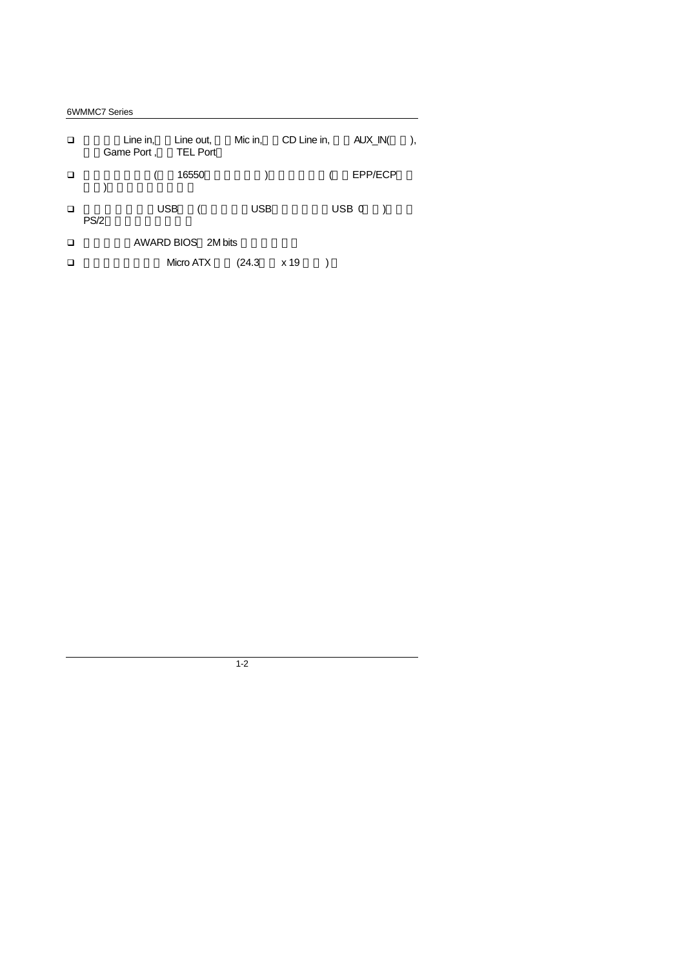6WMMC7 Series

| ◻ | Game Port, | Line in,<br>Line out,<br><b>TEL Port</b> |            | Mic in, CD Line in, AUX_IN( |         |  |
|---|------------|------------------------------------------|------------|-----------------------------|---------|--|
| □ |            | 16550                                    |            | $\overline{\phantom{a}}$    | EPP/ECP |  |
| ◻ | PS/2       | USB (                                    | <b>USB</b> |                             | USB 0   |  |
| ◻ |            | AWARD BIOS 2M bits                       |            |                             |         |  |
| □ |            | Micro ATX                                | (24.3)     | x 19                        |         |  |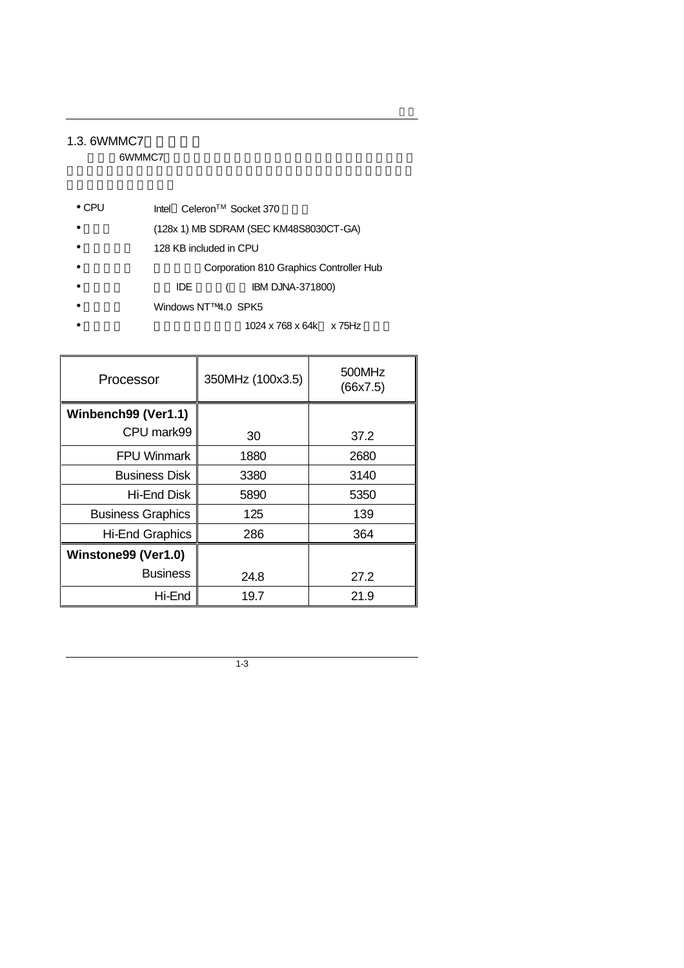## 1.3. 6WMMC7

6WMMC7

- CPU Intel<sup>®</sup> Celeron<sup>TM</sup> Socket 370
- (128x 1) MB SDRAM (SEC KM48S8030CT-GA)
- 128 KB included in CPU
- Corporation 810 Graphics Controller Hub
- IDE ( IBM DJNA-371800)
- Windows NT™4.0 SPK5
	- 1024 x 768 x 64k x 75Hz

| Processor                | 350MHz (100x3.5) | 500MHz<br>(66x7.5) |
|--------------------------|------------------|--------------------|
| Winbench99 (Ver1.1)      |                  |                    |
| CPU mark99               | 30               | 37.2               |
| <b>FPU Winmark</b>       | 1880             | 2680               |
| <b>Business Disk</b>     | 3380             | 3140               |
| Hi-End Disk              | 5890             | 5350               |
| <b>Business Graphics</b> | 125              | 139                |
| <b>Hi-End Graphics</b>   | 286              | 364                |
| Winstone99 (Ver1.0)      |                  |                    |
| <b>Business</b>          | 24.8             | 27.2               |
| Hi-End                   | 19.7             | 21.9               |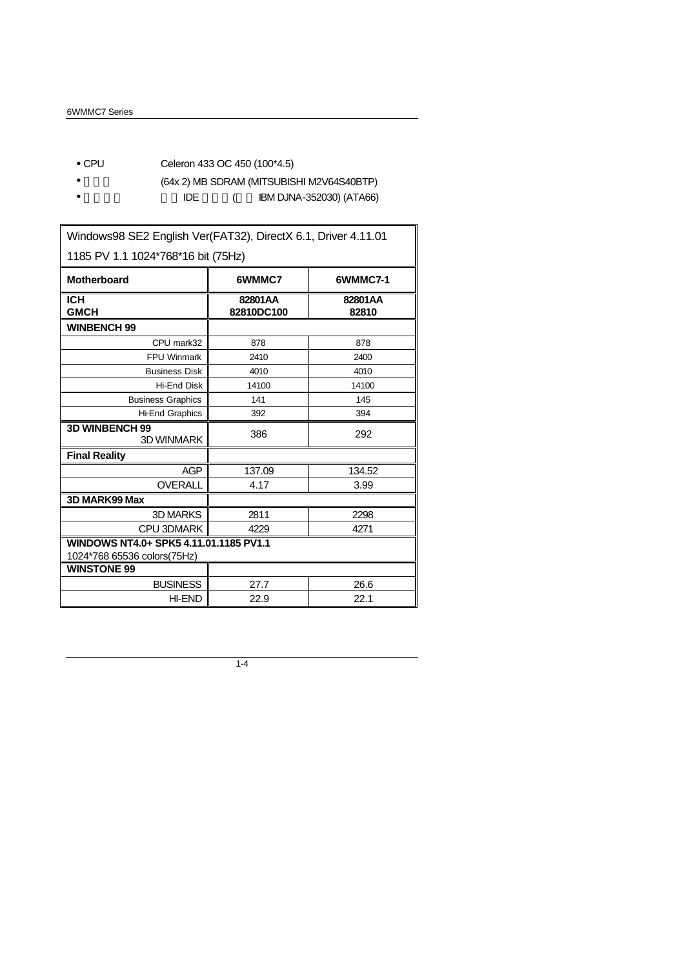- CPU Celeron 433 OC 450 (100\*4.5)
- (64x 2) MB SDRAM (MITSUBISHI M2V64S40BTP)
- IDE ( IBM DJNA-352030) (ATA66)

Windows98 SE2 English Ver(FAT32), DirectX 6.1, Driver 4.11.01 1185 PV 1.1 1024\*768\*16 bit (75Hz) **Motherboard 6WMMC7 6WMMC7-1 ICH GMCH 82801AA 82810DC100 82801AA 82810 WINBENCH 99** CPU mark32 878 878 FPU Winmark 2410 2400 Business Disk 4010 4010 Hi-End Disk 14100 14100 Business Graphics | 141 | 145 Hi-End Graphics 392 394 **3D WINBENCH 99**  $\begin{array}{c|c}\n\mathbf{3} & 386 \\
\hline\n\mathbf{3} & 292\n\end{array}$ **Final Reality** AGP 137.09 134.52 OVERALL 4.17 3.99 **3D MARK99 Max** 3D MARKS 2811 2298 CPU 3DMARK 4229 4271 **WINDOWS NT4.0+ SPK5 4.11.01.1185 PV1.1** 1024\*768 65536 colors(75Hz) **WINSTONE 99** BUSINESS 27.7 26.6 HI-END 22.9 22.1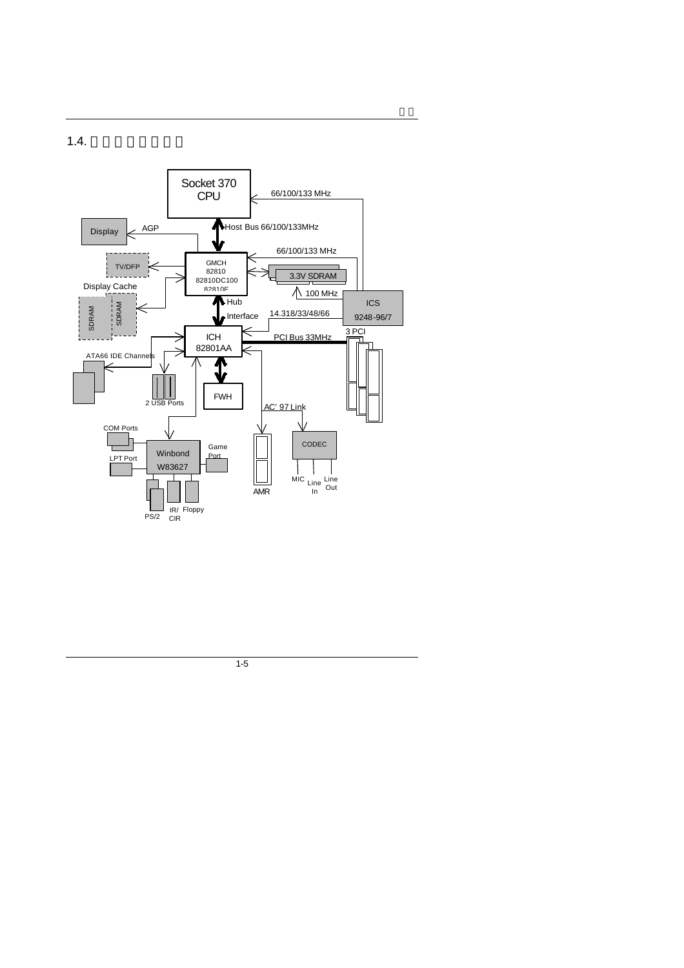$1.4.$ 

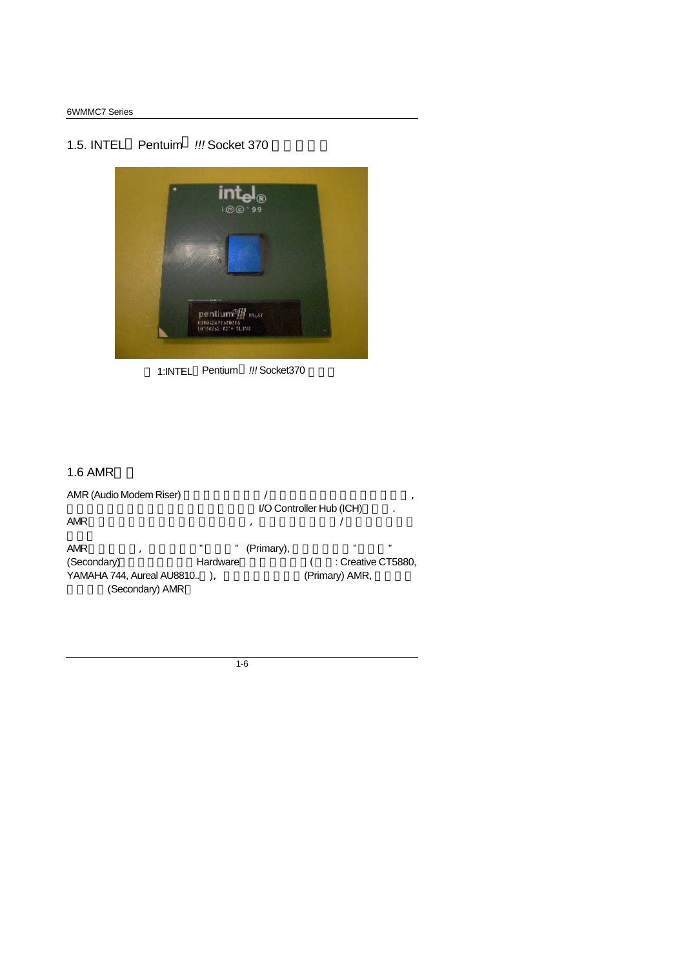# 1.5. INTEL<sup>®</sup> Pentuim<sup>®</sup> !!! Socket 370



1:INTEL<sup>®</sup> Pentium<sup>®</sup> !!! Socket370

#### $1.6$  AMR

AMR (Audio Modem Riser)  $/$ 主要是透過軟體的方式模擬並由主機板上的I/O Controller Hub (ICH)來控制.  $\begin{array}{ccccc}\n\text{AMR} & & & & \\
\end{array}$ 

**AMR**  $\sqrt{m}$  amplitude  $\sqrt{m}$  (Primary),  $\sqrt{m}$  and  $\sqrt{m}$ (Secondary) **Hardware** (Careative CT5880, YAMAHA 744, Aureal AU8810.. ), 
(Primary) AMR, (Secondary) AMR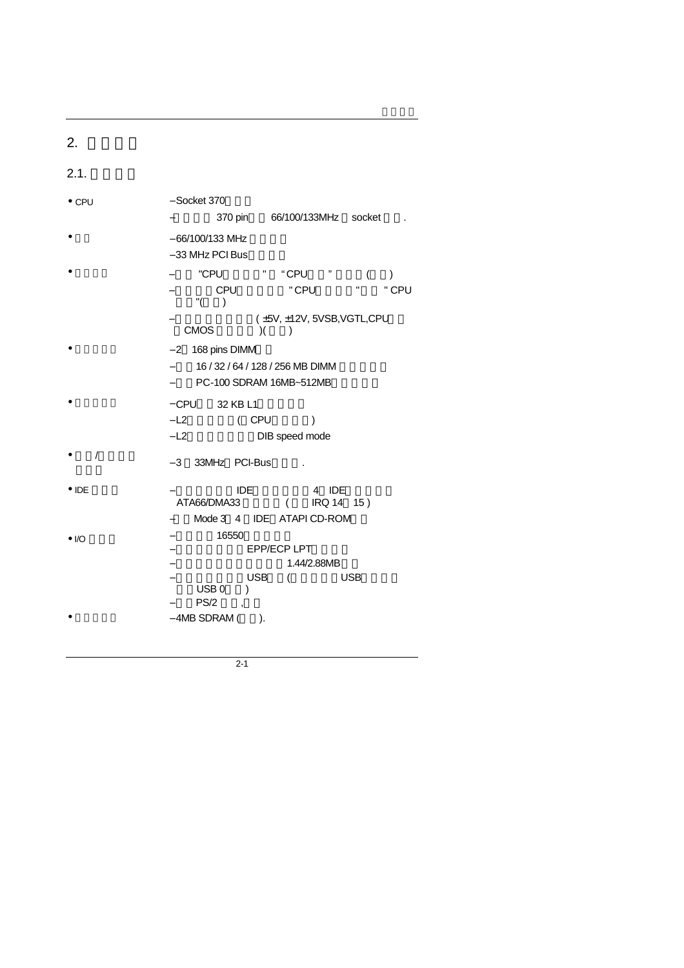| 2.            |                                      |         |                      |   |
|---------------|--------------------------------------|---------|----------------------|---|
| 2.1.          |                                      |         |                      |   |
| $\bullet$ CPU | $-$ Socket 370                       | 370 pin | 66/100/133MHz socket | ٠ |
|               | $-66/100/133$ MHz<br>-33 MHz PCI Bus |         |                      |   |
|               |                                      |         |                      |   |

- 保護裝置 <sup>−</sup> 內建 "CPU風扇故障" "CPU過熱" 警報器(選購) − CPU " CPU " " CPU  $"()$ − 硬體監視電源狀況( ±5V, ±12V, 5VSB,VGTL,CPU電壓
- $CMOS$   $)($   $)$  $-2$  168 pins DIMM
	- − 16 / 32 / 64 / 128 / 256 MB DIMM
	- − PC-100 SDRAM 16MB~512MB
	- − CPU 32 KB L1
		- − L2 ( CPU )
			- − L2快取記憶體支援DIB speed mode
- $\bullet$  /  $\phantom{a}$  $-3$  33MHz PCI-Bus .
- IDE 連接埠 − 雙通道加強型IDE介面,可連接4 IDE裝置並支援
	- ATA66/DMA33 ( IRQ 14 15 )
	- −支援Mode 3 4 IDE ATAPI CD-ROM介面
- I/O 連接埠 <sup>−</sup> 支援兩個16550高速串列埠
	- EPP/ECP LPT
		- −  $1.44/2.88MB$ − USB ( USB
			- $\begin{pmatrix} \n \text{USB 0} \\
			 \text{USB 0}\n \end{pmatrix}$
		- PS/2
- $-4MB$  SDRAM ( $\qquad$ ).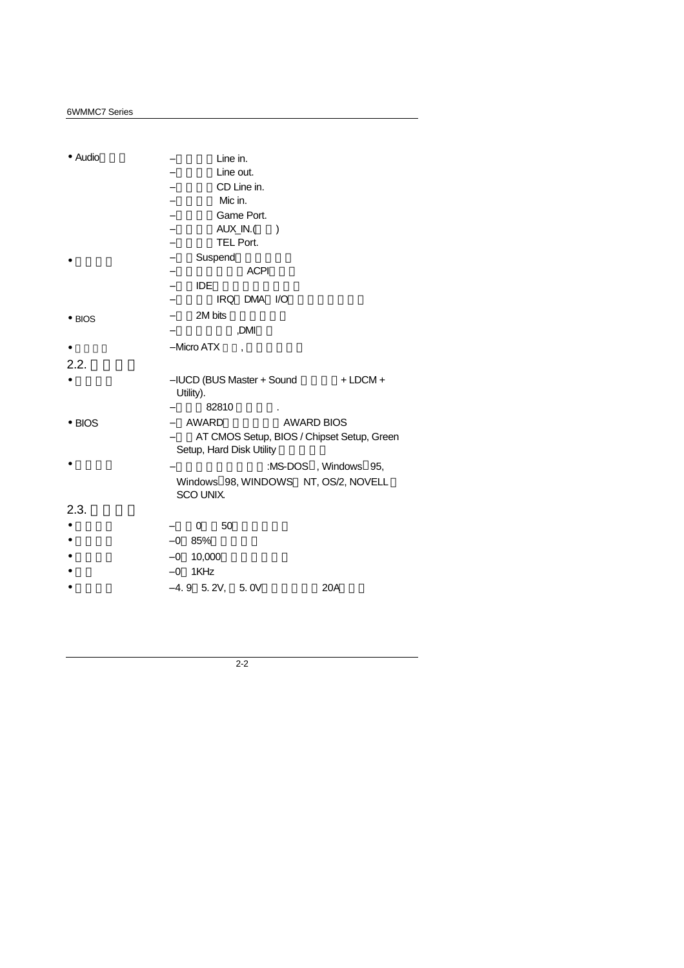| • Audio        | Line in.                                                        |
|----------------|-----------------------------------------------------------------|
|                | Line out.                                                       |
|                | CD Line in.                                                     |
|                | Mic in.                                                         |
|                | Game Port.                                                      |
|                | AUX_IN.(<br>$\lambda$                                           |
|                | TEL Port.                                                       |
|                | Suspend<br>$\overline{\phantom{0}}$                             |
|                | <b>ACPI</b>                                                     |
|                | <b>IDE</b>                                                      |
|                | IRQ DMA I/O                                                     |
| $\bullet$ BIOS | 2M bits                                                         |
|                | ,DMI                                                            |
|                | - Micro ATX<br>$\cdot$                                          |
| 2.2.           |                                                                 |
|                | $+$ LDCM $+$<br>– IUCD (BUS Master + Sound<br>Utility).         |
|                | 82810                                                           |
| $\bullet$ BIOS | <b>AWARD</b><br><b>AWARD BIOS</b>                               |
|                | AT CMOS Setup, BIOS / Chipset Setup, Green                      |
|                | Setup, Hard Disk Utility                                        |
|                | :MS-DOS <sup>®</sup> , Windows <sup>®</sup> 95,                 |
|                | Windows <sup>®</sup> 98, WINDOWS™ NT, OS/2, NOVELL<br>SCO UNIX. |
| 2.3.           |                                                                 |
|                | 50<br>0                                                         |
|                | $-0$ 85%                                                        |
|                |                                                                 |
|                | 10,000<br>$-0$                                                  |
|                | $-0$ 1KHz<br>$-4.9$ 5.2V, 5.0V<br>20A                           |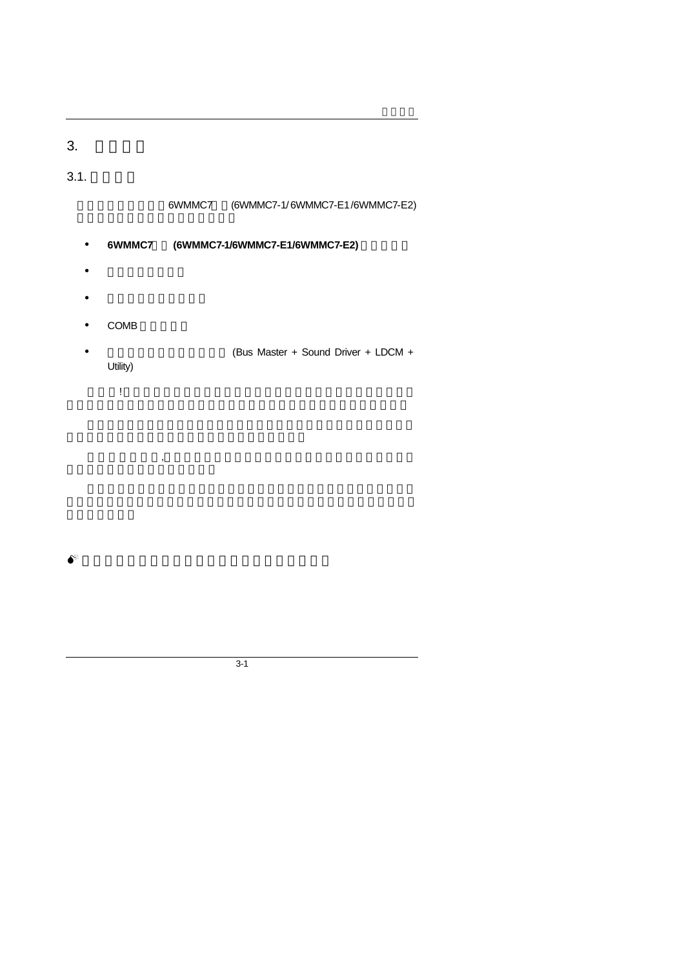# 3. 硬體安裝

# $3.1.$

## 6WMMC7 (6WMMC7-1/ 6WMMC7-E1/ 6WMMC7-E2)

## • 6WMMC7 (6WMMC7-1/6WMMC7-E1/6WMMC7-E2)

- $\bullet$
- 
- $\bullet$  and  $\bullet$  and  $\bullet$  and  $\bullet$
- $\bullet$  COMB
- (Bus Master + Sound Driver + LDCM + Utility)

 $\mathbf{R}$ 

請注意!主機板上有許多敏感的電子元件很容易因為接觸到靜電而損壞,所

3-1

 $\bullet^*$ : we have the set of the set of the set of the set of the set of the set of the set of the set of the set of the set of the set of the set of the set of the set of the set of the set of the set of the set of the set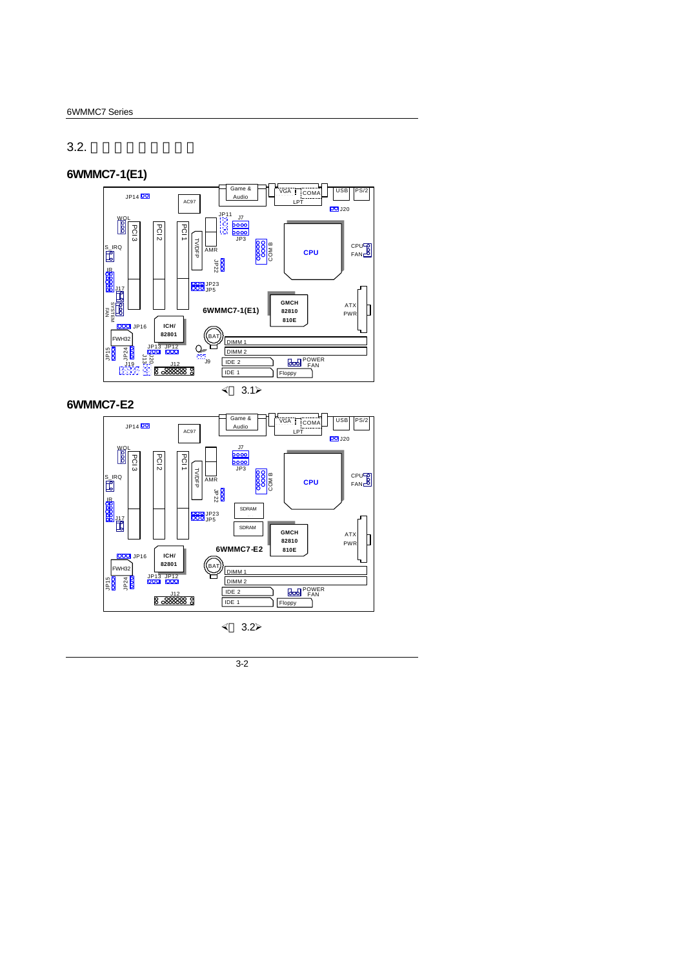# $3.2.$

# **6WMMC7-1(E1)**



**6WMMC7-E2**



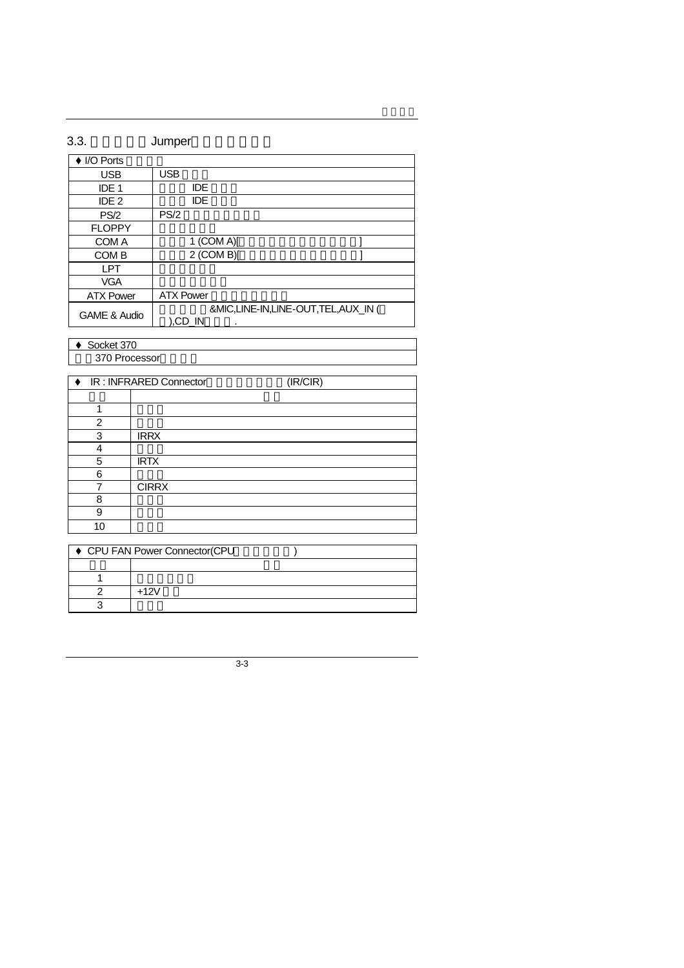| 3.3.                    | Jumper                                             |
|-------------------------|----------------------------------------------------|
| ♦ I/O Ports             |                                                    |
| <b>USB</b>              | <b>USB</b>                                         |
| IDE <sub>1</sub>        | IDE                                                |
| IDE <sub>2</sub>        | <b>IDE</b>                                         |
| PS/2                    | PS/2                                               |
| <b>FLOPPY</b>           |                                                    |
| COM A                   | 1 (COM A)[                                         |
| COM B                   | $2$ (COM B)[                                       |
| LPT                     |                                                    |
| <b>VGA</b>              |                                                    |
| <b>ATX Power</b>        | <b>ATX Power</b>                                   |
| <b>GAME &amp; Audio</b> | &MIC,LINE-IN,LINE-OUT,TEL,AUX_IN (<br>).CD IN<br>٠ |

 $\triangleleft$  Socket 370

370 Processor

|                 | ♦ IR: INFRARED Connector<br>(IR/CIR) |
|-----------------|--------------------------------------|
|                 |                                      |
|                 |                                      |
| 1               |                                      |
| 2               |                                      |
| 3               | <b>IRRX</b>                          |
| 4               |                                      |
| 5               | <b>IRTX</b>                          |
| 6               |                                      |
| 7               | <b>CIRRX</b>                         |
| 8               |                                      |
| 9               |                                      |
| 10 <sup>1</sup> |                                      |

| ♦ CPU FAN Power Connector(CPU |       |  |
|-------------------------------|-------|--|
|                               |       |  |
|                               |       |  |
|                               | ⊥12\/ |  |
|                               |       |  |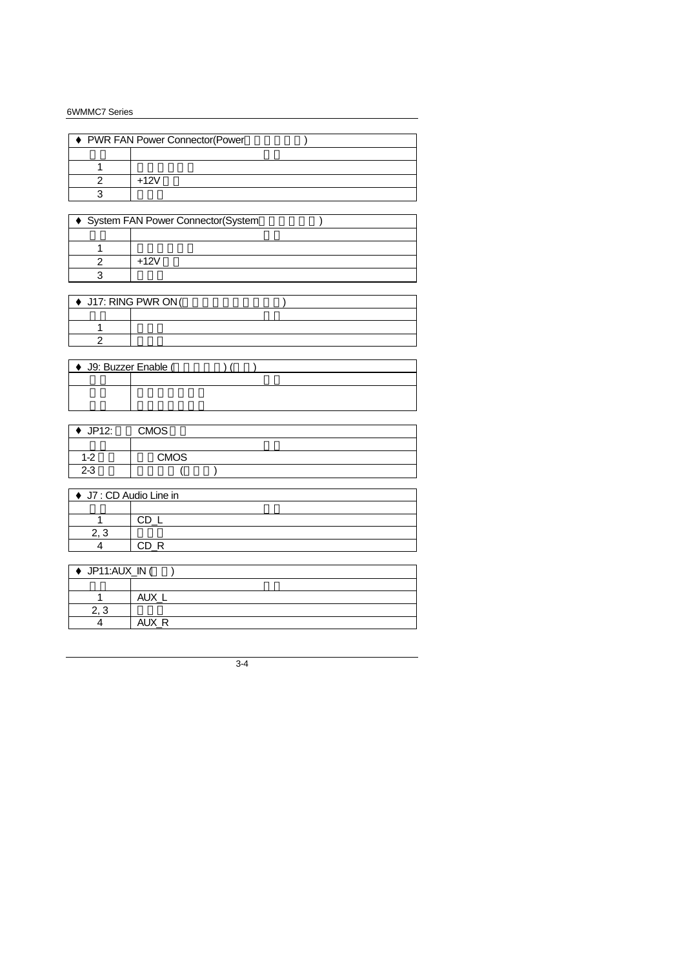| ♦ PWR FAN Power Connector(Power |      |  |  |
|---------------------------------|------|--|--|
|                                 |      |  |  |
|                                 |      |  |  |
|                                 | ⊥12∖ |  |  |
|                                 |      |  |  |

| ♦ System FAN Power Connector(System |      |  |  |
|-------------------------------------|------|--|--|
|                                     |      |  |  |
|                                     |      |  |  |
|                                     | +12\ |  |  |
|                                     |      |  |  |

| $\rightarrow$ J17: RING PWR ON ( |  |  |
|----------------------------------|--|--|
|                                  |  |  |
|                                  |  |  |
|                                  |  |  |

| ♦ J9: Buzzer Enable ( |  |  |  |  |
|-----------------------|--|--|--|--|
|                       |  |  |  |  |
|                       |  |  |  |  |
|                       |  |  |  |  |

| JP12:   | <b>CMOS</b> |  |  |  |
|---------|-------------|--|--|--|
|         |             |  |  |  |
| $1 - 2$ | <b>CMOS</b> |  |  |  |
| $2 - 3$ |             |  |  |  |

| ♦ J7 : CD Audio Line in |  |  |
|-------------------------|--|--|
|                         |  |  |
|                         |  |  |
|                         |  |  |
|                         |  |  |

| ♦ JP11:AUX_IN ( |            |
|-----------------|------------|
|                 |            |
|                 |            |
| ⌒               |            |
|                 | AI IX<br>D |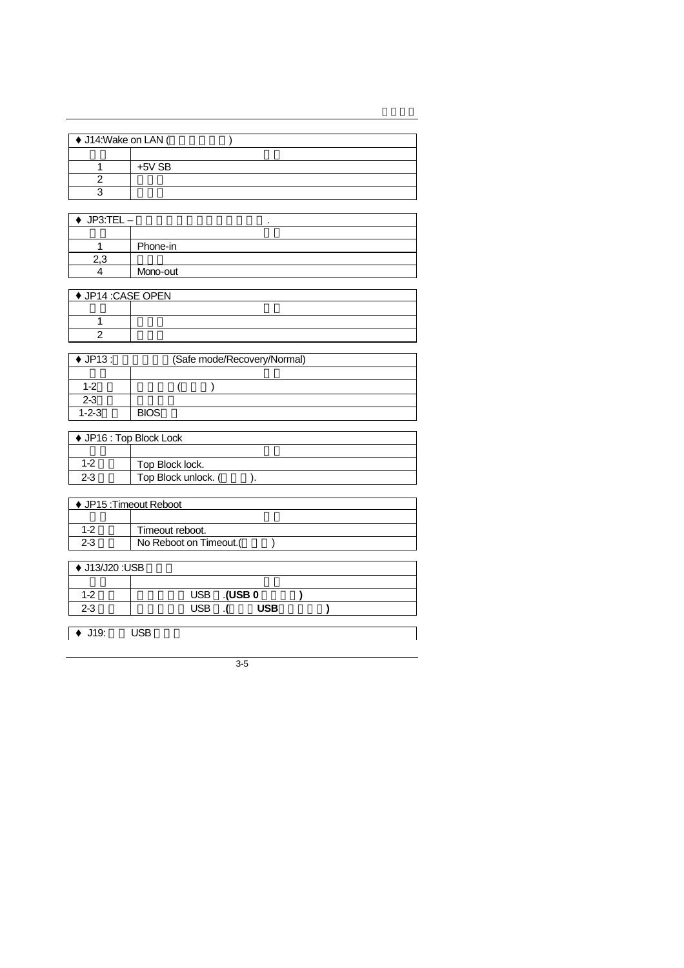| ♦ J14: Wake on LAN ( |          |  |  |
|----------------------|----------|--|--|
|                      |          |  |  |
|                      | $+5V$ SB |  |  |
|                      |          |  |  |
|                      |          |  |  |

| $JP3:TEL -$ | ٠        |
|-------------|----------|
|             |          |
|             | Phone-in |
|             |          |
|             | Mono-out |

| ♦ JP14 :CASE OPEN |  |
|-------------------|--|
|                   |  |
|                   |  |
|                   |  |

| $\blacklozenge$ JP13 : | (Safe mode/Recovery/Normal) |  |
|------------------------|-----------------------------|--|
|                        |                             |  |
| $1 - 2$                |                             |  |
| $2 - 3$                |                             |  |
| $1 - 2 - 3$            | <b>BIOS</b>                 |  |

| $\blacklozenge$ JP16 : Top Block Lock |                     |
|---------------------------------------|---------------------|
|                                       |                     |
| $1 - 2$                               | Top Block lock.     |
| 2-3                                   | Top Block unlock. ( |
|                                       |                     |

| ♦ JP15 : Timeout Reboot |                       |  |  |
|-------------------------|-----------------------|--|--|
|                         |                       |  |  |
| $1 - 2$                 | Timeout reboot.       |  |  |
| $2 - 3$                 | No Reboot on Timeout. |  |  |
|                         |                       |  |  |

| ♦ J13/J20 :USB |                       |      |  |
|----------------|-----------------------|------|--|
|                |                       |      |  |
| $1 - 2$        | $USB$ 0<br><b>USB</b> |      |  |
| $2 - 3$        | ISB                   | 'JSB |  |
|                |                       |      |  |

 $\overline{\bullet}$  J19: USB

3-5

 $\mathsf{l}$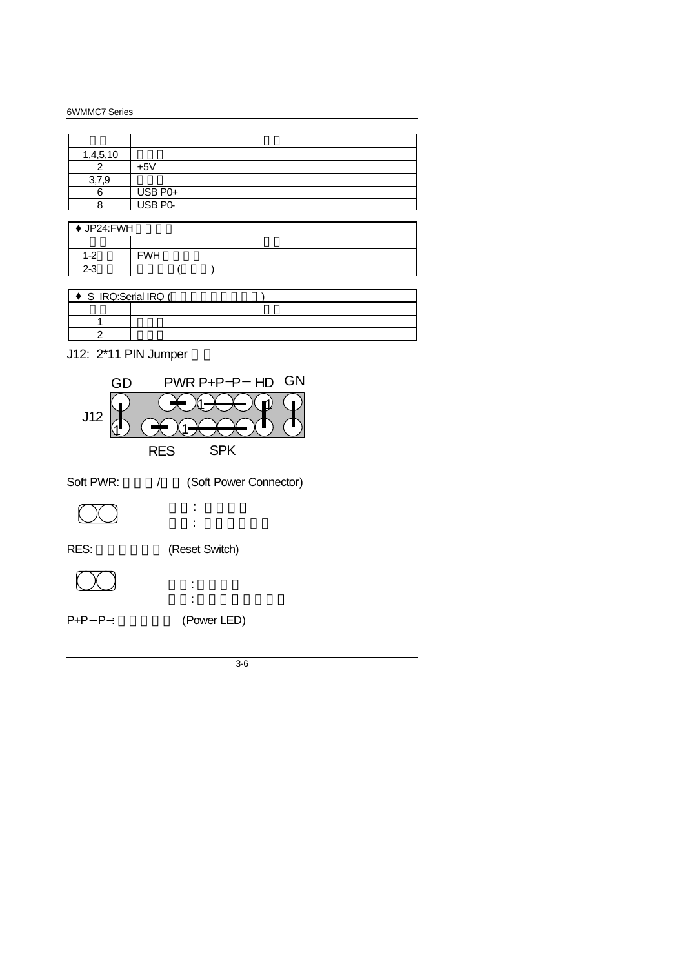| 1,4,5,10 |                   |
|----------|-------------------|
|          | $+5V$             |
| 3,7,9    |                   |
|          | USB P0+           |
|          | USB <sub>P0</sub> |

| ♦ JP24:FWH |            |  |  |  |  |  |
|------------|------------|--|--|--|--|--|
|            |            |  |  |  |  |  |
| $1-2$      | <b>FWH</b> |  |  |  |  |  |
| $2-3$      |            |  |  |  |  |  |

| S_IRQ:Serial IRQ ( |  |
|--------------------|--|
|                    |  |
|                    |  |
|                    |  |

J12: 2\*11 PIN Jumper

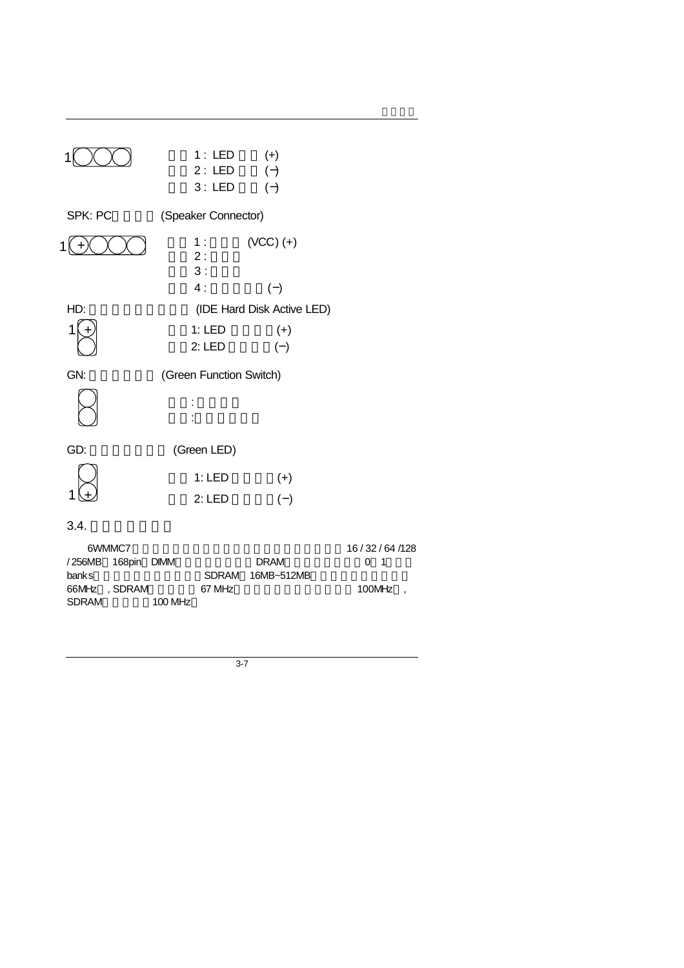| SPK: PC | 1:LED<br>2: LED<br>3:LED<br>(Speaker Connector) | $(+)$<br>$(-)$<br>$(-)$    |
|---------|-------------------------------------------------|----------------------------|
|         |                                                 |                            |
| 1       | 1 :<br>2:<br>3:                                 | $(VCC)$ $(+)$              |
|         | 4:                                              | $(-)$                      |
| HD:     |                                                 | (IDE Hard Disk Active LED) |
|         | 1:LED                                           | $(+)$                      |
|         | 2:LED                                           | $(-)$                      |
| GN:     | (Green Function Switch)                         |                            |
|         |                                                 |                            |
| GD:     | (Green LED)                                     |                            |
|         | 1:LED                                           | $(+)$                      |
|         | 2:LED                                           | $(-)$                      |
| 3.4.    |                                                 |                            |

|                    | 6WMMC7 |             | 16/32/64/128 |
|--------------------|--------|-------------|--------------|
| /256MB 168pin DIMM |        | <b>DRAM</b> | 0 1          |

SDRAM
100 MHz

| 6WMMC7             |                  | 16/32/64/128 |
|--------------------|------------------|--------------|
| /256MB 168pin DIMM | <b>DRAM</b>      | O 1          |
| banks              | SDRAM 16MB~512MB |              |
| 66MHz.SDRAM        | 67 MHz           | 100 $MHz$ ,  |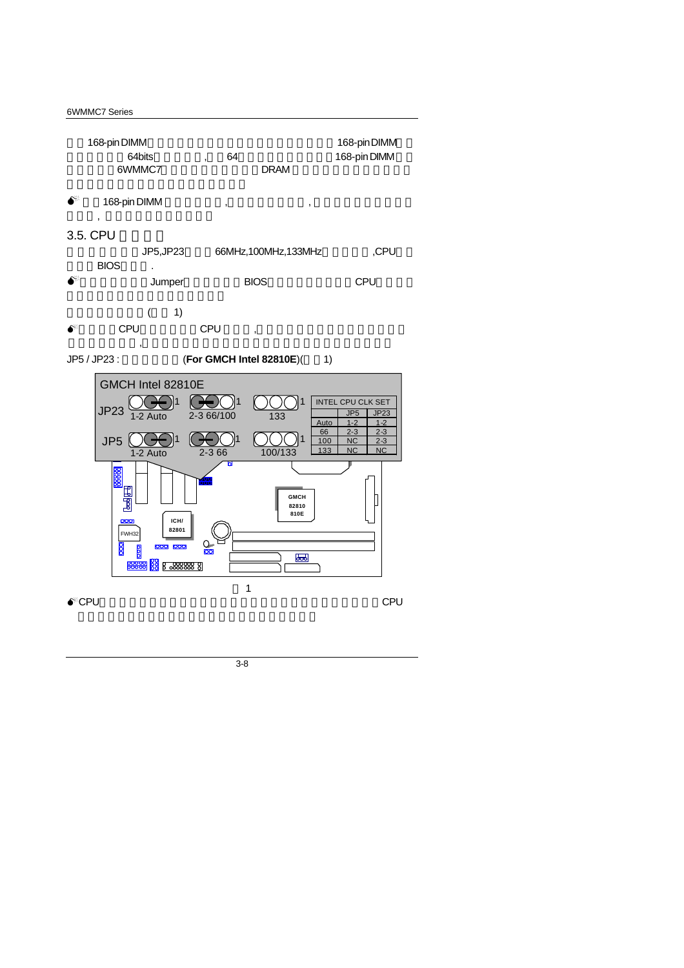| 168-pin DIMM |    |             | 168-pin DIMM |
|--------------|----|-------------|--------------|
| 64bits       | 64 |             | 168-pin DIMM |
| 6WMMC7       |    | <b>DRAM</b> |              |

M 安裝168-pin DIMM 模組記憶體時,請垂直插入插槽中, 方向錯誤會造成無法完

## $3.5.$  CPU

- JP5,JP23 66MHz,100MHz,133MHz ,CPU BIOS .
- $\bullet^*$  Jumper BIOS CPU
- $($  1)

 $\overline{a}$ ,  $\overline{a}$ 

 $\bullet^*$  CPU CPU ,

#### $\overline{a}$ JP5 / JP23 :  $(For GMCH Intel 82810E)(1)$

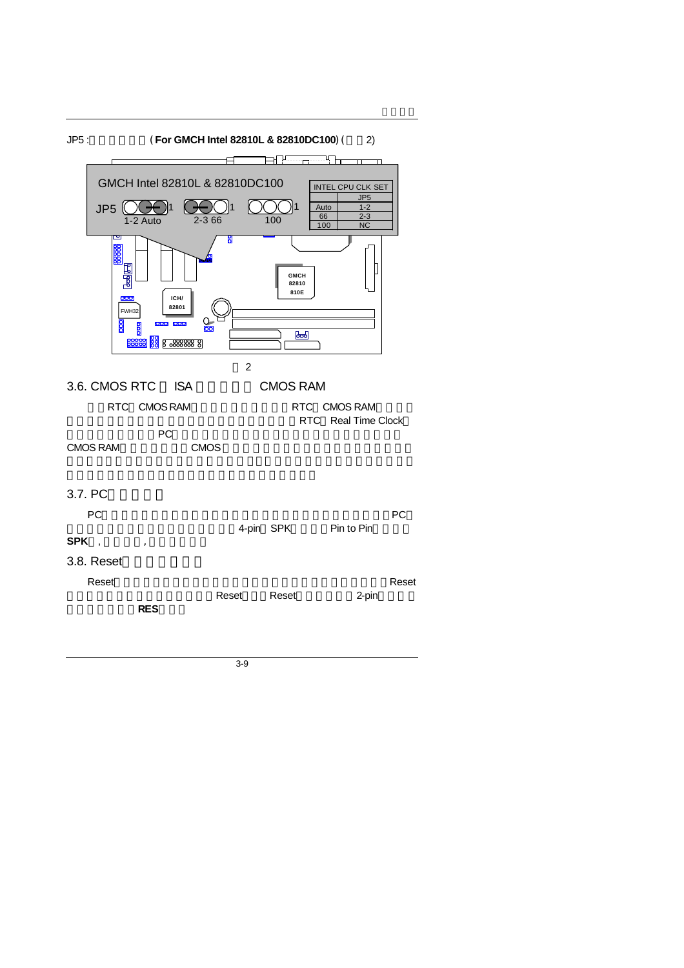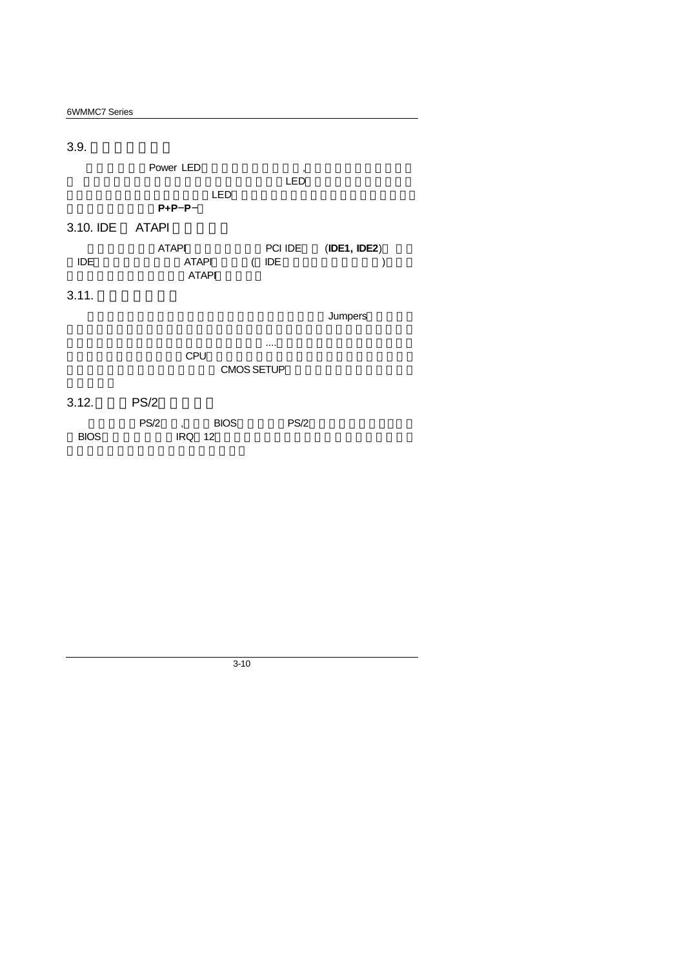| 6WMMC7 Series |                              |                   |              |
|---------------|------------------------------|-------------------|--------------|
|               |                              |                   |              |
| 3.9.          |                              |                   |              |
|               | Power LED                    | ,                 |              |
|               |                              | LED               |              |
|               | LED                          |                   |              |
|               | $P + P - P -$                |                   |              |
| 3.10. IDE     | ATAPI                        |                   |              |
|               | <b>ATAPI</b>                 | PCI IDE           | (IDE1, IDE2) |
| <b>IDE</b>    | <b>ATAPI</b><br><b>ATAPI</b> | IDE<br>$\left($   |              |
| 3.11.         |                              |                   |              |
|               |                              |                   | Jumpers      |
|               |                              |                   |              |
|               | CPU                          |                   |              |
|               |                              | <b>CMOS SETUP</b> |              |

 $\overline{\phantom{0}}$ 

| 3.12.       | <b>PS/2</b> |               |             |      |  |
|-------------|-------------|---------------|-------------|------|--|
|             |             |               | PS/2 , BIOS | PS/2 |  |
| <b>BIOS</b> |             | <b>IRQ 12</b> |             |      |  |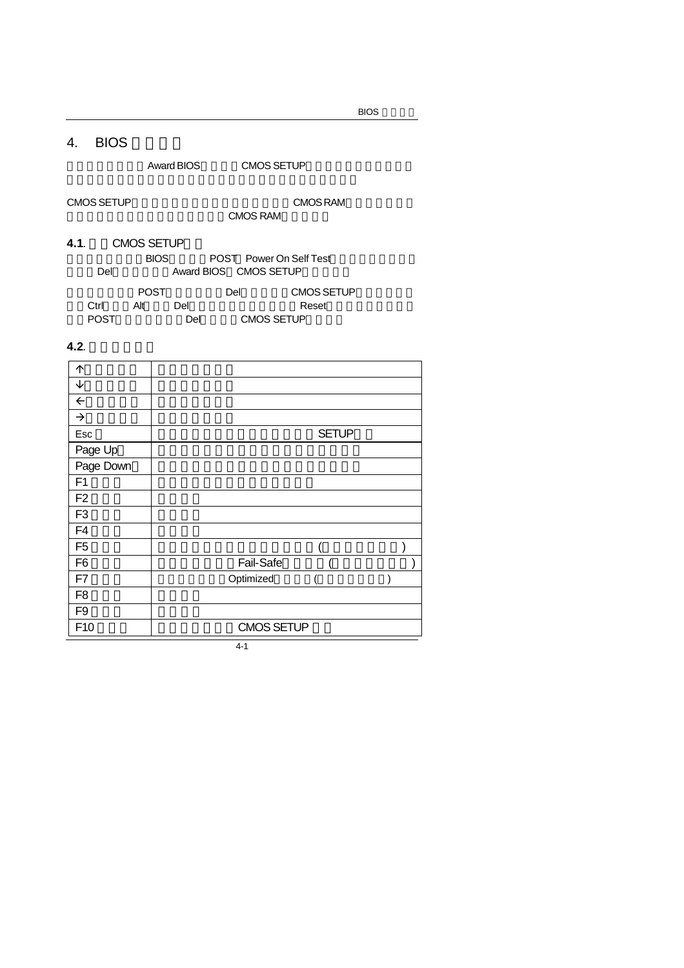## 4. BIOS

Award BIOS CMOS SETUP

CMOS SETUP
and CMOS RAM CMOS RAM

- **4.1.** CMOS SETUP **BIOS** POST Power On Self Test Del **Award BIOS** CMOS SETUP
	- POST Del CMOS SETUP  $Ctrl$  Alt Del Reset 次進POST程序,再按下<Del>鍵進入CMOS SETUP程式中。

## **4.2**. 操作按鍵說明

| 个              |                   |  |
|----------------|-------------------|--|
| ↓              |                   |  |
| $\leftarrow$   |                   |  |
| $\rightarrow$  |                   |  |
| Esc            | <b>SETUP</b>      |  |
| Page Up        |                   |  |
| Page Down      |                   |  |
| F <sub>1</sub> |                   |  |
| F <sub>2</sub> |                   |  |
| F <sub>3</sub> |                   |  |
| F <sub>4</sub> |                   |  |
| F <sub>5</sub> |                   |  |
| F <sub>6</sub> | Fail-Safe         |  |
| F7             | Optimized         |  |
| F <sub>8</sub> |                   |  |
| F <sub>9</sub> |                   |  |
| F10            | <b>CMOS SETUP</b> |  |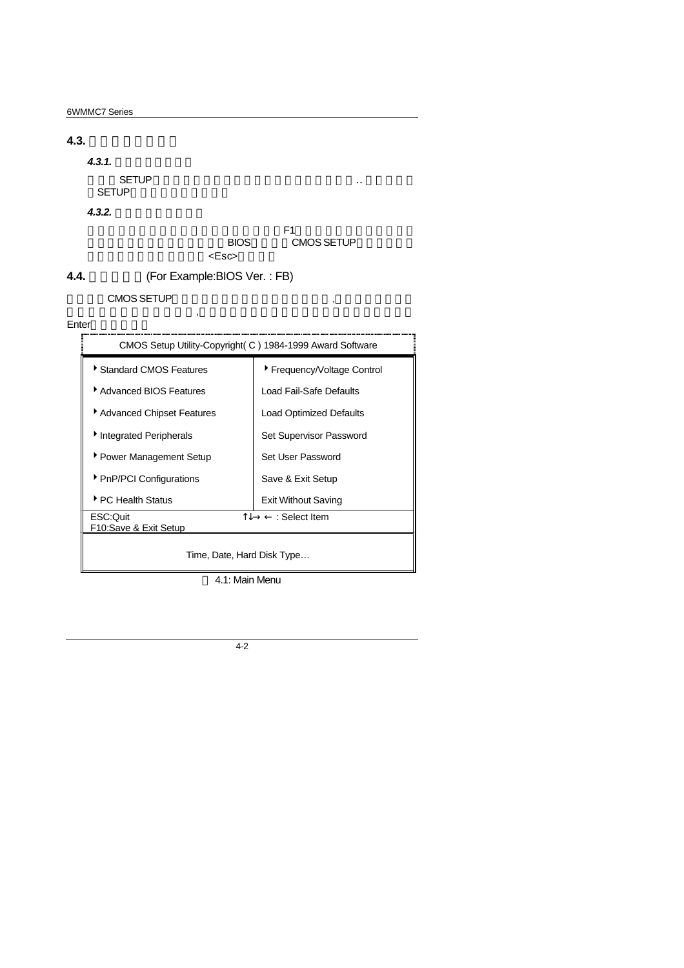**4.3.** 如何使用輔助說明  $4.3.1.$ **SETUP** SETUP *4.3.2.* 設定畫面的輔助說明  $F1$ , experimentally defined by  $F1$ BIOS CMOS SETUP kesc> **4.4.** 主畫面功能(For Example:BIOS Ver. : FB)

#### CMOS SETUP

# $\mathcal{C}$



4.1: Main Menu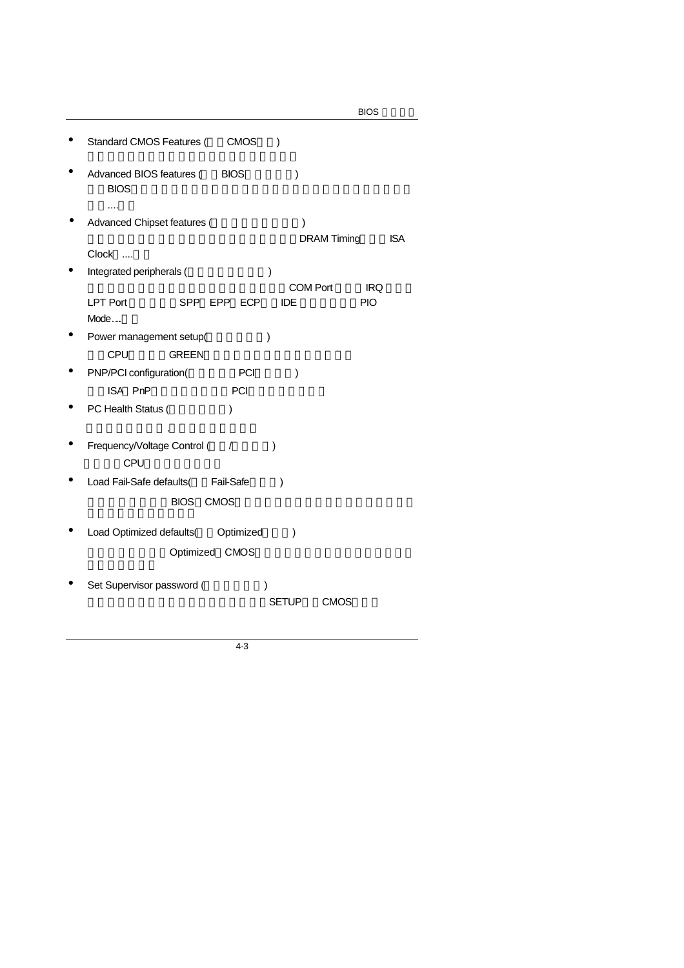|                                                                         | <b>BIOS</b> |
|-------------------------------------------------------------------------|-------------|
| Standard CMOS Features (<br><b>CMOS</b><br>$\mathcal{E}$                |             |
| Advanced BIOS features (<br><b>BIOS</b><br>$\mathcal{E}$<br><b>BIOS</b> |             |
|                                                                         |             |
| Advanced Chipset features (<br>∖                                        |             |
| <b>DRAM Timing</b>                                                      | <b>ISA</b>  |
| Clock                                                                   |             |
| Integrated peripherals (<br>)                                           |             |
| <b>COM Port</b><br><b>IDE</b>                                           | <b>IRQ</b>  |
| <b>LPT Port</b><br>SPP EPP ECP<br>Mode                                  | <b>PIO</b>  |
|                                                                         |             |
| Power management setup(<br>$\mathcal{E}$                                |             |
| CPU<br><b>GREEN</b>                                                     |             |
| PNP/PCI configuration(<br>PCI<br>$\lambda$                              |             |
| ISA PnP<br>PCI                                                          |             |
| PC Health Status (<br>$\lambda$                                         |             |
|                                                                         |             |
| Frequency/Voltage Control (<br>$\prime$<br>$\mathcal{E}$<br><b>CPU</b>  |             |
| Fail-Safe<br>Load Fail-Safe defaults(<br>$\lambda$                      |             |
|                                                                         |             |
| <b>BIOS</b><br><b>CMOS</b>                                              |             |
| Load Optimized defaults( Optimized<br>$\mathcal{E}$                     |             |
|                                                                         |             |
| Optimized CMOS                                                          |             |
|                                                                         |             |
| Set Supervisor password (                                               |             |
| <b>SETUP</b><br><b>CMOS</b>                                             |             |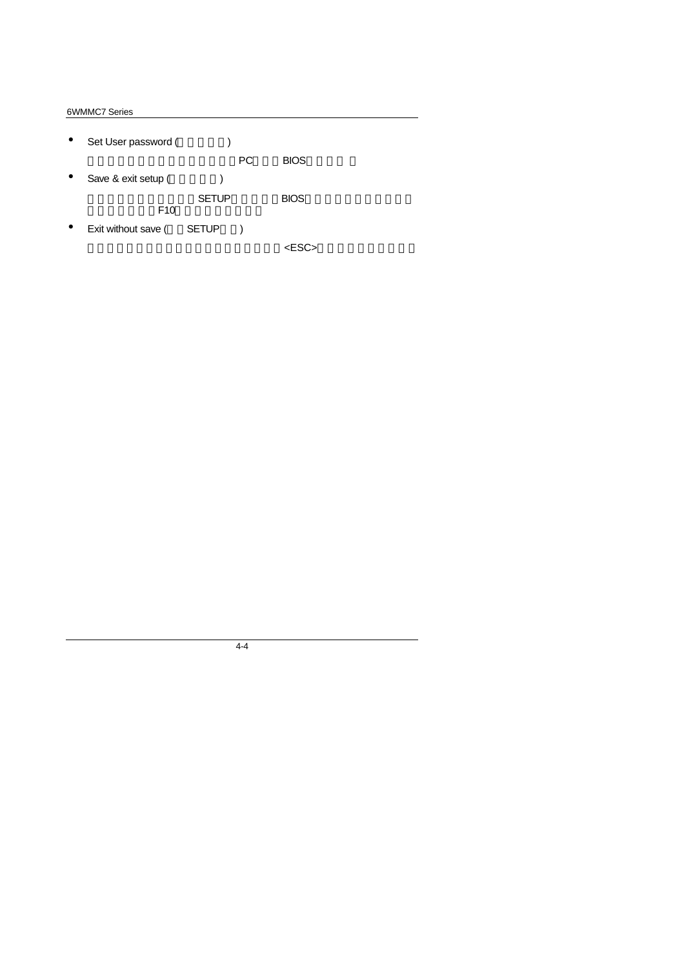- Set User password (etc.) PC BIOS • Save & exit setup (  $\qquad \qquad$ ) SETUP BIOS F<sub>10</sub>
- Exit without save (SETUP)

 $<$ ESC $>$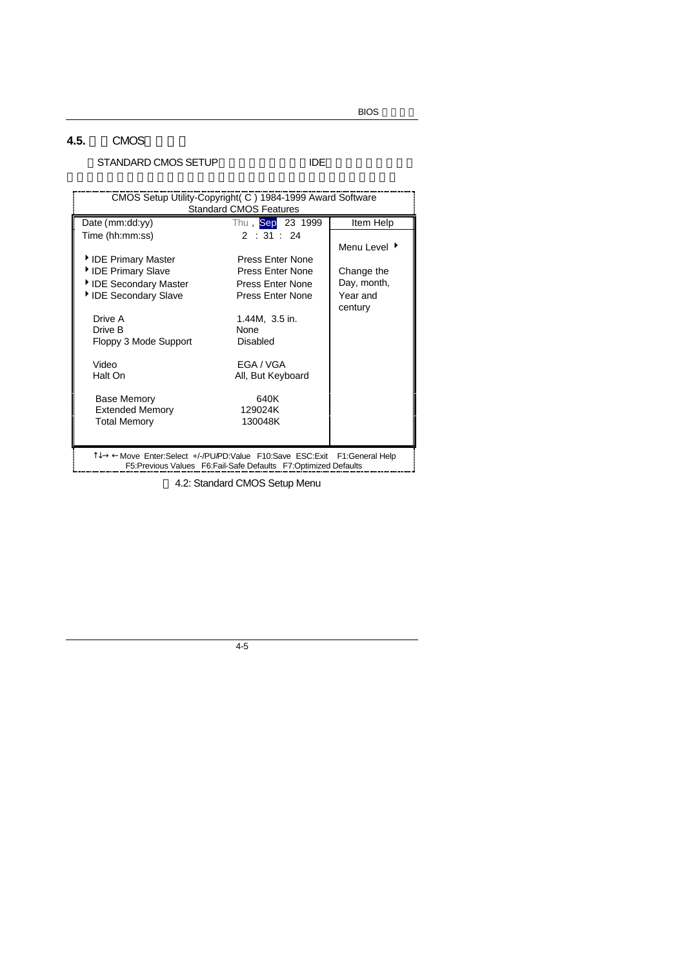## **4.5. CMOS**

## STANDARD CMOS SETUP TIDE

| CMOS Setup Utility-Copyright (C) 1984-1999 Award Software                                                                                 |                               |              |  |  |
|-------------------------------------------------------------------------------------------------------------------------------------------|-------------------------------|--------------|--|--|
|                                                                                                                                           | <b>Standard CMOS Features</b> |              |  |  |
| Date (mm:dd:yy)                                                                                                                           | Thu, Sep 23 1999              | Item Help    |  |  |
| Time (hh:mm:ss)                                                                                                                           | 2:31:24                       |              |  |  |
|                                                                                                                                           |                               | Menu Level ▶ |  |  |
| ▶ IDE Primary Master                                                                                                                      | Press Enter None              |              |  |  |
| ▶ IDE Primary Slave                                                                                                                       | Press Enter None              | Change the   |  |  |
| ▶ IDE Secondary Master                                                                                                                    | <b>Press Enter None</b>       | Day, month,  |  |  |
| IDE Secondary Slave                                                                                                                       | Press Enter None              | Year and     |  |  |
|                                                                                                                                           |                               | century      |  |  |
| Drive A                                                                                                                                   | 1.44M, 3.5 in.                |              |  |  |
| Drive B                                                                                                                                   | None                          |              |  |  |
| Floppy 3 Mode Support                                                                                                                     | Disabled                      |              |  |  |
| Video                                                                                                                                     | FGA / VGA                     |              |  |  |
| Halt On                                                                                                                                   | All, But Keyboard             |              |  |  |
|                                                                                                                                           |                               |              |  |  |
| <b>Base Memory</b>                                                                                                                        | 640K                          |              |  |  |
| <b>Extended Memory</b>                                                                                                                    | 129024K                       |              |  |  |
| <b>Total Memory</b>                                                                                                                       | 130048K                       |              |  |  |
|                                                                                                                                           |                               |              |  |  |
|                                                                                                                                           |                               |              |  |  |
| T↓→←Move Enter:Select +/-/PU/PD:Value F10:Save ESC:Exit F1:General Help<br>F5:Previous Values F6:Fail-Safe Defaults F7:Optimized Defaults |                               |              |  |  |

4.2: Standard CMOS Setup Menu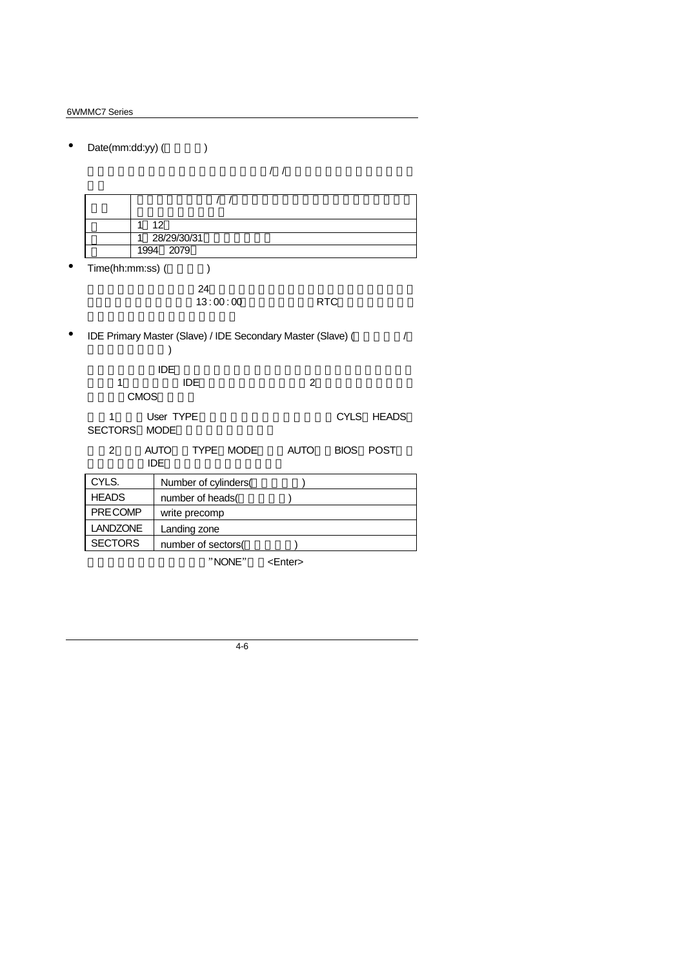| Date(mm:dd:yy) (    | $\lambda$                                                        |                  |                     |
|---------------------|------------------------------------------------------------------|------------------|---------------------|
|                     |                                                                  | $\left  \right $ |                     |
|                     | $\prime$<br>$\prime$                                             |                  |                     |
| 1                   | 12                                                               |                  |                     |
| 1                   | 28/29/30/31                                                      |                  |                     |
| 1994                | 2079                                                             |                  |                     |
| Time(hh:mm:ss) (    | $\mathcal{E}$                                                    |                  |                     |
|                     | 24                                                               |                  |                     |
|                     | 13:00:00                                                         |                  | <b>RTC</b>          |
|                     | IDE Primary Master (Slave) / IDE Secondary Master (Slave) (<br>) |                  |                     |
|                     | <b>IDE</b>                                                       |                  |                     |
| 1                   | <b>IDE</b>                                                       | $\overline{2}$   |                     |
| <b>CMOS</b>         |                                                                  |                  |                     |
| 1<br><b>SECTORS</b> | User TYPE<br><b>MODE</b>                                         |                  | CYLS HEADS          |
| $\overline{2}$      | TYPE MODE<br><b>AUTO</b><br><b>IDE</b>                           | <b>AUTO</b>      | <b>BIOS</b><br>POST |
| CYLS.               | Number of cylinders(                                             |                  |                     |
| <b>HEADS</b>        | number of heads(                                                 |                  |                     |
| PRE COMP            | write precomp                                                    |                  |                     |
| <b>LANDZONE</b>     | Landing zone                                                     |                  |                     |
| <b>SECTORS</b>      | number of sectors(                                               |                  |                     |
|                     | "NONE"                                                           | <enter></enter>  |                     |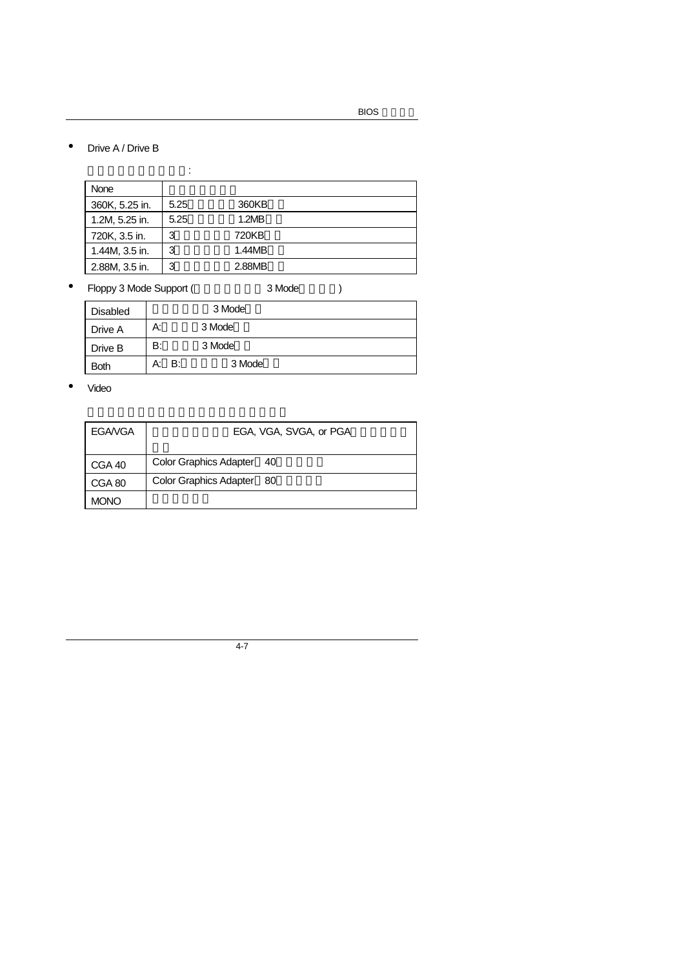• Drive A / Drive B

|                | ٠    |        |  |
|----------------|------|--------|--|
| None           |      |        |  |
| 360K, 5.25 in. | 5.25 | 360KB  |  |
| 1.2M, 5.25 in. | 5.25 | 1.2MB  |  |
| 720K, 3.5 in.  | 3    | 720KB  |  |
| 1.44M, 3.5 in. | 3    | 1.44MB |  |
| 2.88M, 3.5 in. | 3    | 2.88MB |  |

• Floppy 3 Mode Support (3 Mode  $\overline{a}$ )

Disabled 3 Mode Drive A A: 3 Mode Drive B B: 3 Mode Both A: B: 3 Mode

• Video

| <b>EGAVGA</b> | EGA, VGA, SVGA, or PGA              |  |  |
|---------------|-------------------------------------|--|--|
| CGA 40        | <b>Color Graphics Adapter</b><br>40 |  |  |
| CGA 80        | <b>Color Graphics Adapter</b><br>80 |  |  |
| <b>MONO</b>   |                                     |  |  |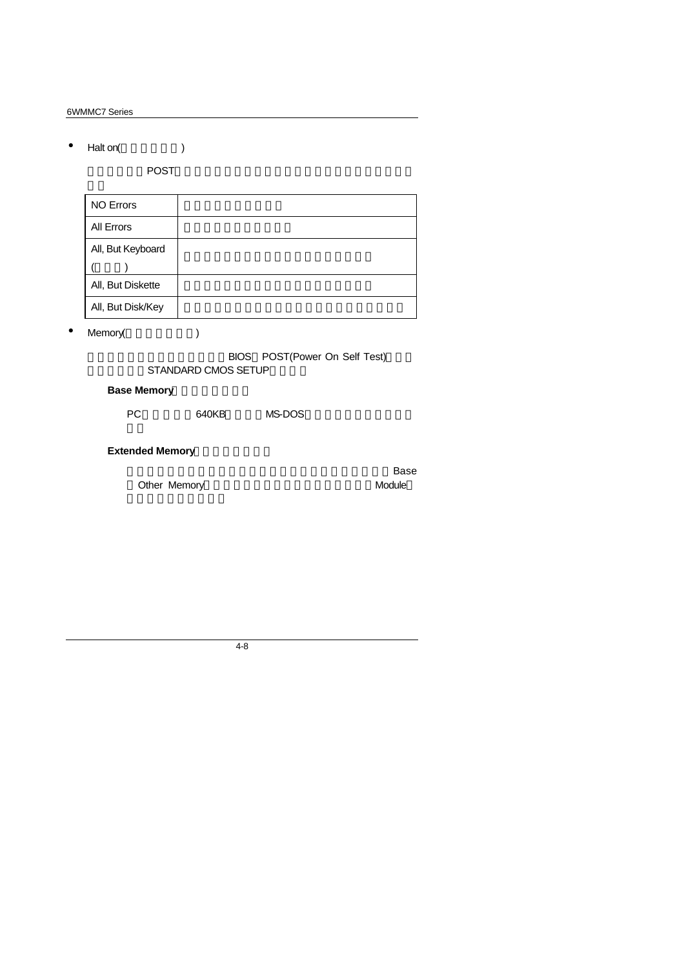• Halt on( $\qquad$ )

當開機時,若POST偵測到異常,是否要提示,並等候處理?可選擇的項目

| <b>NO Errors</b>  |  |
|-------------------|--|
| All Errors        |  |
| All, But Keyboard |  |
|                   |  |
| All, But Diskette |  |
| All, But Disk/Key |  |

• Memory(
)

BIOS POST(Power On Self Test) STANDARD CMOS SETUP

## **Base Memory**

PC 640KB MS-DOS

**Extended Memory** 

Other Memory **and a struck of the Module** 

可做為延伸記憶體的容量有多少,一般是總安裝容量扣除掉Base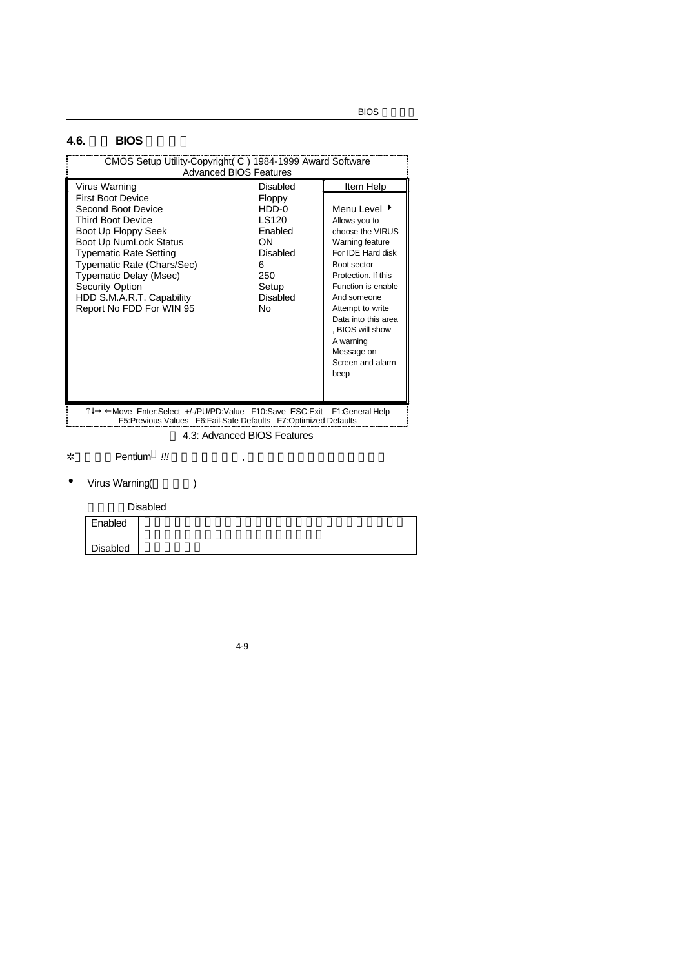# **4.6.** 進階 **BIOS** 功能設定

| CMOS Setup Utility-Copyright (C) 1984-1999 Award Software<br><b>Advanced BIOS Features</b>                                                                                                                                                                                                                               |                                                                                                                   |                                                                                                                                                                                                                                                                                                 |  |  |  |
|--------------------------------------------------------------------------------------------------------------------------------------------------------------------------------------------------------------------------------------------------------------------------------------------------------------------------|-------------------------------------------------------------------------------------------------------------------|-------------------------------------------------------------------------------------------------------------------------------------------------------------------------------------------------------------------------------------------------------------------------------------------------|--|--|--|
| Virus Warning<br><b>First Boot Device</b><br>Second Boot Device<br><b>Third Boot Device</b><br>Boot Up Floppy Seek<br>Boot Up NumLock Status<br><b>Typematic Rate Setting</b><br>Typematic Rate (Chars/Sec)<br>Typematic Delay (Msec)<br><b>Security Option</b><br>HDD S.M.A.R.T. Capability<br>Report No FDD For WIN 95 | Disabled<br>Floppy<br>$HDD-0$<br>LS120<br><b>Fnabled</b><br>ON<br>Disabled<br>6<br>250<br>Setup<br>Disabled<br>Nο | Item Help<br>Menu Level ▶<br>Allows you to<br>choose the VIRUS<br>Warning feature<br>For IDF Hard disk<br>Boot sector<br>Protection. If this<br>Function is enable<br>And someone<br>Attempt to write<br>Data into this area<br>. BIOS will show<br>A warning<br>Message on<br>Screen and alarm |  |  |  |
|                                                                                                                                                                                                                                                                                                                          |                                                                                                                   | beep                                                                                                                                                                                                                                                                                            |  |  |  |
| 1↓→ ←Move Enter:Select +/-/PU/PD:Value F10:Save ESC:Exit F1:General Help<br>F5:Previous Values F6:Fail-Safe Defaults F7:Optimized Defaults                                                                                                                                                                               |                                                                                                                   |                                                                                                                                                                                                                                                                                                 |  |  |  |
| 4.3: Advanced BIOS Features                                                                                                                                                                                                                                                                                              |                                                                                                                   |                                                                                                                                                                                                                                                                                                 |  |  |  |

**∗** Pentium<sup>®</sup> !!! ↓ 、

• Virus Warning()

Disabled

| Enabled  |  |
|----------|--|
| Disabled |  |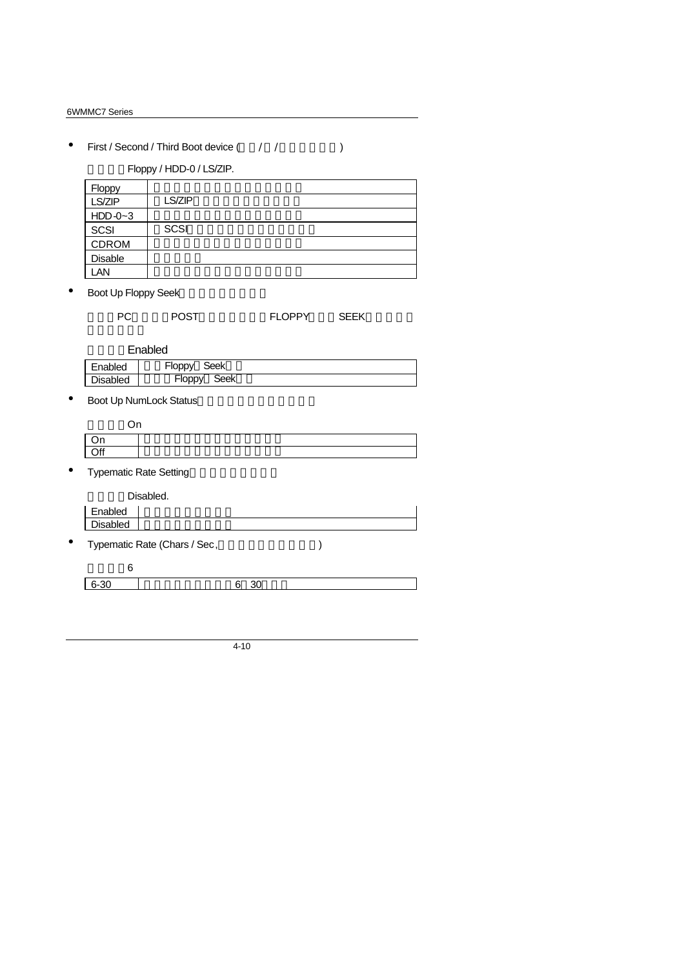• First / Second / Third Boot device ( $\qquad$  / / $\qquad$ 

Floppy / HDD-0 / LS/ZIP.

| Floppy    |             |
|-----------|-------------|
| LS/ZIP    | LS/ZIP      |
| $HDD-0-3$ |             |
| SCSI      | <b>SCSI</b> |
| CDROM     |             |
| Disable   |             |
| LAN       |             |

• Boot Up Floppy Seek

| <b>POST</b><br>РC | <b>FLOPPY</b> | <b>SEEK</b> |
|-------------------|---------------|-------------|
|-------------------|---------------|-------------|

**Enabled** 

| Enabled         | Seek<br>-loppy |  |
|-----------------|----------------|--|
| <b>Disabled</b> | Seek<br>⊦loppy |  |

• Boot Up NumLock Status

| $\cdot$ |  |  |
|---------|--|--|
| $\cap$  |  |  |

• Typematic Rate Setting

|           |                 | Disabled.                    |  |
|-----------|-----------------|------------------------------|--|
|           | Enabled         |                              |  |
|           | <b>Disabled</b> |                              |  |
| $\bullet$ |                 | Typematic Rate (Chars / Sec, |  |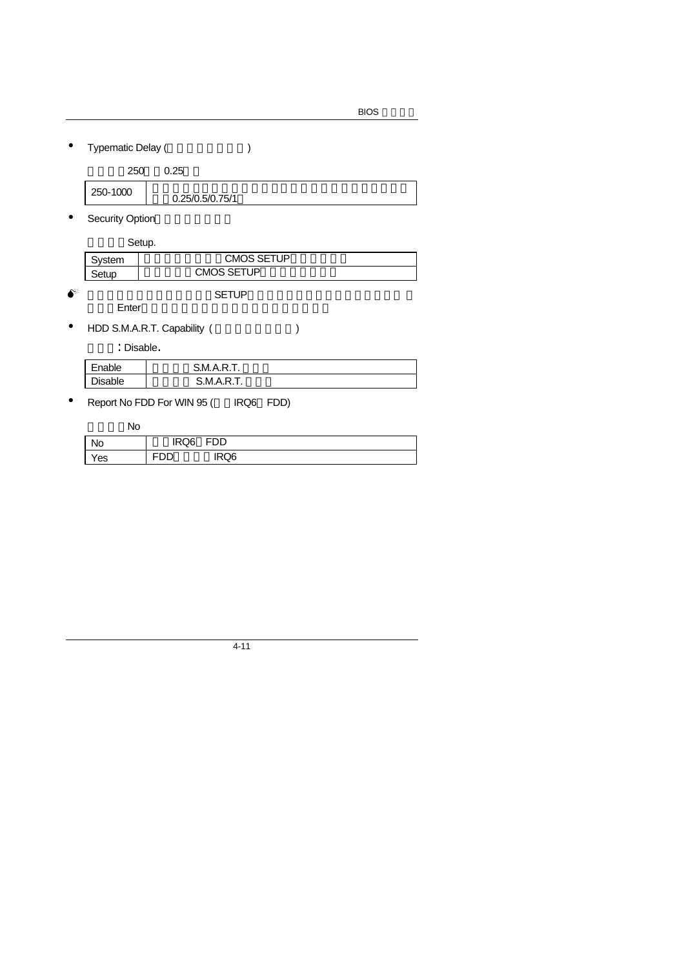• Typematic Delay ()

| 250-1000<br>0.25/0.5/0.75/1 |
|-----------------------------|
|-----------------------------|

• Security Option

Setup.

| ⁄stem | CMOS SETUP |
|-------|------------|
| Setup | CMOS SETUP |

 $\bullet^*$  and  $\bullet^*$  setup of  $\bullet$ Enter

• HDD S.M.A.R.T. Capability (
)

: Disable.

| Enable         | <b>S.M.A.R.T.</b> |
|----------------|-------------------|
| <b>Disable</b> | S.M.A.R.          |

• Report No FDD For WIN 95 ( IRQ6 FDD)

預設值:No

| No            | IRQ6 | FDD<br>⊢⊥ |  |
|---------------|------|-----------|--|
| $v_{\rm e s}$ |      | IRQ6      |  |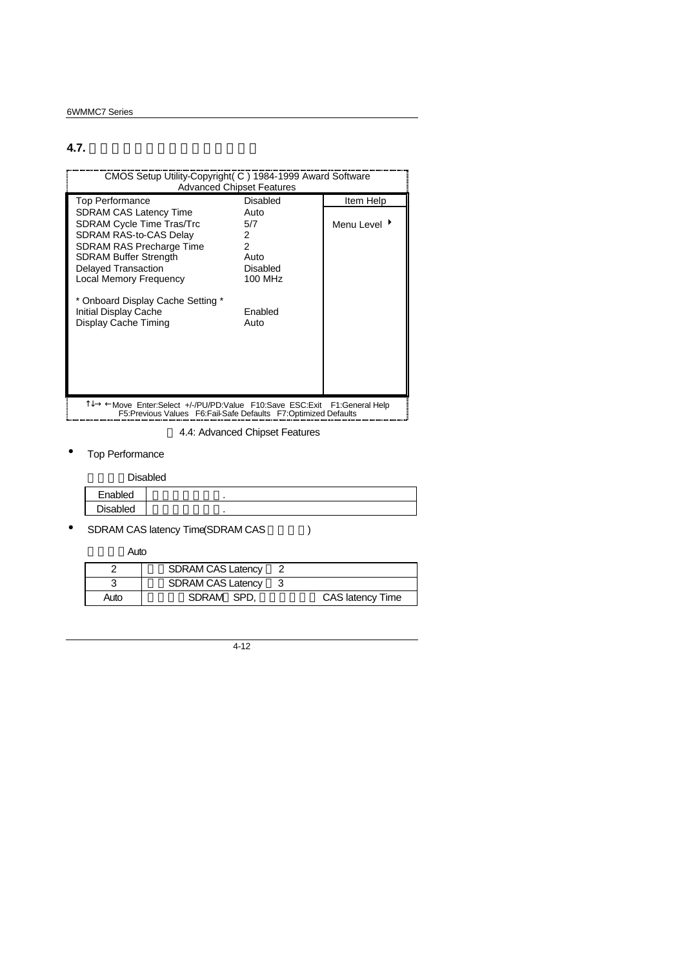## **4.7.** 進階主機板晶片組的進階功能設定

| CMOS Setup Utility-Copyright (C) 1984-1999 Award Software<br><b>Advanced Chipset Features</b>                                                                                                                                                                                                                |                                                                         |                          |
|--------------------------------------------------------------------------------------------------------------------------------------------------------------------------------------------------------------------------------------------------------------------------------------------------------------|-------------------------------------------------------------------------|--------------------------|
| <b>Top Performance</b>                                                                                                                                                                                                                                                                                       | Disabled                                                                | Item Help                |
| <b>SDRAM CAS Latency Time</b><br><b>SDRAM Cycle Time Tras/Trc</b><br>SDRAM RAS-to-CAS Delay<br><b>SDRAM RAS Precharge Time</b><br><b>SDRAM Buffer Strength</b><br>Delayed Transaction<br><b>Local Memory Frequency</b><br>* Onboard Display Cache Setting *<br>Initial Display Cache<br>Display Cache Timing | Auto<br>5/7<br>2<br>2<br>Auto<br>Disabled<br>100 MHz<br>Enabled<br>Auto | Menu Level $\rightarrow$ |
| T↓→ ←Move Enter:Select +/-/PU/PD:Value F10:Save ESC:Exit F1:General Help<br>F5: Previous Values F6: Fail-Safe Defaults F7: Optimized Defaults                                                                                                                                                                |                                                                         |                          |

4.4: Advanced Chipset Features

• Top Performance

|                 | Disabled |
|-----------------|----------|
| Enabled         |          |
| <b>Disabled</b> |          |

• SDRAM CAS latency Time(SDRAM CAS  $( )$ 

預設值:Auto

|      | <b>SDRAM CAS Latency</b> |                  |
|------|--------------------------|------------------|
|      | <b>SDRAM CAS Latency</b> |                  |
| Auto | SDRAM SPD.               | CAS latency Time |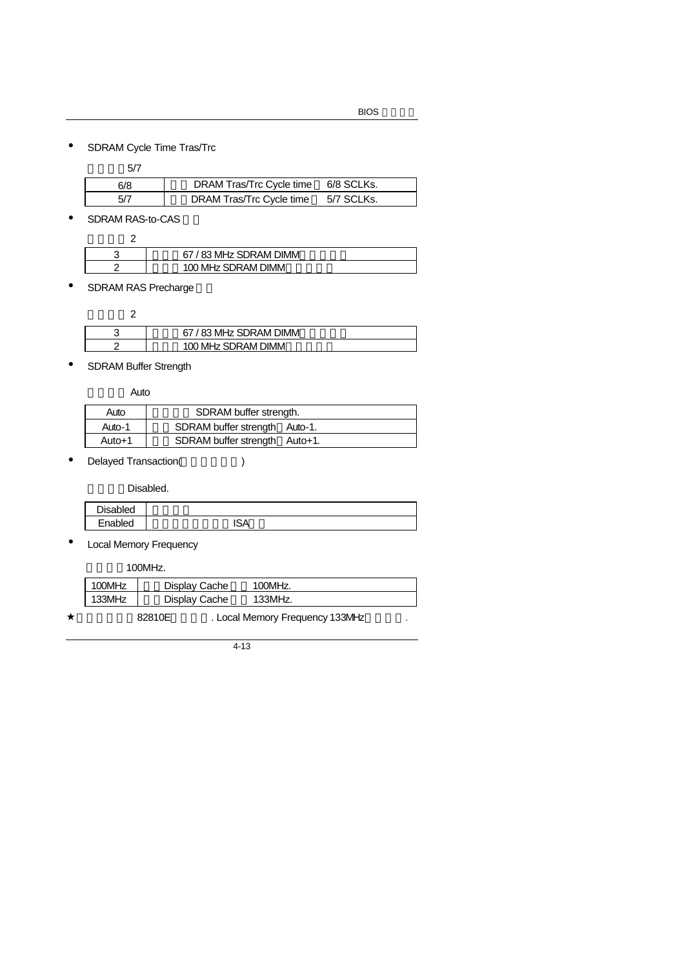• SDRAM Cycle Time Tras/Trc

| 5/7 |                          |            |
|-----|--------------------------|------------|
| 6/8 | DRAM Tras/Trc Cycle time | 6/8 SCLKs. |
| 5/7 | DRAM Tras/Trc Cycle time | 5/7 SCLKs. |

• SDRAM RAS-to-CAS

| ◠ | 67 / 83 MHz SDRAM DIMM |
|---|------------------------|
|   | 100 MHz SDRAM DIMM     |

• SDRAM RAS Precharge

| 67 / 83 MHz SDRAM DIMM |
|------------------------|
| 100 MHz SDRAM DIMM     |

• SDRAM Buffer Strength

Auto

| Auto   | SDRAM buffer strength.        |  |
|--------|-------------------------------|--|
| Auto-1 | SDRAM buffer strength Auto-1. |  |
| Auto+1 | SDRAM buffer strength Auto+1. |  |

• Delayed Transaction(
)

Disabled.

| <b>Disabled</b> |        |
|-----------------|--------|
| Enabled         | $\sim$ |
|                 |        |

• Local Memory Frequency

預設值:100MHz.

| 100MHz | Display Cache | 100MHz. |  |
|--------|---------------|---------|--|
| 133MHz | Display Cache | 133MHz. |  |
|        |               |         |  |

82810E . Local Memory Frequency 133MHz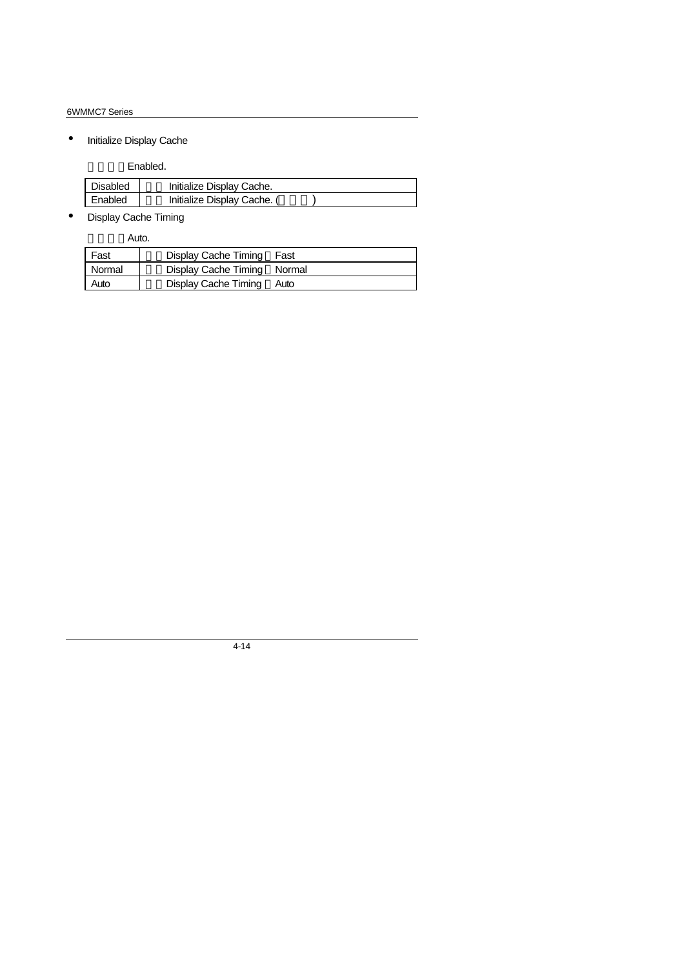• Initialize Display Cache

Enabled.

| <b>Disabled</b> | Initialize Display Cache.   |  |
|-----------------|-----------------------------|--|
| Enabled         | Initialize Display Cache. ( |  |

• Display Cache Timing

Auto.

| Fast     | Display Cache Timing        | Fast |
|----------|-----------------------------|------|
| l Normal | Display Cache Timing Normal |      |
| Auto     | Display Cache Timing        | Auto |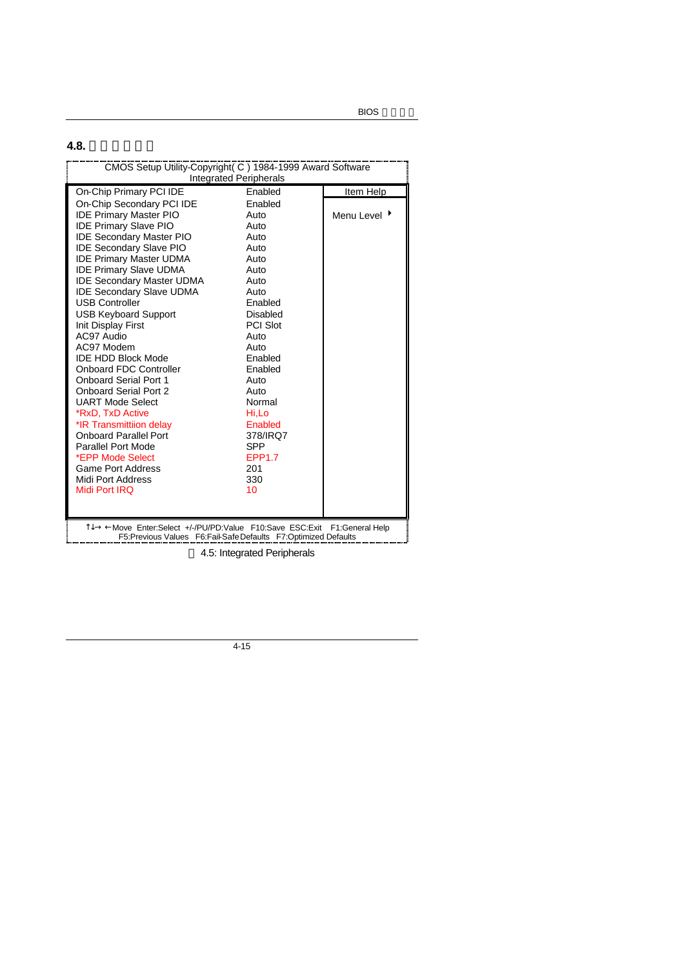**4.8.** 整合週邊設定

| CMOS Setup Utility-Copyright( C) 1984-1999 Award Software<br><b>Integrated Peripherals</b>                                                |                 |                          |  |
|-------------------------------------------------------------------------------------------------------------------------------------------|-----------------|--------------------------|--|
| On-Chip Primary PCI IDE                                                                                                                   | Enabled         | Item Help                |  |
| On-Chip Secondary PCI IDE                                                                                                                 | Enabled         |                          |  |
| <b>IDE Primary Master PIO</b>                                                                                                             | Auto            | Menu Level $\rightarrow$ |  |
| <b>IDE Primary Slave PIO</b>                                                                                                              | Auto            |                          |  |
| <b>IDE Secondary Master PIO</b>                                                                                                           | Auto            |                          |  |
| <b>IDE Secondary Slave PIO</b>                                                                                                            | Auto            |                          |  |
| <b>IDE Primary Master UDMA</b>                                                                                                            | Auto            |                          |  |
| <b>IDE Primary Slave UDMA</b>                                                                                                             | Auto            |                          |  |
| <b>IDE Secondary Master UDMA</b>                                                                                                          | Auto            |                          |  |
| <b>IDE Secondary Slave UDMA</b>                                                                                                           | Auto            |                          |  |
| <b>USB Controller</b>                                                                                                                     | Enabled         |                          |  |
| <b>USB Keyboard Support</b>                                                                                                               | Disabled        |                          |  |
| Init Display First                                                                                                                        | <b>PCI Slot</b> |                          |  |
| AC97 Audio                                                                                                                                | Auto            |                          |  |
| AC97 Modem                                                                                                                                | Auto            |                          |  |
| <b>IDE HDD Block Mode</b>                                                                                                                 | Enabled         |                          |  |
| <b>Onboard FDC Controller</b>                                                                                                             | Enabled         |                          |  |
| <b>Onboard Serial Port 1</b>                                                                                                              | Auto            |                          |  |
| <b>Onboard Serial Port 2</b>                                                                                                              | Auto            |                          |  |
| UART Mode Select                                                                                                                          | Normal          |                          |  |
| *RxD, TxD Active                                                                                                                          | Hi,Lo           |                          |  |
| *IR Transmittiion delay                                                                                                                   | Enabled         |                          |  |
| <b>Onboard Parallel Port</b>                                                                                                              | 378/IRQ7        |                          |  |
| Parallel Port Mode                                                                                                                        | <b>SPP</b>      |                          |  |
| *EPP Mode Select                                                                                                                          | <b>FPP1.7</b>   |                          |  |
| <b>Game Port Address</b>                                                                                                                  | 201             |                          |  |
| Midi Port Address                                                                                                                         | 330             |                          |  |
| Midi Port IRQ                                                                                                                             | 10              |                          |  |
|                                                                                                                                           |                 |                          |  |
| Î↓→ ←Move Enter:Select +/-/PU/PD:Value F10:Save ESC:Exit F1:General Help<br>F5:Previous Values F6:Fail-SafeDefaults F7:Optimized Defaults |                 |                          |  |

4.5: Integrated Peripherals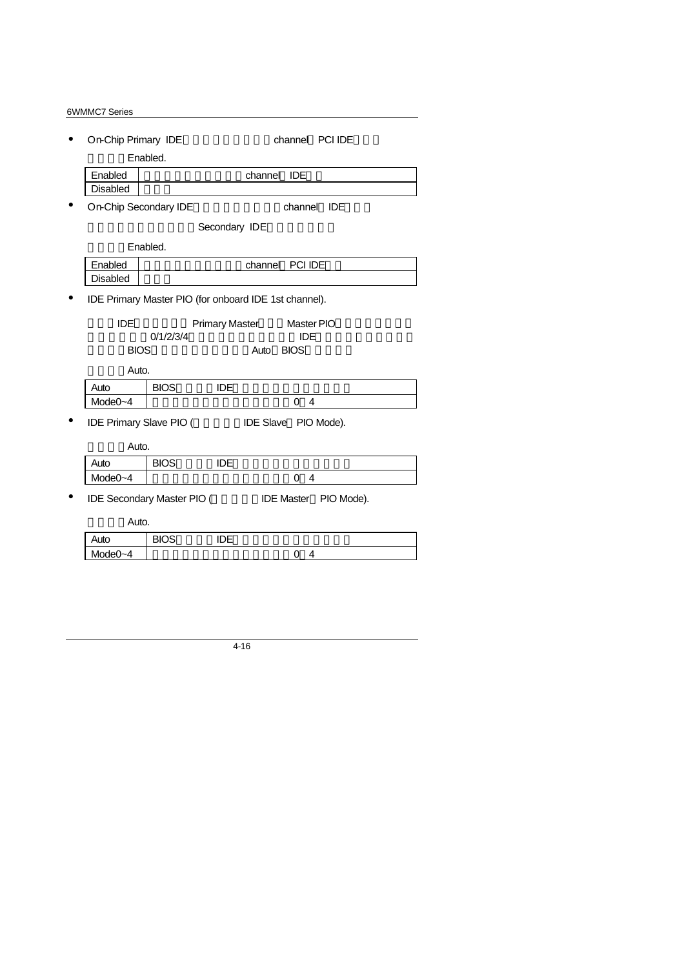| On-Chip Primary IDE                                   |             |                       |                      |             | channel PCI IDE |  |
|-------------------------------------------------------|-------------|-----------------------|----------------------|-------------|-----------------|--|
|                                                       | Enabled.    |                       |                      |             |                 |  |
| Enabled                                               |             |                       | channel IDE          |             |                 |  |
| <b>Disabled</b>                                       |             |                       |                      |             |                 |  |
| On-Chip Secondary IDE                                 |             |                       |                      |             | channel IDE     |  |
|                                                       |             | Secondary IDE         |                      |             |                 |  |
|                                                       | Enabled.    |                       |                      |             |                 |  |
| Enabled                                               |             |                       | channel              | PCI IDE     |                 |  |
| <b>Disabled</b>                                       |             |                       |                      |             |                 |  |
| IDE Primary Master PIO (for onboard IDE 1st channel). |             |                       |                      |             |                 |  |
| <b>IDE</b>                                            |             | <b>Primary Master</b> |                      | Master PIO  |                 |  |
|                                                       | 0/1/2/3/4   |                       |                      | <b>IDE</b>  |                 |  |
| <b>BIOS</b>                                           |             |                       | Auto                 | <b>BIOS</b> |                 |  |
| Auto.                                                 |             |                       |                      |             |                 |  |
| Auto                                                  | <b>BIOS</b> | <b>IDE</b>            |                      |             |                 |  |
| Mode $0 - 4$                                          |             |                       |                      | 4<br>0      |                 |  |
| <b>IDE Primary Slave PIO (</b>                        |             |                       | IDE Slave PIO Mode). |             |                 |  |
| Auto.                                                 |             |                       |                      |             |                 |  |

| Auto    | <b>BIOS</b> | ∩г |  |
|---------|-------------|----|--|
| Mode0~4 |             |    |  |
|         |             |    |  |

• IDE Secondary Master PIO ( IDE Master PIO Mode).

Auto.

| Auto         | פחי<br>ںر | - -<br>பபட<br>$\overline{\phantom{0}}$ |   |  |
|--------------|-----------|----------------------------------------|---|--|
| $A = 0$<br>M |           |                                        | ີ |  |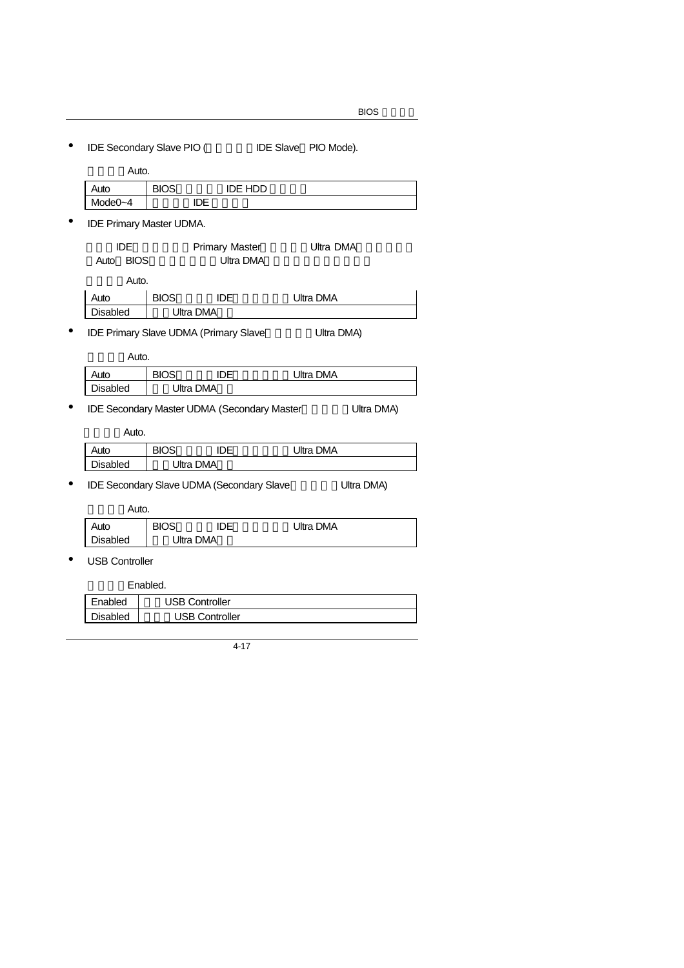• IDE Secondary Slave PIO ( IDE Slave PIO Mode).

| Auto.   |             |                |  |
|---------|-------------|----------------|--|
| Auto    | <b>BIOS</b> | <b>IDE HDD</b> |  |
| Mode0~4 |             |                |  |

• IDE Primary Master UDMA.

| IDE                 |             | <b>Primary Master</b> | Ultra DMA |  |
|---------------------|-------------|-----------------------|-----------|--|
| <b>BIOS</b><br>Auto |             | Ultra DMA             |           |  |
| Auto.               |             |                       |           |  |
| Auto                | <b>BIOS</b> | <b>IDE</b>            | Ultra DMA |  |
| <b>Disabled</b>     |             | Ultra DMA             |           |  |

• IDE Primary Slave UDMA (Primary Slave Whitra DMA)

Auto.

| Auto            | IOS<br>RК |           | Ultra DMA |
|-----------------|-----------|-----------|-----------|
| <b>Disabled</b> |           | Jltra DMA |           |

• IDE Secondary Master UDMA (Secondary Master Whitra DMA)

Auto.

| Auto            | RIOS. |           | Ultra DMA |  |
|-----------------|-------|-----------|-----------|--|
| <b>Disabled</b> |       | Ultra DMA |           |  |

• IDE Secondary Slave UDMA (Secondary Slave Ultra DMA)

Auto.

| .               |             |           |           |  |
|-----------------|-------------|-----------|-----------|--|
| Auto            | <b>BIOS</b> | חו        | Ultra DMA |  |
| <b>Disabled</b> |             | Ultra DMA |           |  |

• USB Controller

Enabled.

| Enabled  | JSB Controller        |  |
|----------|-----------------------|--|
| Disabled | <b>JSB Controller</b> |  |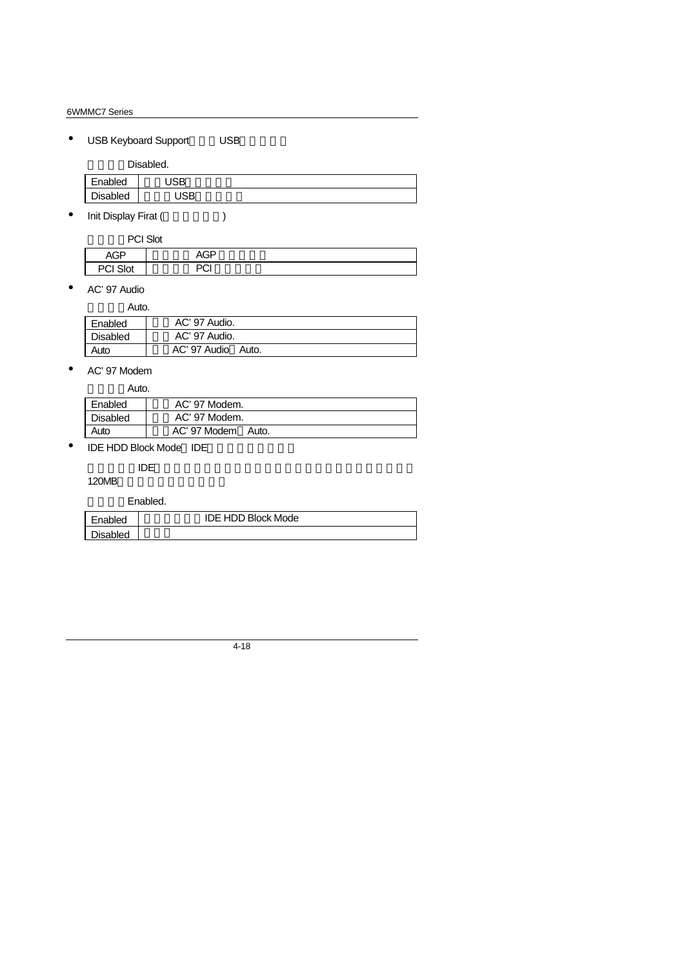## • USB Keyboard Support USB

Disabled.

| Enabled         | $\cdot$ CD $\cdot$<br>םכ |  |
|-----------------|--------------------------|--|
| <b>Disabled</b> | חחו<br>םכ                |  |
|                 |                          |  |

• Init Display Firat (Super

| PCI Slot        |            |  |
|-----------------|------------|--|
| <b>AGP</b>      | AGP        |  |
| <b>PCI Slot</b> | ימח<br>ັບເ |  |

• AC'97 Audio

| Auto.           |                       |
|-----------------|-----------------------|
| Enabled         | AC' 97 Audio.         |
| <b>Disabled</b> | AC' 97 Audio.         |
| Auto            | AC' 97 Audio<br>Auto. |

• AC'97 Modem

| Auto.    |                       |
|----------|-----------------------|
| Enabled  | AC' 97 Modem.         |
| Disabled | AC' 97 Modem.         |
| Auto     | AC' 97 Modem<br>Auto. |

 $\bullet$  IDE HDD Block Mode IDE

是否要使用IDE硬碟的區塊傳輸模式。基本上目前的硬碟均支援此功能(約

120MB

Enabled.

| Enabled  | <b>IDE HDD Block Mode</b> |  |
|----------|---------------------------|--|
| Disabled |                           |  |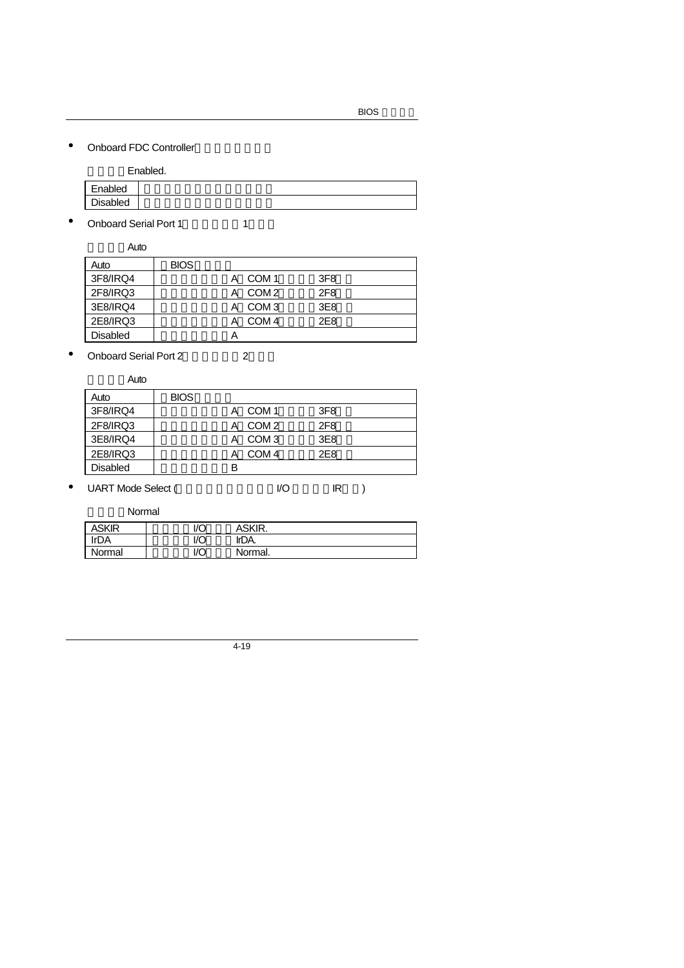• Onboard FDC Controller

Enabled.

|          | --------- |
|----------|-----------|
| Enabled  |           |
| Disabled |           |
|          |           |

• Onboard Serial Port 1 1

預設值:Auto Auto BIOS 3F8/IRQ4 | A COM 1 3F8 2F8/IRQ3 | A COM 2 2F8 3E8/IRQ4 | A COM 3 3E8

2E8/IRQ3 A COM 4 2E8 Disabled A

• Onboard Serial Port 2(00)

Auto

| Auto            | <b>BIOS</b> |   |                  |                 |  |
|-----------------|-------------|---|------------------|-----------------|--|
| 3F8/IRQ4        |             | А | COM 1            | 3F <sub>8</sub> |  |
| 2F8/IRQ3        |             | А | COM 2            | 2F <sub>8</sub> |  |
| 3E8/IRQ4        |             | А | COM 3            | 3E8             |  |
| 2E8/IRQ3        |             |   | COM <sub>4</sub> | 2E8             |  |
| <b>Disabled</b> |             | в |                  |                 |  |
|                 |             |   |                  |                 |  |

• UART Mode Select (
Windown I/O IR)

Normal

| ASKIR  | I/O | ASKIR.  |
|--------|-----|---------|
| !r∩A   | חוו | IrDA.   |
| Normal | I/O | Normal. |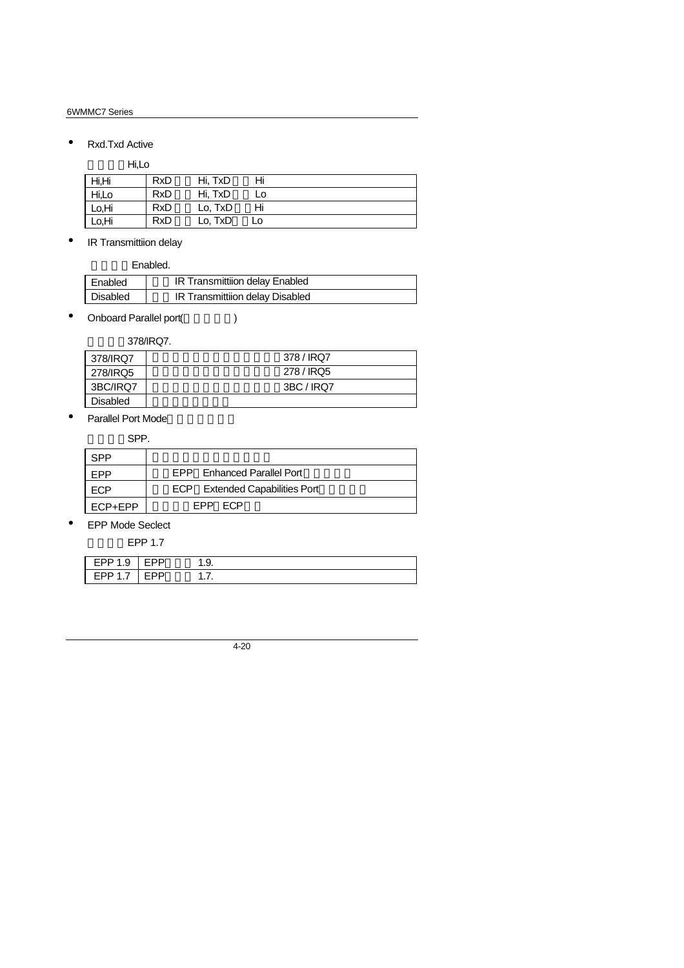• Rxd.Txd Active

Hi,Lo

| Hi,Hi | <b>RxD</b> | Hi. TxD | Hi |  |
|-------|------------|---------|----|--|
| Hi,Lo | <b>RxD</b> | Hi. TxD | Lo |  |
| Lo.Hi | <b>RxD</b> | Lo, TxD | Hi |  |
| Lo,Hi | <b>RxD</b> | Lo, TxD | LO |  |

• IR Transmittiion delay

Enabled.

| Enabled  | IR Transmittiion delay Enabled  |
|----------|---------------------------------|
| Disabled | IR Transmittiion delay Disabled |

• Onboard Parallel port(
(a)

預設值:378/IRQ7.

| 378/IRQ7        | 378 / IRQ7 |
|-----------------|------------|
| 278/IRQ5        | 278 / IRQ5 |
| 3BC/IRQ7        | 3BC / IRQ7 |
| <b>Disabled</b> |            |

• Parallel Port Mode

SPP.

| SPP     |                                |
|---------|--------------------------------|
| FPP     | EPP Enhanced Parallel Port     |
| ECP     | ECP Extended Capabilities Port |
| ECP+EPP | FPP FCP                        |

• EPP Mode Seclect

EPP 1.7

| ⊢ UD ∘<br>ີ | .ט |  |
|-------------|----|--|
| י טט∟<br>.  |    |  |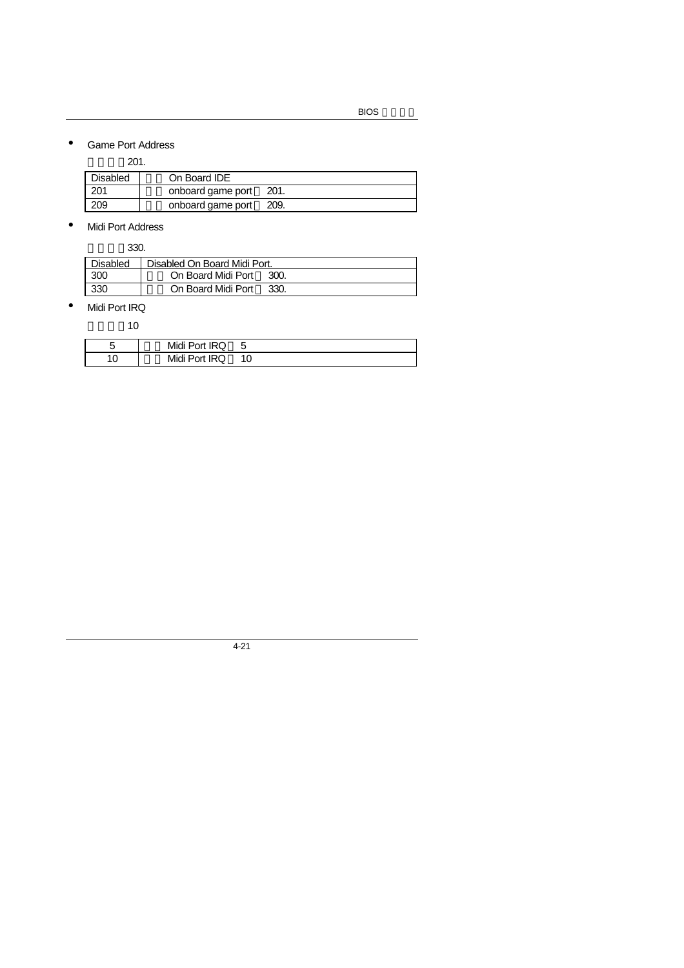## • Game Port Address

預設值:201.

| <b>Disabled</b> | On Board IDE      |       |
|-----------------|-------------------|-------|
| -201            | onboard game port | -201. |
| 209             | onboard game port | 209.  |

• Midi Port Address

預設值:330.

| Disabled | Disabled On Board Midi Port. |      |  |  |
|----------|------------------------------|------|--|--|
| 300      | On Board Midi Port           | 300. |  |  |
| 330      | On Board Midi Port           | 330. |  |  |

• Midi Port IRQ

預設值:10

|   | Midi Port IRQ |  |
|---|---------------|--|
| ◡ | Midi Port IRQ |  |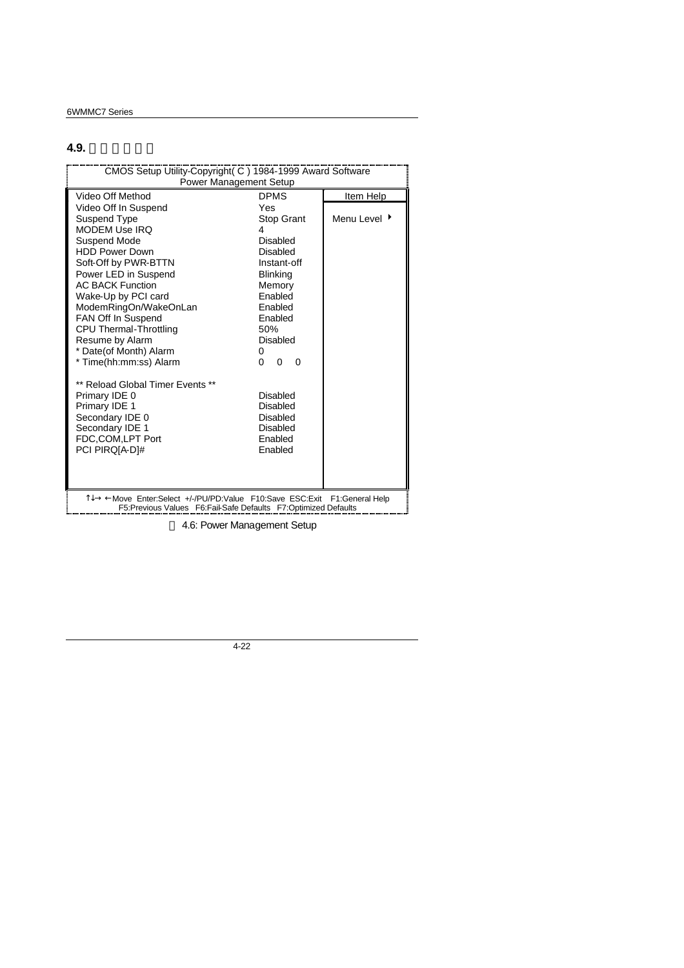# **4.9.** 省電功能設定

| CMOS Setup Utility-Copyright( C) 1984-1999 Award Software<br><b>Power Management Setup</b>                                                                                                                                                                                                                                                                                                                                                                                                                |                                                                                                                                                                                                                                                                                    |                           |  |  |
|-----------------------------------------------------------------------------------------------------------------------------------------------------------------------------------------------------------------------------------------------------------------------------------------------------------------------------------------------------------------------------------------------------------------------------------------------------------------------------------------------------------|------------------------------------------------------------------------------------------------------------------------------------------------------------------------------------------------------------------------------------------------------------------------------------|---------------------------|--|--|
| Video Off Method                                                                                                                                                                                                                                                                                                                                                                                                                                                                                          | <b>DPMS</b>                                                                                                                                                                                                                                                                        |                           |  |  |
| Video Off In Suspend<br>Suspend Type<br><b>MODEM Use IRO</b><br>Suspend Mode<br><b>HDD Power Down</b><br>Soft-Off by PWR-BTTN<br>Power LED in Suspend<br><b>AC BACK Function</b><br>Wake-Up by PCI card<br>ModemRingOn/WakeOnLan<br>FAN Off In Suspend<br>CPU Thermal-Throttling<br>Resume by Alarm<br>* Date(of Month) Alarm<br>* Time(hh:mm:ss) Alarm<br>** Reload Global Timer Events **<br>Primary IDE 0<br>Primary IDE 1<br>Secondary IDE 0<br>Secondary IDE 1<br>FDC.COM.LPT Port<br>PCI PIRQIA-D1# | Yes<br><b>Stop Grant</b><br>4<br><b>Disabled</b><br>Disabled<br>Instant-off<br><b>Blinking</b><br>Memory<br>Enabled<br>Enabled<br>Enabled<br>50%<br>Disabled<br>0<br>$\Omega$<br>$\Omega$<br>0<br>Disabled<br>Disabled<br><b>Disabled</b><br>Disabled<br><b>Fnabled</b><br>Enabled | Item Help<br>Menu Level ▶ |  |  |
| T↓→ ←Move Enter:Select +/-/PU/PD:Value F10:Save ESC:Exit<br>F1:General Help<br>F5: Previous Values F6: Fail-Safe Defaults F7: Optimized Defaults                                                                                                                                                                                                                                                                                                                                                          |                                                                                                                                                                                                                                                                                    |                           |  |  |

4.6: Power Management Setup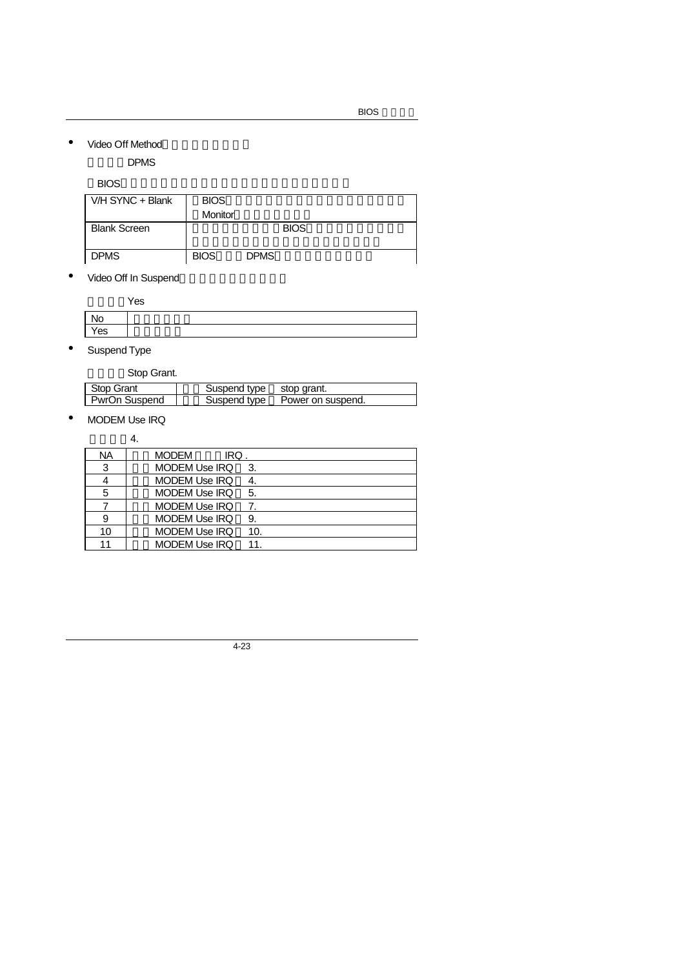• Video Off Method

DPMS

#### $\mathsf{BIOS}$

| V/H SYNC + Blank    | <b>BIOS</b> |             |
|---------------------|-------------|-------------|
|                     | Monitor     |             |
| <b>Blank Screen</b> |             | <b>BIOS</b> |
| <b>DPMS</b>         | <b>BIOS</b> | <b>DPMS</b> |

• Video Off In Suspend

|     | Yes |
|-----|-----|
| No  |     |
| Yes |     |
|     |     |

• Suspend Type

 $\mathsf{l}$ 

Stop Grant.

| ________      |                          |                   |
|---------------|--------------------------|-------------------|
| Stop Grant    | Suspend type stop grant. |                   |
| PwrOn Suspend | Suspend type             | Power on suspend. |
|               |                          |                   |

• MODEM Use IRQ

預設值:4.

| <b>NA</b> | <b>MODEM</b><br>IRQ.        |
|-----------|-----------------------------|
| 3         | <b>MODEM Use IRQ</b><br>3.  |
|           | MODEM Use IRQ               |
| 5         | <b>MODEM Use IRQ</b><br>5.  |
|           | MODEM Use IRQ               |
| 9         | <b>MODEM Use IRQ</b><br>9.  |
| 10        | <b>MODEM Use IRQ</b><br>10. |
| 11        | <b>MODEM Use IRQ</b><br>11  |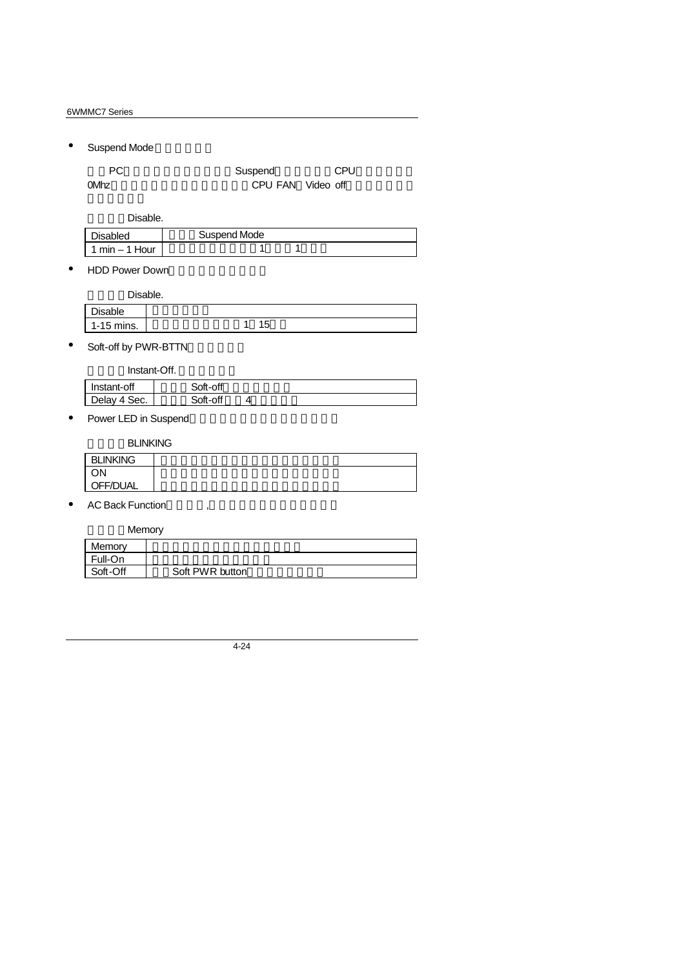• Suspend Mode

| PC.  | Suspend           | <b>CPU</b> |
|------|-------------------|------------|
| 0Mhz | CPU FAN Video off |            |

Disable.

| <b>Disabled</b> | Suspend Mode |  |
|-----------------|--------------|--|
| $min - 1$ Hour  |              |  |

• HDD Power Down

|              | Disable. |
|--------------|----------|
| Disable      |          |
| $1-15$ mins. | 15       |

• Soft-off by PWR-BTTN

Instant-Off.

| Instant-off        | Soft-off |  |
|--------------------|----------|--|
| Delay 4 \$<br>Sec. | Soft-off |  |
|                    |          |  |

• Power LED in Suspend

**BLINKING** 

| <b>BLINKING</b> |  |  |  |
|-----------------|--|--|--|
| OΝ              |  |  |  |
| OFF/DUAL        |  |  |  |

 $\bullet$  AC Back Function

**Memory** 

| Memory   |                 |
|----------|-----------------|
| Full-On  |                 |
| Soft-Off | Soft PWR button |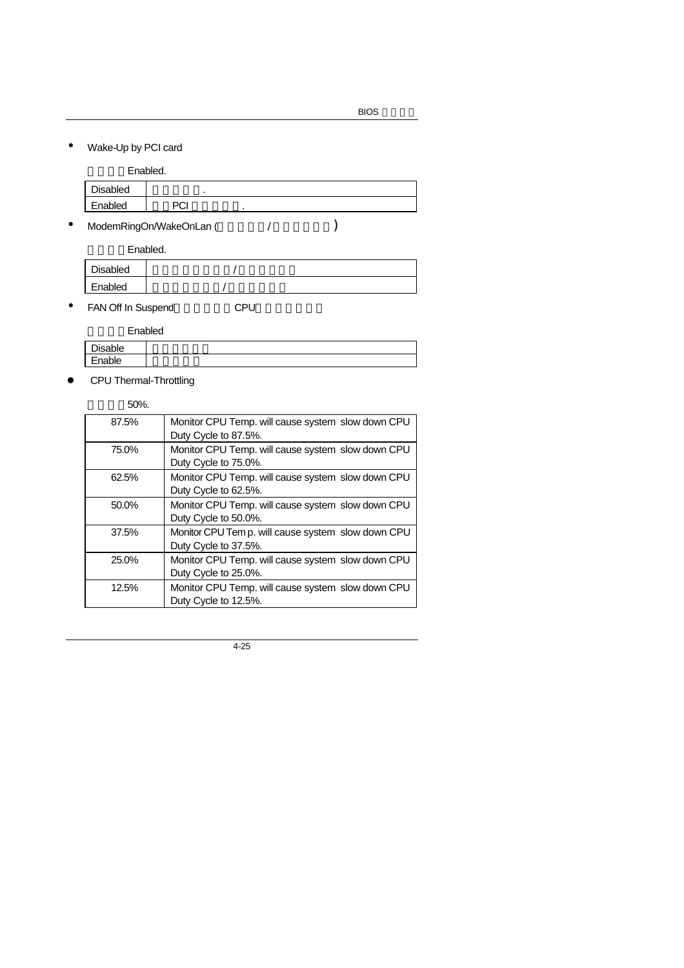• Wake-Up by PCI card

|                 | Enabled. |  |  |  |
|-----------------|----------|--|--|--|
| <b>Disabled</b> |          |  |  |  |
| Enabled         | PCI      |  |  |  |
|                 |          |  |  |  |

• ModemRingOn/WakeOnLan (
<br>
(
)

Enabled.

| Disabled |  |
|----------|--|
| Enabled  |  |

• FAN Off In Suspend(Text) CPU

Enabled

| Disable |        |  |
|---------|--------|--|
|         |        |  |
|         | Enable |  |

**•** CPU Thermal-Throttling

#### 預設值:50%.

| 87.5% | Monitor CPU Temp. will cause system slow down CPU  |
|-------|----------------------------------------------------|
|       | Duty Cycle to 87.5%.                               |
| 75.0% | Monitor CPU Temp. will cause system slow down CPU  |
|       | Duty Cycle to 75.0%.                               |
| 62.5% | Monitor CPU Temp. will cause system slow down CPU  |
|       | Duty Cycle to 62.5%.                               |
| 50.0% | Monitor CPU Temp. will cause system slow down CPU  |
|       | Duty Cycle to 50.0%.                               |
| 37.5% | Monitor CPU Tem p. will cause system slow down CPU |
|       | Duty Cycle to 37.5%.                               |
| 25.0% | Monitor CPU Temp. will cause system slow down CPU  |
|       | Duty Cycle to 25.0%.                               |
| 12.5% | Monitor CPU Temp. will cause system slow down CPU  |
|       | Duty Cycle to 12.5%.                               |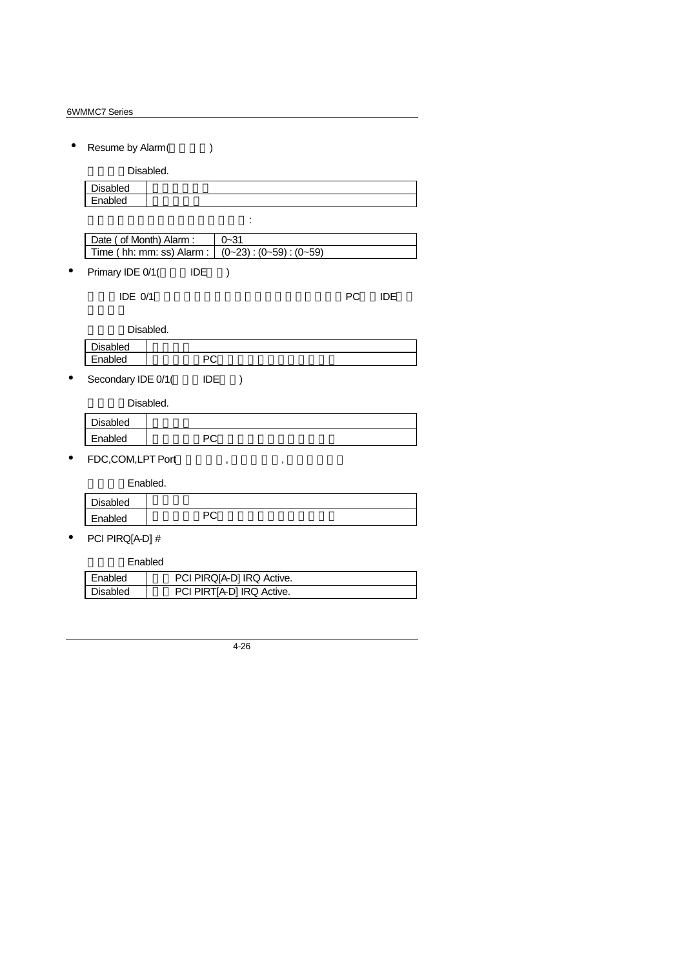• Resume by Alarm()

Disabled.

| Disabled |  |
|----------|--|
| Enabled  |  |
|          |  |

| Date ( of Month) Alarm :                           | $0 - 31$ |
|----------------------------------------------------|----------|
| Time ( hh: mm: ss) Alarm : $ (0-23):(0-59):(0-59)$ |          |
|                                                    |          |

• Primary IDE  $0/1$  IDE  $)$ 

若啟動定時開機,則可設定以下時間:

當主要IDE 0/1裝置有存取動作要求時,是否要取消目前的PC及該IDE的省

Disabled.

|          | .             |  |
|----------|---------------|--|
| Disabled |               |  |
| Enabled  | $\sim$<br>. . |  |
|          |               |  |

• Secondary IDE  $0/1($  IDE  $)$ 

Disabled.

| <b>Disabled</b> |         |  |
|-----------------|---------|--|
| Enabled         | nn<br>◡ |  |

•  $FDC, COM, LPT Port$ , ,

Enabled.

| Disabled |         |  |
|----------|---------|--|
| Enabled  | nr<br>◡ |  |
|          |         |  |

• PCI PIRQ[A-D] #

## Enabled

| Enabled  | PCI PIRQ[A-D] IRQ Active. |  |
|----------|---------------------------|--|
| Disabled | PCI PIRT[A-D] IRQ Active. |  |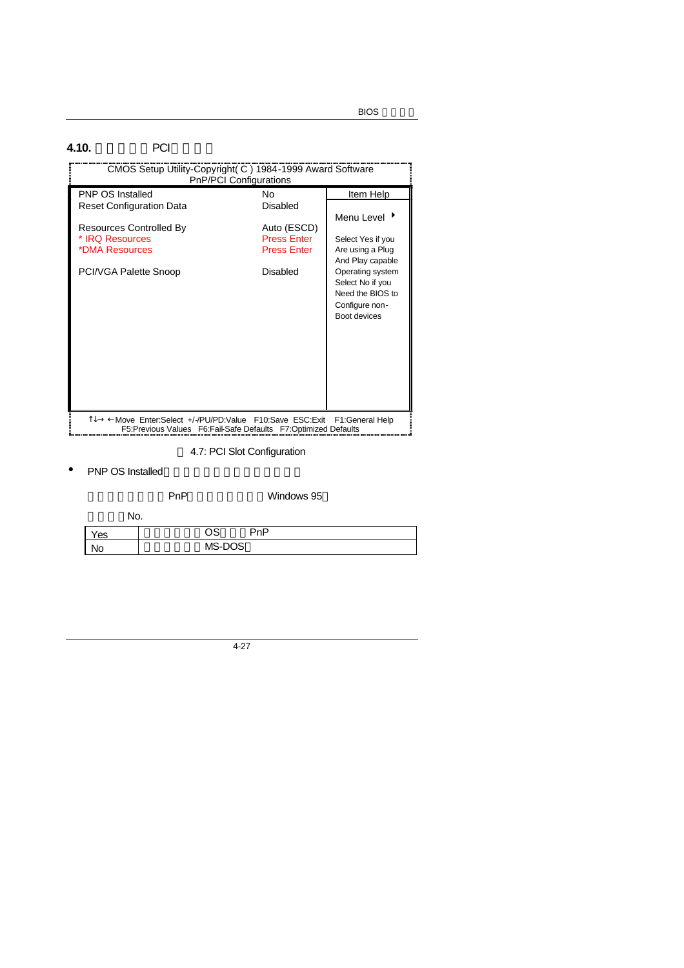## **4.10.** PCI

| CMOS Setup Utility-Copyright (C) 1984-1999 Award Software                                                                       | PnP/PCI Configurations                                              |                                                                                                                                                         |
|---------------------------------------------------------------------------------------------------------------------------------|---------------------------------------------------------------------|---------------------------------------------------------------------------------------------------------------------------------------------------------|
| <b>PNP OS Installed</b>                                                                                                         | N٥                                                                  | Item Help                                                                                                                                               |
| <b>Reset Configuration Data</b>                                                                                                 | Disabled                                                            | Menu Level $\rightarrow$                                                                                                                                |
| Resources Controlled By<br>* IRQ Resources<br>*DMA Resources<br>PCI/VGA Palette Snoop                                           | Auto (ESCD)<br><b>Press Enter</b><br><b>Press Enter</b><br>Disabled | Select Yes if you<br>Are using a Plug<br>And Play capable<br>Operating system<br>Select No if you<br>Need the BIOS to<br>Configure non-<br>Boot devices |
| T↓→ ←Move Enter:Select +/-/PU/PD:Value F10:Save ESC:Exit<br>F5: Previous Values  F6: Fail-Safe Defaults  F7: Optimized Defaults |                                                                     | F1:General Help                                                                                                                                         |

4.7: PCI Slot Configuration

• PNP OS Installed

|     |     | PnP |        |     | Windows 95 |  |
|-----|-----|-----|--------|-----|------------|--|
|     | No. |     |        |     |            |  |
| 'es |     |     | OS     | PnP |            |  |
| No  |     |     | MS-DOS |     |            |  |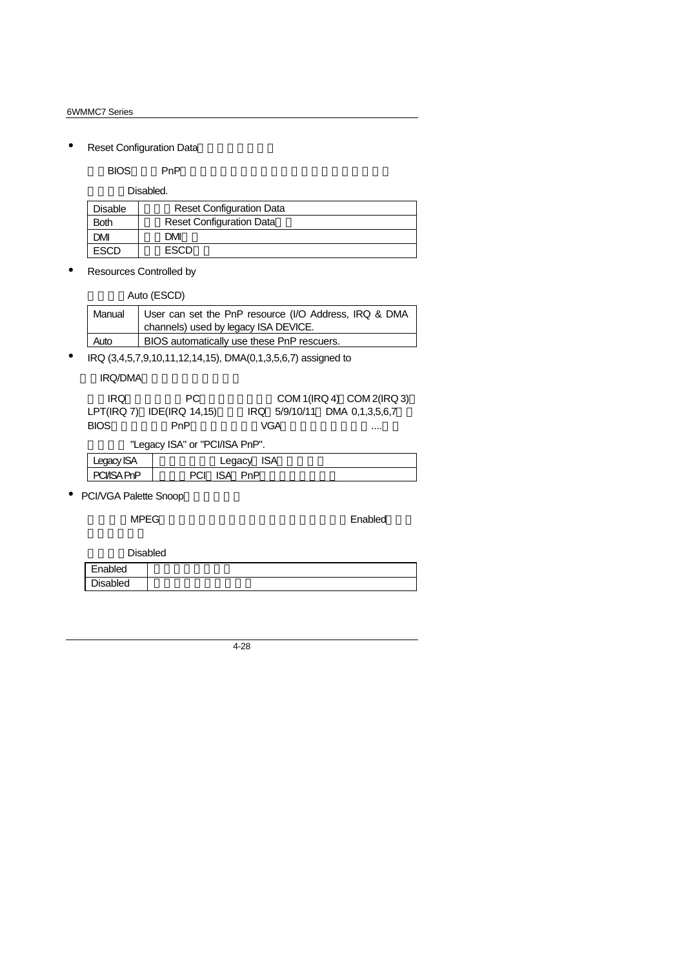• Reset Configuration Data

#### 指示BIOS將所有PnP等相關組態清除,以便寫入或恢復部份預設值。

Disabled.

| Disable | <b>Reset Configuration Data</b> |
|---------|---------------------------------|
| Both    | <b>Reset Configuration Data</b> |
| JМ      | DMI                             |
| scn     | FSCD                            |

• Resources Controlled by

Auto (ESCD)

| Manual | User can set the PnP resource (I/O Address, IRQ & DMA<br>channels) used by legacy ISA DEVICE. |
|--------|-----------------------------------------------------------------------------------------------|
| Auto   | BIOS automatically use these PnP rescuers.                                                    |

• IRQ (3,4,5,7,9,10,11,12,14,15), DMA(0,1,3,5,6,7) assigned to

IRQ/DMA

| IRO.        | PC.                            |     | COM 1(IRQ 4) COM 2(IRQ 3)     |
|-------------|--------------------------------|-----|-------------------------------|
|             | $LPT(IRQ 7)$ IDE(IRQ 14,15)    |     | IRQ 5/9/10/11 DMA 0.1.3.5.6.7 |
| <b>BIOS</b> | PnP                            | VGA |                               |
|             | "Legacy ISA" or "PCI/ISA PnP". |     |                               |

| Legacy ISA | Legacy ISA |  |
|------------|------------|--|

| Luguay ion i          | Luguuy<br>י ישו |
|-----------------------|-----------------|
| <b>CIASA F</b><br>PnP | <b>PnP</b>      |
|                       |                 |

• PCI/VGA Palette Snoop

**MPEG** Enabled

٦

Disabled

| Enabled         |  |
|-----------------|--|
| <b>Disabled</b> |  |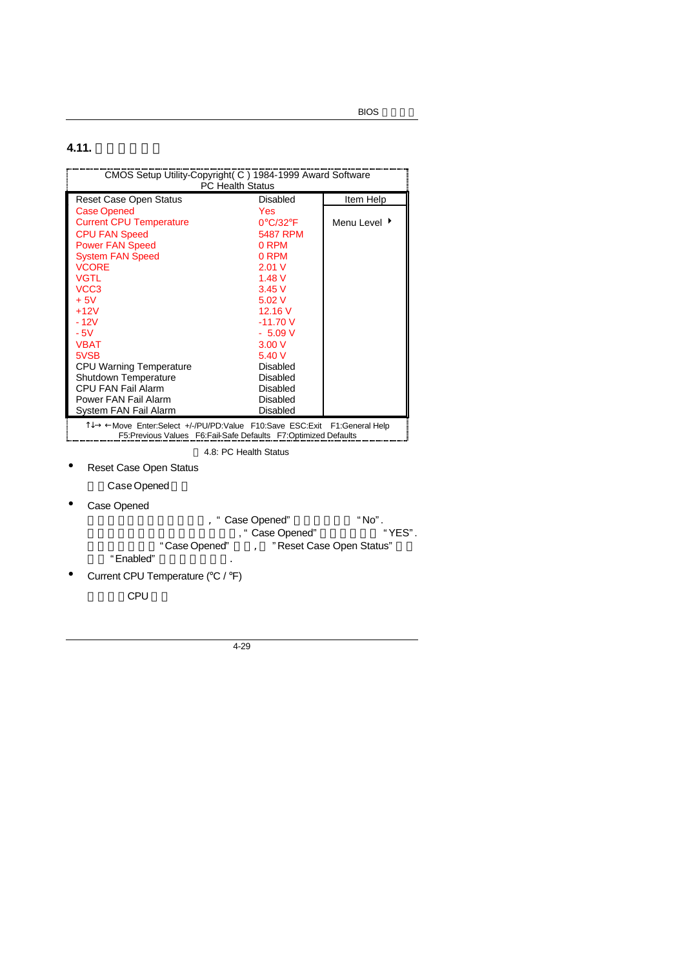**BIOS** 

## **4.11.**

| CMOS Setup Utility-Copyright( C) 1984-1999 Award Software<br><b>PC Health Status</b>                                                        |                               |              |  |
|---------------------------------------------------------------------------------------------------------------------------------------------|-------------------------------|--------------|--|
| Reset Case Open Status                                                                                                                      | Disabled                      | Item Help    |  |
| <b>Case Opened</b>                                                                                                                          | Yes                           |              |  |
| <b>Current CPU Temperature</b>                                                                                                              | $0^{\circ}$ C/32 $^{\circ}$ F | Menu Level ▶ |  |
| <b>CPU FAN Speed</b>                                                                                                                        | 5487 RPM                      |              |  |
| <b>Power FAN Speed</b>                                                                                                                      | 0 RPM                         |              |  |
| <b>System FAN Speed</b>                                                                                                                     | 0 RPM                         |              |  |
| <b>VCORE</b>                                                                                                                                | 2.01V                         |              |  |
| <b>VGTL</b>                                                                                                                                 | 1.48V                         |              |  |
| VCC <sub>3</sub>                                                                                                                            | 3.45V                         |              |  |
| $+5V$                                                                                                                                       | 5.02V                         |              |  |
| $+12V$                                                                                                                                      | 12.16V                        |              |  |
| - 12V                                                                                                                                       | $-11.70V$                     |              |  |
| $-5V$                                                                                                                                       | $-5.09V$                      |              |  |
| <b>VBAT</b>                                                                                                                                 | 3.00V                         |              |  |
| 5VSB                                                                                                                                        | 5.40V                         |              |  |
| CPU Warning Temperature                                                                                                                     | Disabled                      |              |  |
| Shutdown Temperature                                                                                                                        | Disabled                      |              |  |
| <b>CPU FAN Fail Alarm</b>                                                                                                                   | Disabled                      |              |  |
| Power FAN Fail Alarm                                                                                                                        | Disabled                      |              |  |
| System FAN Fail Alarm                                                                                                                       | <b>Disabled</b>               |              |  |
| T↓→ ← Move Enter:Select +/-/PU/PD:Value F10:Save ESC:Exit F1:General Help<br>F5:Previous Values F6:Fail-Safe Defaults F7:Optimized Defaults |                               |              |  |
|                                                                                                                                             | 4.8: PC Health Status         |              |  |

- Reset Case Open Status
	- Case Opened
- Case Opened
	- , " Case Opened" "No".<br>" Case Opened" "YES". , " Case Opened"  $2^*$  "YES". "Case Opened" "Reset Case Open Status"
		- "Enabled"
- Current CPU Temperature (°C / °F)

CPU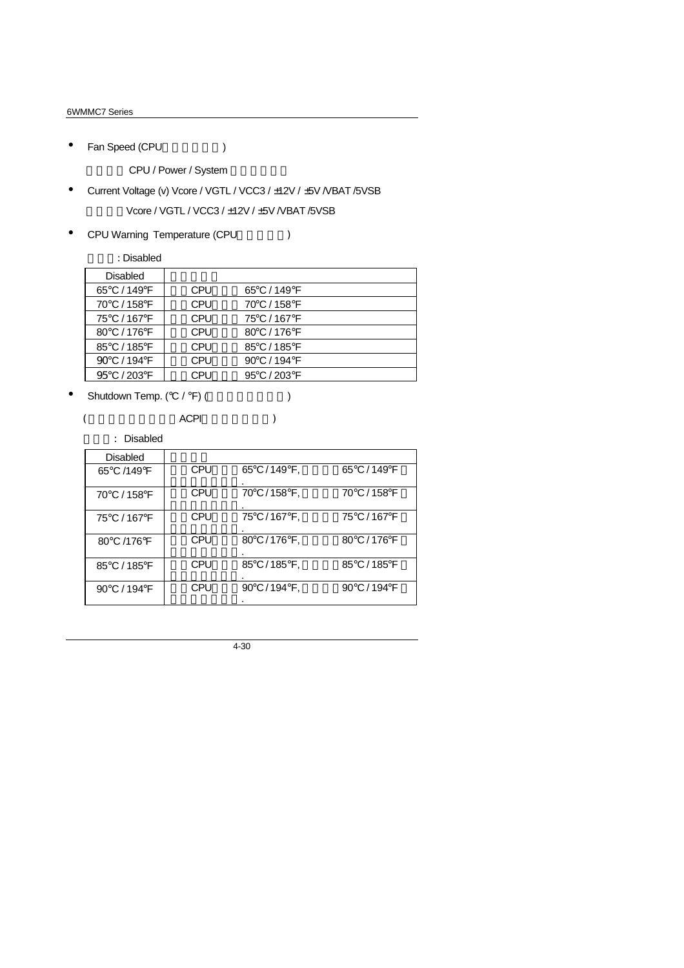• Fan Speed (CPU)

CPU / Power / System

- Current Voltage (v) Vcore / VGTL / VCC3 / ±12V / ±5V / VBAT /5VSB Vcore / VGTL / VCC3 / ±12V / ±5V /VBAT /5VSB
- CPU Warning Temperature (CPU
)

預設值:Disabled

| <b>Disabled</b> |            |              |  |
|-----------------|------------|--------------|--|
| 65°C / 149°F    | <b>CPU</b> | 65°C / 149°F |  |
| 70°C / 158°F    | <b>CPU</b> | 70°C / 158°F |  |
| 75°C / 167°F    | <b>CPU</b> | 75°C / 167°F |  |
| 80°C / 176°F    | <b>CPU</b> | 80°C / 176°F |  |
| 85°C / 185°F    | <b>CPU</b> | 85°C / 185°F |  |
| 90°C / 194°F    | CPU        | 90°C / 194°F |  |
| 95°C / 203°F    | CPU        | 95°C / 203°F |  |
|                 |            |              |  |

• Shutdown Temp.  $({}^{\circ}C / {}^{\circ}F)$  ( $\qquad \qquad$ )

 $($  ACPI  $)$ 

預設值: Disabled

| Disabled     |            |             |              |
|--------------|------------|-------------|--------------|
| 65°C /149°F  | <b>CPU</b> | 65°C/149°F, | 65°C / 149°F |
| 70°C / 158°F | <b>CPU</b> | 70°C/158°F, | 70°C / 158°F |
| 75°C / 167°F | <b>CPU</b> | 75°C/167°F, | 75°C / 167°F |
| 80°C /176°F  | <b>CPU</b> | 80°C/176°F, | 80°C / 176°F |
| 85°C / 185°F | CPU        | 85°C/185°F, | 85°C / 185°F |
| 90°C / 194°F | CPU        | 90°C/194°F, | 90°C / 194°F |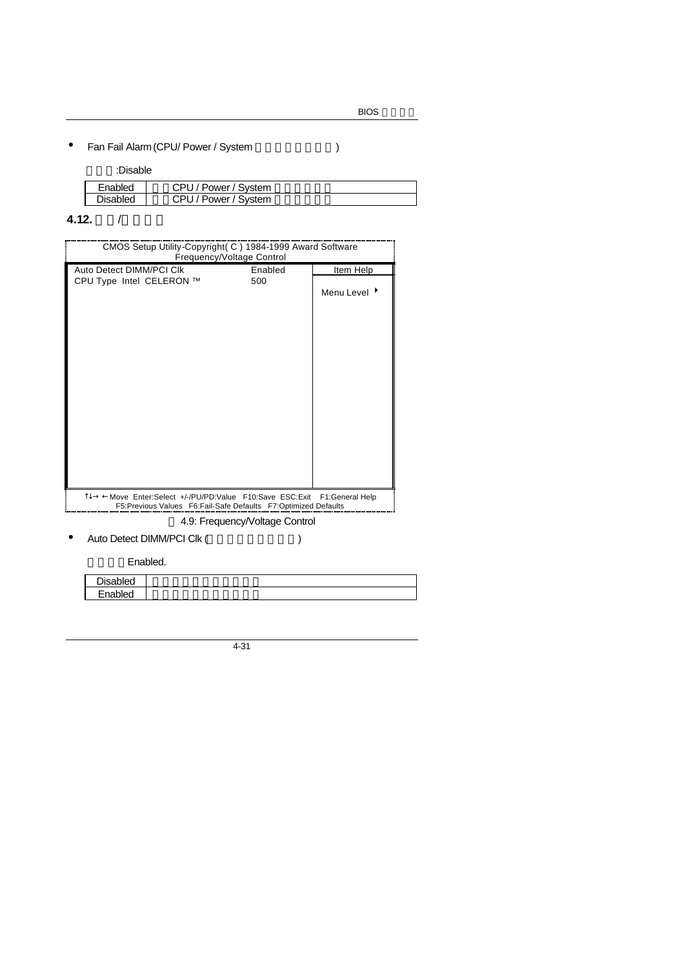# • Fan Fail Alarm (CPU/ Power / System (1997)

#### 預設值:Disable

| $\sim$ DI.<br>Power / System<br>Enabled<br><b>Disabled</b><br>$\cap$ DI i |  |                  |
|---------------------------------------------------------------------------|--|------------------|
|                                                                           |  |                  |
|                                                                           |  | ' Power / System |

# **4.12.** 頻率/電壓控制

| CMOS Setup Utility-Copyright (C) 1984-1999 Award Software                                                                                                                    | Frequency/Voltage Control |              |
|------------------------------------------------------------------------------------------------------------------------------------------------------------------------------|---------------------------|--------------|
| Auto Detect DIMM/PCI CIK                                                                                                                                                     | Enabled                   | Item Help    |
| CPU Type Intel CELERON ™                                                                                                                                                     | 500                       | Menu Level ▶ |
|                                                                                                                                                                              |                           |              |
| 1↓→ ←Move Enter:Select +/-/PU/PD:Value F10:Save ESC:Exit F1:General Help<br>F5:Previous Values F6:Fail-Safe Defaults F7:Optimized Defaults<br>4.9: Frequency/Voltage Control |                           |              |

## • Auto Detect DIMM/PCI Clk (etc.)

Enabled.

| $\sum_{i=1}^{n}$ |  |
|------------------|--|
| - - -            |  |
|                  |  |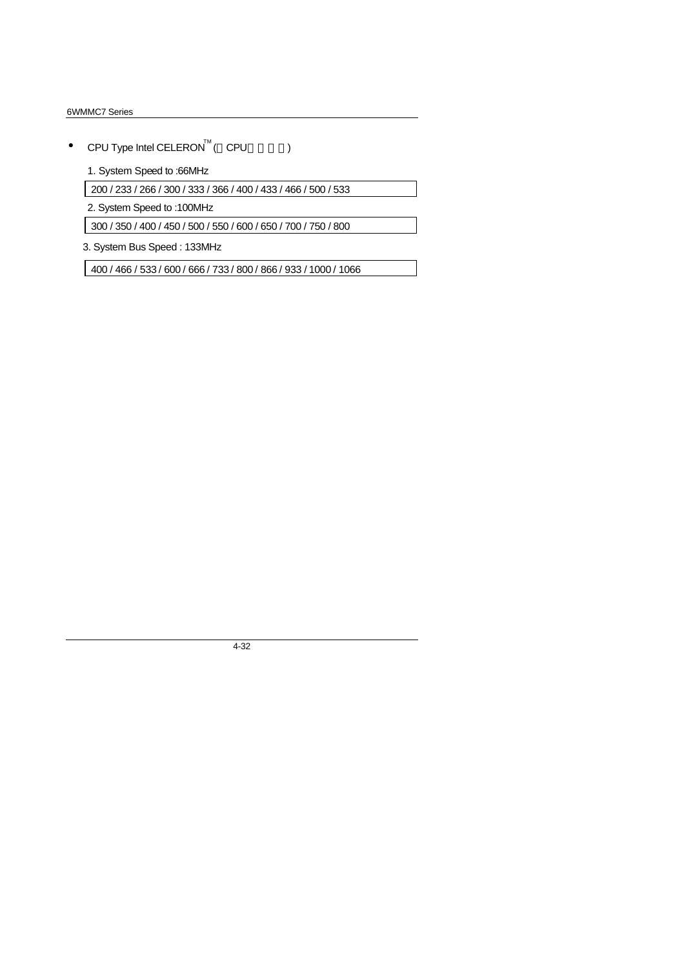- CPU Type Intel CELERON<sup>TM</sup> (  $\text{CPU}$  )
	- 1. System Speed to :66MHz

200 / 233 / 266 / 300 / 333 / 366 / 400 / 433 / 466 / 500 / 533

2. System Speed to :100MHz

300 / 350 / 400 / 450 / 500 / 550 / 600 / 650 / 700 / 750 / 800

3. System Bus Speed : 133MHz

400 / 466 / 533 / 600 / 666 / 733 / 800 / 866 / 933 / 1000 / 1066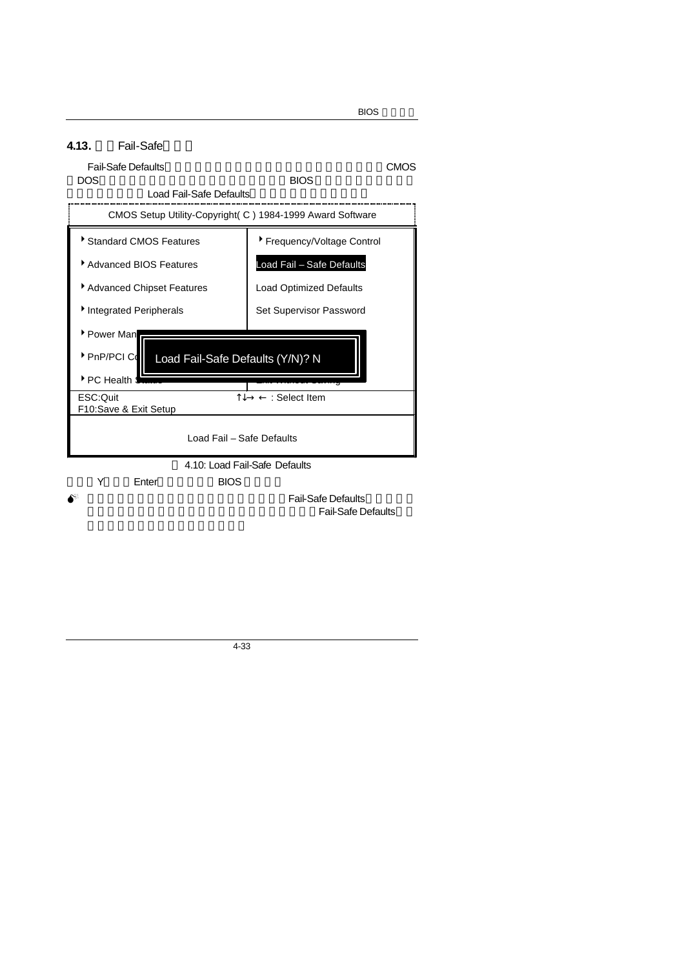

4-33

**BIOS**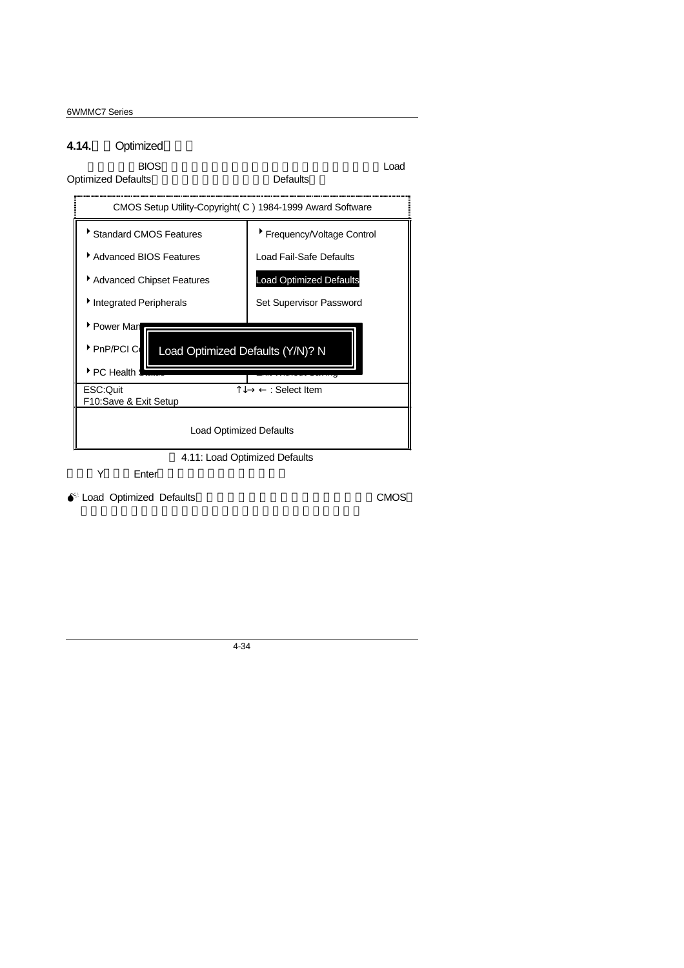#### 4.14. Optimized

# 當您想載入BIOS出廠時的預設值時,執行此選項畫面便會出現:「Load Optimized Defaults **Defaults** Defaults CMOS Setup Utility-Copyright( C ) 1984-1999 Award Software \* Standard CMOS Features | \* Frequency/Voltage Control ▶ Advanced BIOS Features | Load Fail-Safe Defaults ▶ Advanced Chipset Features Load Optimized Defaults Integrated Peripherals Set Supervisor Password Power Man PnP/PCI Coll Load Optimized Defaults (Y/N)? N  $P$ C Health ESC:Quit  $\uparrow \downarrow \rightarrow \leftarrow$  : Select Item F10:Save & Exit Setup Load Optimized Defaults 4.11: Load Optimized Defaults Y Enter

● Load Optimized Defaults **CMOS**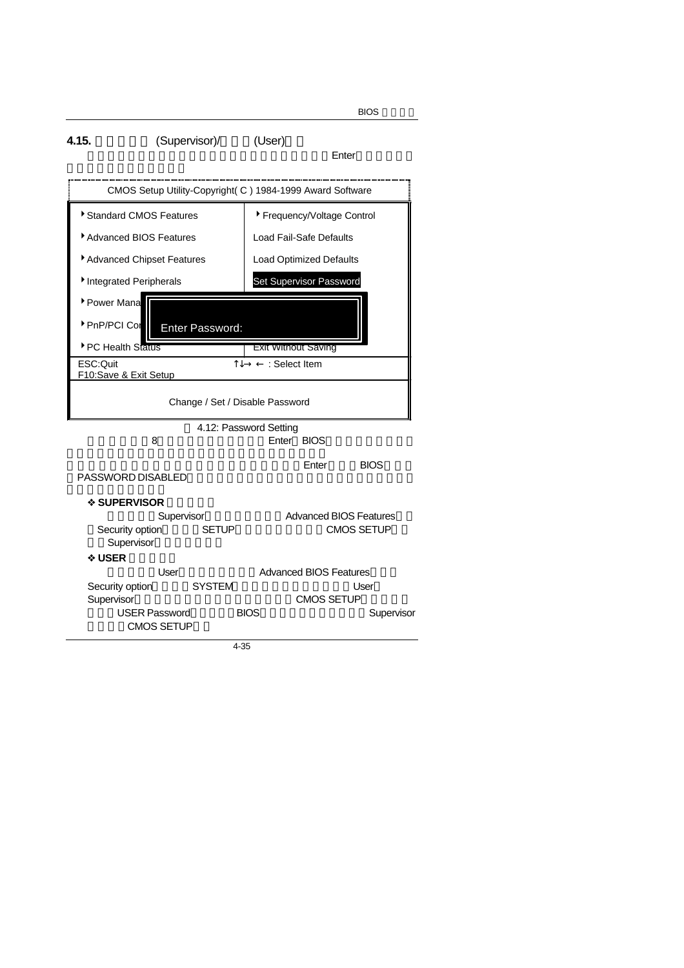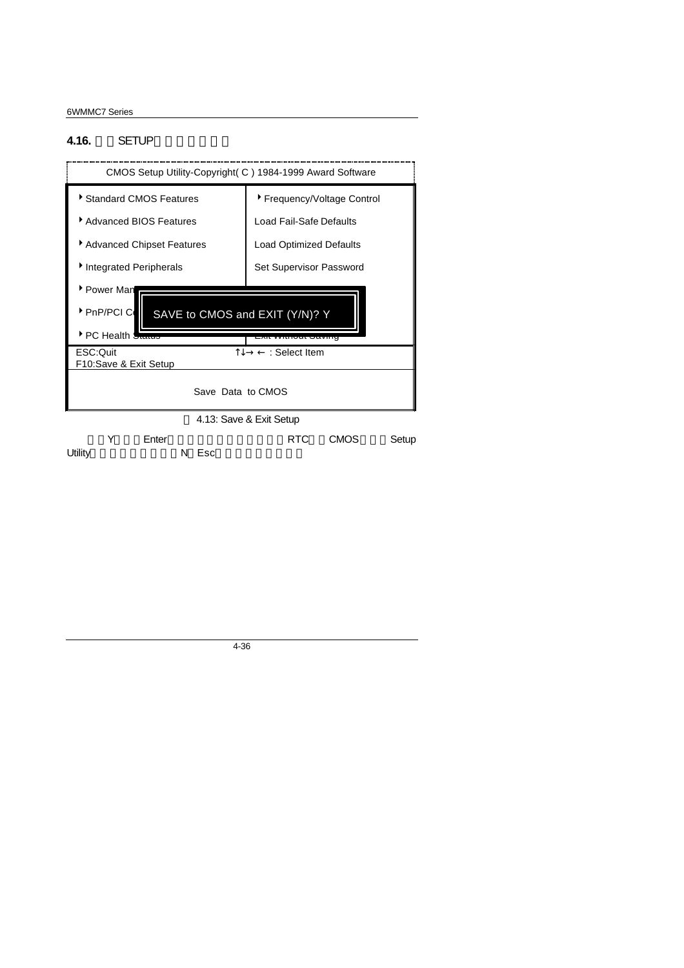#### **4.16. SETUP**

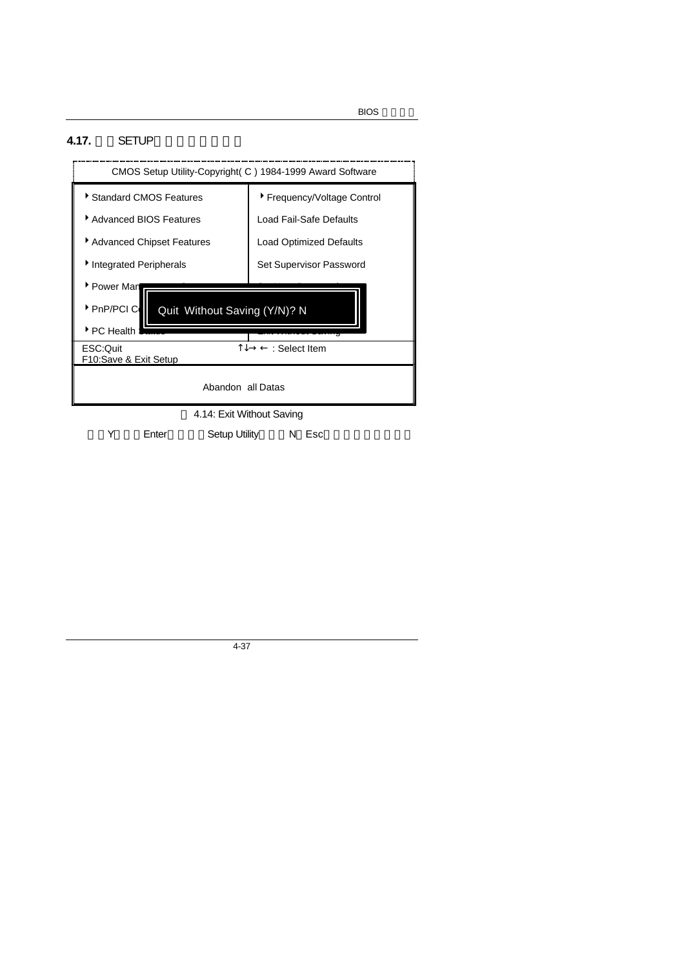## **4.17.** SETUP



Y Enter, Setup Utility N Esc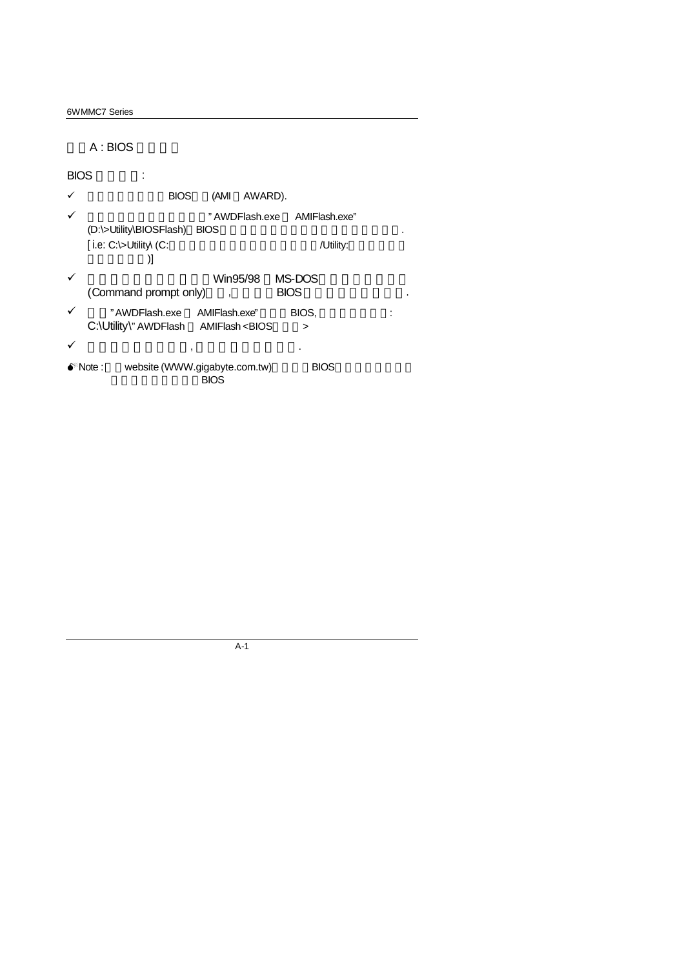A : BIOS

BIOS to the set of the set of the set of the set of the set of the set of the set of the set of the set of the set of the set of the set of the set of the set of the set of the set of the set of the set of the set of the s

- $\checkmark$  BIOS (AMI AWARD).
- ¸ 建議您複製驅動程式光碟內"AWDFlash.exe AMIFlash.exe" (D:\>Utility\BIOSFlash) BIOS  $[$  i.e:  $C$ : $\rightarrow$ Utility  $(C:$  $\overline{\phantom{a}}$
- $\checkmark$  Win95/98 MS-DOS (Command prompt only) (BIOS
- √ "AWDFlash.exe AMIFlash.exe" BIOS, 2019; C:\Utility\" AWDFlash AMIFlash <BIOS >
- $\checkmark$  , and the set of the set of the set of the set of the set of the set of the set of the set of the set of the set of the set of the set of the set of the set of the set of the set of the set of the set of the set of
- <sup>•</sup>Note : website (WWW.gigabyte.com.tw) BIOS 司詢問此機種新版的BIOS

A-1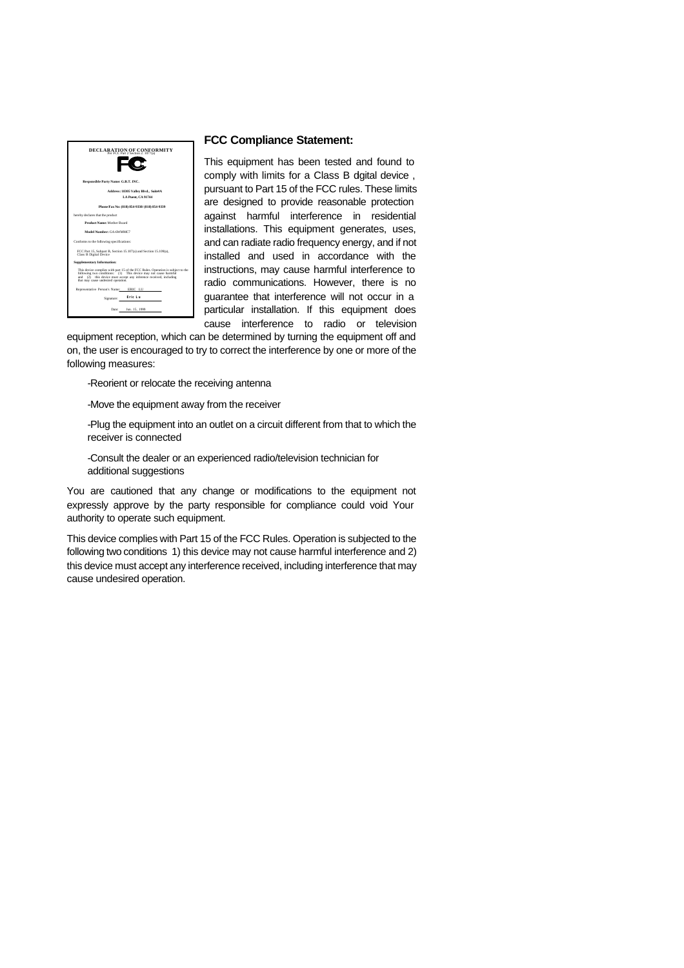

#### **FCC Compliance Statement:**

This equipment has been tested and found to comply with limits for a Class B dgital device, pursuant to Part 15 of the FCC rules. These limits are designed to provide reasonable protection against harmful interference in residential installations. This equipment generates, uses, and can radiate radio frequency energy, and if not installed and used in accordance with the instructions, may cause harmful interference to radio communications. However, there is no guarantee that interference will not occur in a particular installation. If this equipment does cause interference to radio or television

equipment reception, which can be determined by turning the equipment off and on, the user is encouraged to try to correct the interference by one or more of the following measures:

-Reorient or relocate the receiving antenna

-Move the equipment away from the receiver

-Plug the equipment into an outlet on a circuit different from that to which the receiver is connected

-Consult the dealer or an experienced radio/television technician for additional suggestions

You are cautioned that any change or modifications to the equipment not expressly approve by the party responsible for compliance could void Your authority to operate such equipment.

This device complies with Part 15 of the FCC Rules. Operation is subjected to the following two conditions 1) this device may not cause harmful interference and 2) this device must accept any interference received, including interference that may cause undesired operation.